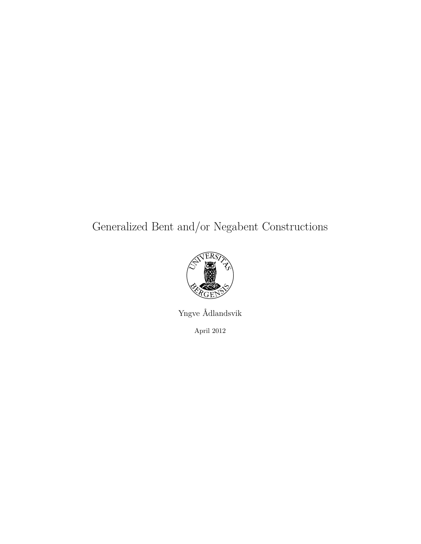# Generalized Bent and/or Negabent Constructions



Yngve Ådlandsvik April 2012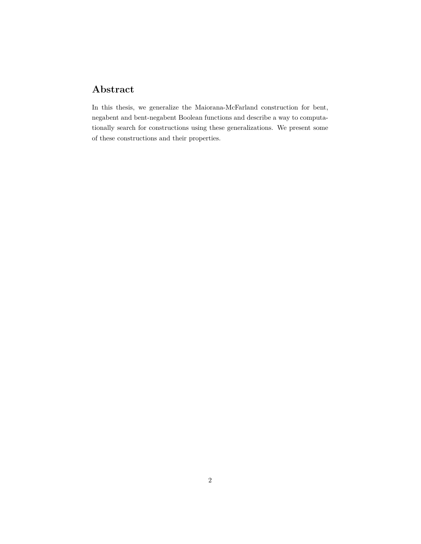## **Abstract**

In this thesis, we generalize the Maiorana-McFarland construction for bent, negabent and bent-negabent Boolean functions and describe a way to computationally search for constructions using these generalizations. We present some of these constructions and their properties.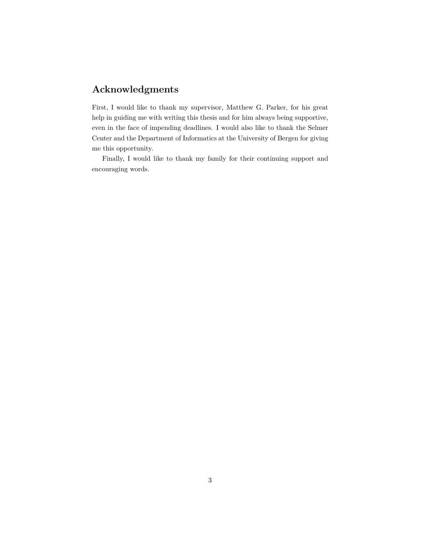### **Acknowledgments**

First, I would like to thank my supervisor, Matthew G. Parker, for his great help in guiding me with writing this thesis and for him always being supportive, even in the face of impending deadlines. I would also like to thank the Selmer Center and the Department of Informatics at the University of Bergen for giving me this opportunity.

Finally, I would like to thank my family for their continuing support and encouraging words.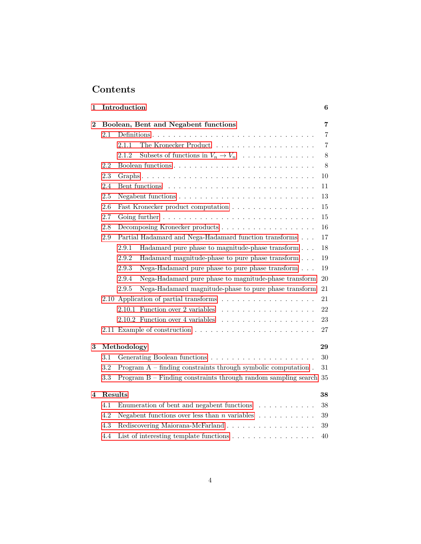# **Contents**

| 1              |           | Introduction |                                                                          | 6              |
|----------------|-----------|--------------|--------------------------------------------------------------------------|----------------|
| $\overline{2}$ |           |              | Boolean, Bent and Negabent functions                                     | $\overline{7}$ |
|                | 2.1       |              |                                                                          | 7              |
|                |           | 2.1.1        |                                                                          | $\overline{7}$ |
|                |           | 2.1.2        | Subsets of functions in $V_n \to V_n$                                    | 8              |
|                | 2.2       |              |                                                                          | 8              |
|                | 2.3       |              |                                                                          | 10             |
|                | 2.4       |              |                                                                          | 11             |
|                | 2.5       |              |                                                                          | 13             |
|                | 2.6       |              | Fast Kronecker product computation $\ldots \ldots \ldots \ldots \ldots$  | 15             |
|                | 2.7       |              |                                                                          | 15             |
|                | 2.8       |              |                                                                          | 16             |
|                | 2.9       |              | Partial Hadamard and Nega-Hadamard function transforms                   | 17             |
|                |           | 2.9.1        | Hadamard pure phase to magnitude-phase transform                         | 18             |
|                |           | 2.9.2        | Hadamard magnitude-phase to pure phase transform                         | 19             |
|                |           | 2.9.3        | Nega-Hadamard pure phase to pure phase transform                         | 19             |
|                |           | 2.9.4        | Nega-Hadamard pure phase to magnitude-phase transform                    | 20             |
|                |           | 2.9.5        | Nega-Hadamard magnitude-phase to pure phase transform                    | 21             |
|                |           |              |                                                                          | 21             |
|                |           |              |                                                                          | 22             |
|                |           |              |                                                                          | 23             |
|                |           |              |                                                                          | 27             |
| 3              |           | Methodology  |                                                                          | 29             |
|                | $3.1\,$   |              |                                                                          | 30             |
|                | $\!3.2\!$ |              | Program $A$ – finding constraints through symbolic computation.          | 31             |
|                | 3.3       |              | Program B - Finding constraints through random sampling search 35        |                |
|                |           |              |                                                                          |                |
| 4              | Results   |              |                                                                          | 38             |
|                | 4.1       |              | Enumeration of bent and negabent functions $\ldots \ldots \ldots$        | 38             |
|                | 4.2       |              | Negabent functions over less than <i>n</i> variables $\dots \dots \dots$ | 39             |
|                | 4.3       |              | Rediscovering Maiorana-McFarland                                         | 39             |
|                | 4.4       |              | List of interesting template functions $\dots \dots \dots \dots \dots$   | 40             |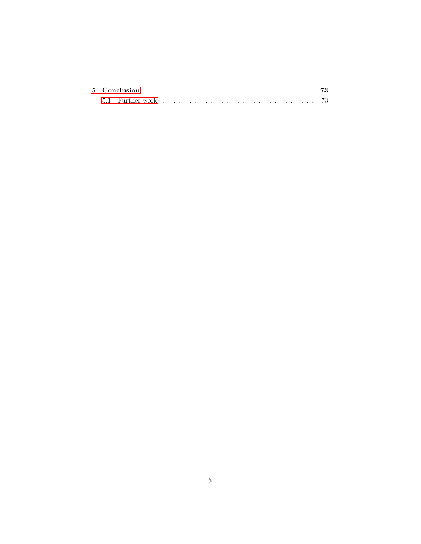|  | 5 Conclusion |  |  |  |  |  |  |  |  |  |  |  |  |  |  | 73 |
|--|--------------|--|--|--|--|--|--|--|--|--|--|--|--|--|--|----|
|  |              |  |  |  |  |  |  |  |  |  |  |  |  |  |  |    |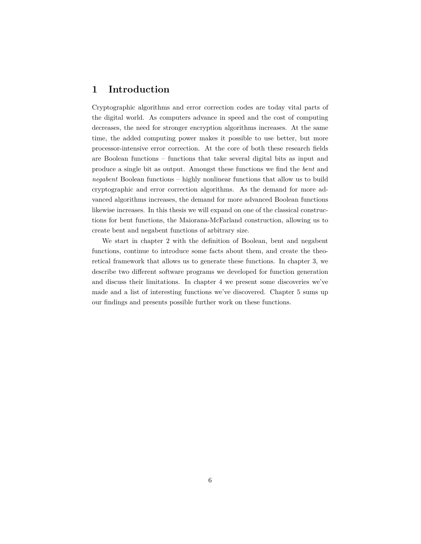### <span id="page-5-0"></span>**1 Introduction**

Cryptographic algorithms and error correction codes are today vital parts of the digital world. As computers advance in speed and the cost of computing decreases, the need for stronger encryption algorithms increases. At the same time, the added computing power makes it possible to use better, but more processor-intensive error correction. At the core of both these research fields are Boolean functions – functions that take several digital bits as input and produce a single bit as output. Amongst these functions we find the *bent* and *negabent* Boolean functions – highly nonlinear functions that allow us to build cryptographic and error correction algorithms. As the demand for more advanced algorithms increases, the demand for more advanced Boolean functions likewise increases. In this thesis we will expand on one of the classical constructions for bent functions, the Maiorana-McFarland construction, allowing us to create bent and negabent functions of arbitrary size.

We start in chapter 2 with the definition of Boolean, bent and negabent functions, continue to introduce some facts about them, and create the theoretical framework that allows us to generate these functions. In chapter 3, we describe two different software programs we developed for function generation and discuss their limitations. In chapter 4 we present some discoveries we've made and a list of interesting functions we've discovered. Chapter 5 sums up our findings and presents possible further work on these functions.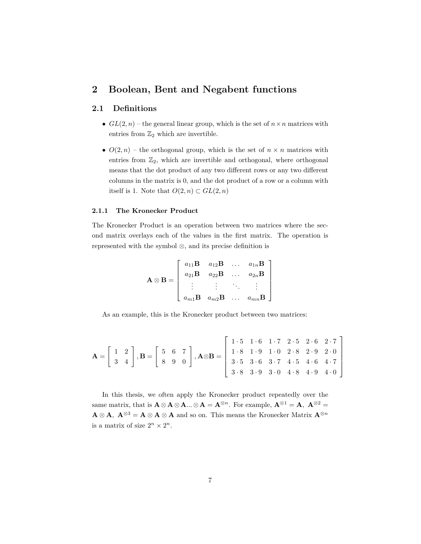### <span id="page-6-0"></span>**2 Boolean, Bent and Negabent functions**

### <span id="page-6-1"></span>**2.1 Definitions**

- $GL(2, n)$  the general linear group, which is the set of  $n \times n$  matrices with entries from  $\mathbb{Z}_2$  which are invertible.
- $O(2, n)$  the orthogonal group, which is the set of  $n \times n$  matrices with entries from  $\mathbb{Z}_2$ , which are invertible and orthogonal, where orthogonal means that the dot product of any two different rows or any two different columns in the matrix is 0, and the dot product of a row or a column with itself is 1. Note that  $O(2, n) \subset GL(2, n)$

#### <span id="page-6-2"></span>**2.1.1 The Kronecker Product**

The Kronecker Product is an operation between two matrices where the second matrix overlays each of the values in the first matrix. The operation is represented with the symbol ⊗, and its precise definition is

$$
\mathbf{A} \otimes \mathbf{B} = \left[ \begin{array}{cccc} a_{11} \mathbf{B} & a_{12} \mathbf{B} & \dots & a_{1n} \mathbf{B} \\ a_{21} \mathbf{B} & a_{22} \mathbf{B} & \dots & a_{2n} \mathbf{B} \\ \vdots & \vdots & \ddots & \vdots \\ a_{m1} \mathbf{B} & a_{m2} \mathbf{B} & \dots & a_{mn} \mathbf{B} \end{array} \right]
$$

As an example, this is the Kronecker product between two matrices:

$$
\mathbf{A} = \begin{bmatrix} 1 & 2 \\ 3 & 4 \end{bmatrix}, \mathbf{B} = \begin{bmatrix} 5 & 6 & 7 \\ 8 & 9 & 0 \end{bmatrix}, \mathbf{A} \otimes \mathbf{B} = \begin{bmatrix} 1 \cdot 5 & 1 \cdot 6 & 1 \cdot 7 & 2 \cdot 5 & 2 \cdot 6 & 2 \cdot 7 \\ 1 \cdot 8 & 1 \cdot 9 & 1 \cdot 0 & 2 \cdot 8 & 2 \cdot 9 & 2 \cdot 0 \\ 3 \cdot 5 & 3 \cdot 6 & 3 \cdot 7 & 4 \cdot 5 & 4 \cdot 6 & 4 \cdot 7 \\ 3 \cdot 8 & 3 \cdot 9 & 3 \cdot 0 & 4 \cdot 8 & 4 \cdot 9 & 4 \cdot 0 \end{bmatrix}
$$

In this thesis, we often apply the Kronecker product repeatedly over the same matrix, that is  $\mathbf{A} \otimes \mathbf{A} \otimes \mathbf{A} \dots \otimes \mathbf{A} = \mathbf{A}^{\otimes n}$ . For example,  $\mathbf{A}^{\otimes 1} = \mathbf{A}$ ,  $\mathbf{A}^{\otimes 2} =$ **A** ⊗ **A***,*  $\mathbf{A} \otimes \mathbf{3} = \mathbf{A} \otimes \mathbf{A} \otimes \mathbf{A}$  and so on. This means the Kronecker Matrix  $\mathbf{A}^{\otimes n}$ is a matrix of size  $2^n \times 2^n$ .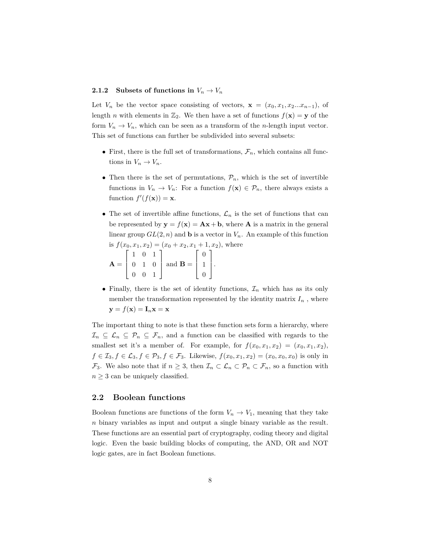### <span id="page-7-0"></span>**2.1.2** Subsets of functions in  $V_n \to V_n$

Let  $V_n$  be the vector space consisting of vectors,  $\mathbf{x} = (x_0, x_1, x_2...x_{n-1})$ , of length *n* with elements in  $\mathbb{Z}_2$ . We then have a set of functions  $f(\mathbf{x}) = \mathbf{y}$  of the form  $V_n \to V_n$ , which can be seen as a transform of the *n*-length input vector. This set of functions can further be subdivided into several subsets:

- First, there is the full set of transformations,  $\mathcal{F}_n$ , which contains all functions in  $V_n \to V_n$ .
- Then there is the set of permutations,  $\mathcal{P}_n$ , which is the set of invertible functions in  $V_n \to V_n$ : For a function  $f(\mathbf{x}) \in \mathcal{P}_n$ , there always exists a function  $f'(f(\mathbf{x})) = \mathbf{x}$ .
- The set of invertible affine functions,  $\mathcal{L}_n$  is the set of functions that can be represented by  $y = f(x) = Ax + b$ , where **A** is a matrix in the general linear group  $GL(2, n)$  and **b** is a vector in  $V_n$ . An example of this function is  $f(x_0, x_1, x_2) = (x_0 + x_2, x_1 + 1, x_2)$ , where  $\lceil$ 1

$$
\mathbf{A} = \begin{bmatrix} 1 & 0 & 1 \\ 0 & 1 & 0 \\ 0 & 0 & 1 \end{bmatrix} \text{ and } \mathbf{B} = \begin{bmatrix} 0 \\ 1 \\ 0 \end{bmatrix}.
$$

• Finally, there is the set of identity functions,  $\mathcal{I}_n$  which has as its only member the transformation represented by the identity matrix  $I_n$ , where  $y = f(x) = I_n x = x$ 

The important thing to note is that these function sets form a hierarchy, where  $\mathcal{I}_n \subseteq \mathcal{L}_n \subseteq \mathcal{P}_n \subseteq \mathcal{F}_n$ , and a function can be classified with regards to the smallest set it's a member of. For example, for  $f(x_0, x_1, x_2) = (x_0, x_1, x_2)$ , *f* ∈  $\mathcal{I}_3, f$  ∈  $\mathcal{L}_3, f$  ∈  $\mathcal{P}_3, f$  ∈  $\mathcal{F}_3$ . Likewise,  $f(x_0, x_1, x_2) = (x_0, x_0, x_0)$  is only in  $\mathcal{F}_3$ . We also note that if  $n \geq 3$ , then  $\mathcal{I}_n \subset \mathcal{L}_n \subset \mathcal{P}_n \subset \mathcal{F}_n$ , so a function with  $n \geq 3$  can be uniquely classified.

#### <span id="page-7-1"></span>**2.2 Boolean functions**

Boolean functions are functions of the form  $V_n \to V_1$ , meaning that they take *n* binary variables as input and output a single binary variable as the result. These functions are an essential part of cryptography, coding theory and digital logic. Even the basic building blocks of computing, the AND, OR and NOT logic gates, are in fact Boolean functions.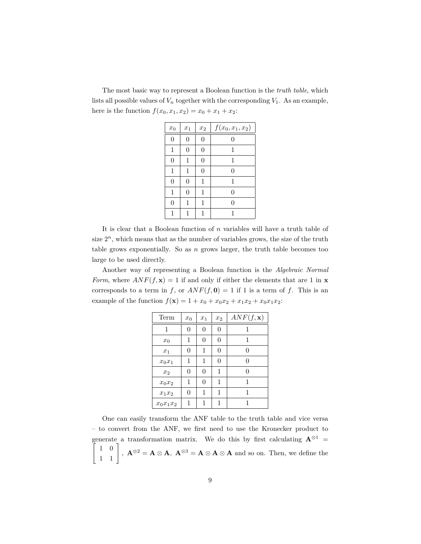The most basic way to represent a Boolean function is the *truth table*, which lists all possible values of  $V_n$  together with the corresponding  $V_1$ . As an example, here is the function  $f(x_0, x_1, x_2) = x_0 + x_1 + x_2$ :

| $x_0$          | $x_1$          | $\boldsymbol{x}_2$ | $f(x_0, x_1, x_2)$ |
|----------------|----------------|--------------------|--------------------|
| $\overline{0}$ | $\theta$       | 0                  | $\overline{0}$     |
| 1              | $\theta$       | 0                  | 1                  |
| 0              | 1              | 0                  | 1                  |
| 1              | 1              | 0                  | 0                  |
| 0              | $\overline{0}$ | 1                  | 1                  |
| 1              | 0              | 1                  | $\Omega$           |
| $\Omega$       | 1              | 1                  | 0                  |
|                |                |                    |                    |

It is clear that a Boolean function of *n* variables will have a truth table of size  $2^n$ , which means that as the number of variables grows, the size of the truth table grows exponentially. So as *n* grows larger, the truth table becomes too large to be used directly.

Another way of representing a Boolean function is the *Algebraic Normal Form*, where  $ANF(f, x) = 1$  if and only if either the elements that are 1 in x corresponds to a term in *f*, or  $ANF(f, 0) = 1$  if 1 is a term of *f*. This is an example of the function  $f(\mathbf{x}) = 1 + x_0 + x_0x_2 + x_1x_2 + x_0x_1x_2$ :

| Term        | $\boldsymbol{x}_0$ | $x_1$ | $\boldsymbol{x}_2$ | $ANF(f, \mathbf{x})$ |
|-------------|--------------------|-------|--------------------|----------------------|
| 1           | 0                  | 0     | 0                  | 1                    |
| $x_0$       | 1                  | 0     | 0                  | 1                    |
| $x_1$       | 0                  | 1     | 0                  | $\Omega$             |
| $x_0x_1$    | 1                  | 1     | 0                  | $\Omega$             |
| $x_2$       | 0                  | 0     | 1                  | $\Omega$             |
| $x_0x_2$    | 1                  | 0     | 1                  | 1                    |
| $x_1x_2$    | $\theta$           | 1     | 1                  | 1                    |
| $x_0x_1x_2$ | 1                  | 1     | 1                  | 1                    |
|             |                    |       |                    |                      |

One can easily transform the ANF table to the truth table and vice versa – to convert from the ANF, we first need to use the Kronecker product to  $\lceil$ generate a transformation matrix. We do this by first calculating  $A^{\otimes 1}$  =  $\begin{bmatrix} 1 & 0 \\ 1 & 1 \end{bmatrix}$ ,  $\mathbf{A}^{\otimes 2} = \mathbf{A} \otimes \mathbf{A}$ ,  $\mathbf{A}^{\otimes 3} = \mathbf{A} \otimes \mathbf{A} \otimes \mathbf{A}$  and so on. Then, we define the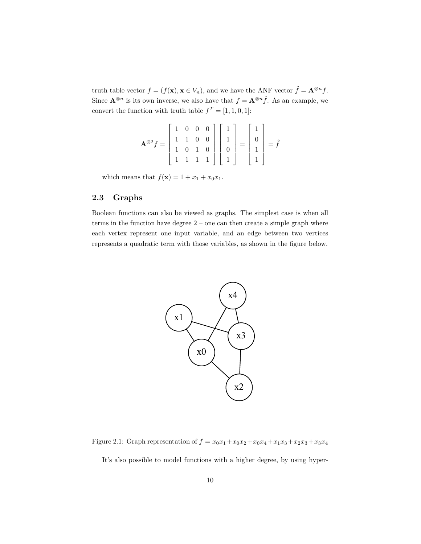truth table vector  $f = (f(\mathbf{x}), \mathbf{x} \in V_n)$ , and we have the ANF vector  $\hat{f} = \mathbf{A}^{\otimes n} f$ . Since  $\mathbf{A}^{\otimes n}$  is its own inverse, we also have that  $f = \mathbf{A}^{\otimes n} \hat{f}$ . As an example, we convert the function with truth table  $f^T = [1, 1, 0, 1]$ :

$$
\mathbf{A}^{\otimes 2} f = \begin{bmatrix} 1 & 0 & 0 & 0 \\ 1 & 1 & 0 & 0 \\ 1 & 0 & 1 & 0 \\ 1 & 1 & 1 & 1 \end{bmatrix} \begin{bmatrix} 1 \\ 1 \\ 0 \\ 1 \end{bmatrix} = \begin{bmatrix} 1 \\ 0 \\ 1 \\ 1 \end{bmatrix} = \hat{f}
$$

which means that  $f(\mathbf{x}) = 1 + x_1 + x_0 x_1$ .

### <span id="page-9-0"></span>**2.3 Graphs**

Boolean functions can also be viewed as graphs. The simplest case is when all terms in the function have degree 2 – one can then create a simple graph where each vertex represent one input variable, and an edge between two vertices represents a quadratic term with those variables, as shown in the figure below.



Figure 2.1: Graph representation of  $f = x_0x_1 + x_0x_2 + x_0x_4 + x_1x_3 + x_2x_3 + x_3x_4$ 

It's also possible to model functions with a higher degree, by using hyper-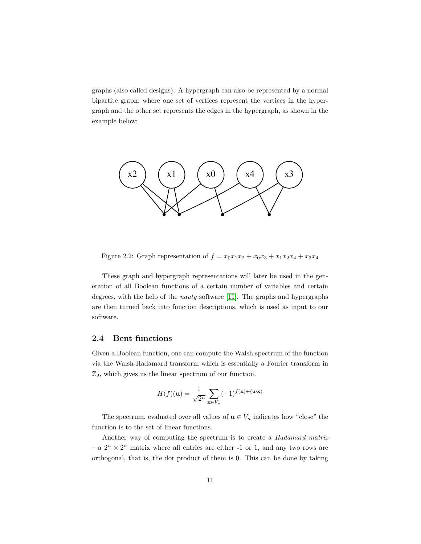graphs (also called designs). A hypergraph can also be represented by a normal bipartite graph, where one set of vertices represent the vertices in the hypergraph and the other set represents the edges in the hypergraph, as shown in the example below:



Figure 2.2: Graph representation of  $f = x_0x_1x_2 + x_0x_3 + x_1x_2x_4 + x_3x_4$ 

These graph and hypergraph representations will later be used in the generation of all Boolean functions of a certain number of variables and certain degrees, with the help of the *nauty* software [\[11\]](#page-75-0). The graphs and hypergraphs are then turned back into function descriptions, which is used as input to our software.

### <span id="page-10-0"></span>**2.4 Bent functions**

Given a Boolean function, one can compute the Walsh spectrum of the function via the Walsh-Hadamard transform which is essentially a Fourier transform in  $\mathbb{Z}_2$ , which gives us the linear spectrum of our function.

$$
H(f)(\mathbf{u}) = \frac{1}{\sqrt{2^n}} \sum_{\mathbf{x} \in V_n} (-1)^{f(\mathbf{x}) + (\mathbf{u} \cdot \mathbf{x})}
$$

The spectrum, evaluated over all values of  $\mathbf{u} \in V_n$  indicates how "close" the function is to the set of linear functions.

Another way of computing the spectrum is to create a *Hadamard matrix*  $-$  a  $2^n \times 2^n$  matrix where all entries are either -1 or 1, and any two rows are orthogonal, that is, the dot product of them is 0. This can be done by taking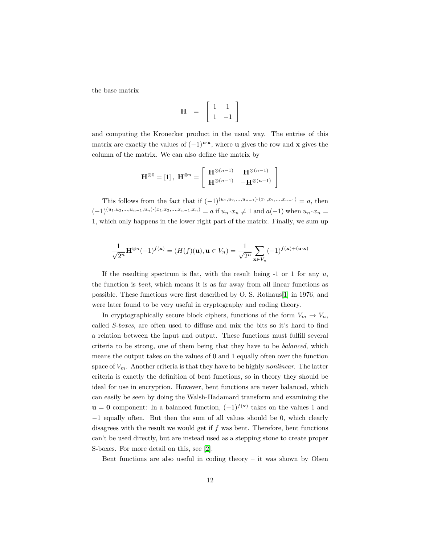the base matrix

$$
\mathbf{H} = \begin{bmatrix} 1 & 1 \\ 1 & -1 \end{bmatrix}
$$

and computing the Kronecker product in the usual way. The entries of this matrix are exactly the values of  $(-1)^{u \cdot x}$ , where **u** gives the row and **x** gives the column of the matrix. We can also define the matrix by

$$
\mathbf{H}^{\otimes 0} = [1], \ \mathbf{H}^{\otimes n} = \left[ \begin{array}{cc} \mathbf{H}^{\otimes (n-1)} & \mathbf{H}^{\otimes (n-1)} \\ \mathbf{H}^{\otimes (n-1)} & -\mathbf{H}^{\otimes (n-1)} \end{array} \right]
$$

This follows from the fact that if  $(-1)^{(u_1, u_2, ..., u_{n-1}) \cdot (x_1, x_2, ..., x_{n-1})} = a$ , then  $(-1)^{(u_1,u_2,...,u_{n-1},u_n)\cdot(x_1,x_2,...,x_{n-1},x_n)} = a$  if  $u_n \cdot x_n \neq 1$  and  $a(-1)$  when  $u_n \cdot x_n =$ 1, which only happens in the lower right part of the matrix. Finally, we sum up

$$
\frac{1}{\sqrt{2^n}} \mathbf{H}^{\otimes n}(-1)^{f(\mathbf{x})} = (H(f)(\mathbf{u}), \mathbf{u} \in V_n) = \frac{1}{\sqrt{2^n}} \sum_{\mathbf{x} \in V_n} (-1)^{f(\mathbf{x}) + (\mathbf{u} \cdot \mathbf{x})}
$$

If the resulting spectrum is flat, with the result being -1 or 1 for any *u*, the function is *bent*, which means it is as far away from all linear functions as possible. These functions were first described by O. S. Rothaus[\[1\]](#page-74-0) in 1976, and were later found to be very useful in cryptography and coding theory.

In cryptographically secure block ciphers, functions of the form  $V_m \to V_n$ , called *S-boxes*, are often used to diffuse and mix the bits so it's hard to find a relation between the input and output. These functions must fulfill several criteria to be strong, one of them being that they have to be *balanced*, which means the output takes on the values of 0 and 1 equally often over the function space of *Vm*. Another criteria is that they have to be highly *nonlinear*. The latter criteria is exactly the definition of bent functions, so in theory they should be ideal for use in encryption. However, bent functions are never balanced, which can easily be seen by doing the Walsh-Hadamard transform and examining the  $\mathbf{u} = \mathbf{0}$  component: In a balanced function,  $(-1)^{f(\mathbf{x})}$  takes on the values 1 and −1 equally often. But then the sum of all values should be 0, which clearly disagrees with the result we would get if *f* was bent. Therefore, bent functions can't be used directly, but are instead used as a stepping stone to create proper S-boxes. For more detail on this, see [\[2\]](#page-74-1).

Bent functions are also useful in coding theory  $-$  it was shown by Olsen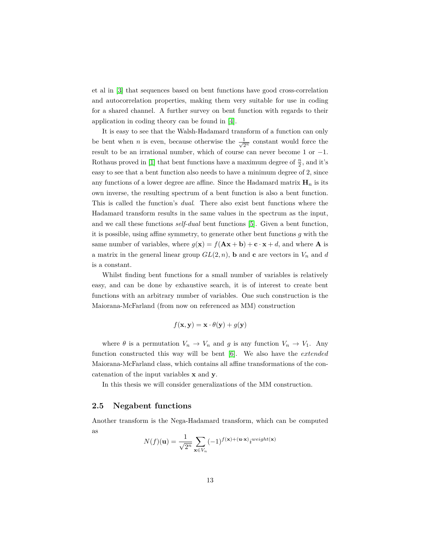et al in [\[3\]](#page-74-2) that sequences based on bent functions have good cross-correlation and autocorrelation properties, making them very suitable for use in coding for a shared channel. A further survey on bent function with regards to their application in coding theory can be found in [\[4\]](#page-74-3).

It is easy to see that the Walsh-Hadamard transform of a function can only be bent when *n* is even, because otherwise the  $\frac{1}{\sqrt{2}}$  $\frac{1}{2^n}$  constant would force the result to be an irrational number, which of course can never become 1 or −1. Rothaus proved in [\[1\]](#page-74-0) that bent functions have a maximum degree of  $\frac{n}{2}$ , and it's easy to see that a bent function also needs to have a minimum degree of 2, since any functions of a lower degree are affine. Since the Hadamard matrix  $\mathbf{H}_n$  is its own inverse, the resulting spectrum of a bent function is also a bent function. This is called the function's *dual*. There also exist bent functions where the Hadamard transform results in the same values in the spectrum as the input, and we call these functions *self-dual* bent functions [\[5\]](#page-74-4). Given a bent function, it is possible, using affine symmetry, to generate other bent functions *g* with the same number of variables, where  $g(\mathbf{x}) = f(\mathbf{A}\mathbf{x} + \mathbf{b}) + \mathbf{c} \cdot \mathbf{x} + d$ , and where **A** is a matrix in the general linear group  $GL(2, n)$ , **b** and **c** are vectors in  $V_n$  and *d* is a constant.

Whilst finding bent functions for a small number of variables is relatively easy, and can be done by exhaustive search, it is of interest to create bent functions with an arbitrary number of variables. One such construction is the Maiorana-McFarland (from now on referenced as MM) construction

$$
f(\mathbf{x}, \mathbf{y}) = \mathbf{x} \cdot \theta(\mathbf{y}) + g(\mathbf{y})
$$

where  $\theta$  is a permutation  $V_n \to V_n$  and  $g$  is any function  $V_n \to V_1$ . Any function constructed this way will be bent [\[6\]](#page-74-5). We also have the *extended* Maiorana-McFarland class, which contains all affine transformations of the concatenation of the input variables **x** and **y**.

In this thesis we will consider generalizations of the MM construction.

### <span id="page-12-0"></span>**2.5 Negabent functions**

Another transform is the Nega-Hadamard transform, which can be computed as

$$
N(f)(\mathbf{u}) = \frac{1}{\sqrt{2^n}} \sum_{\mathbf{x} \in V_n} (-1)^{f(\mathbf{x}) + (\mathbf{u} \cdot \mathbf{x})} i^{weight(\mathbf{x})}
$$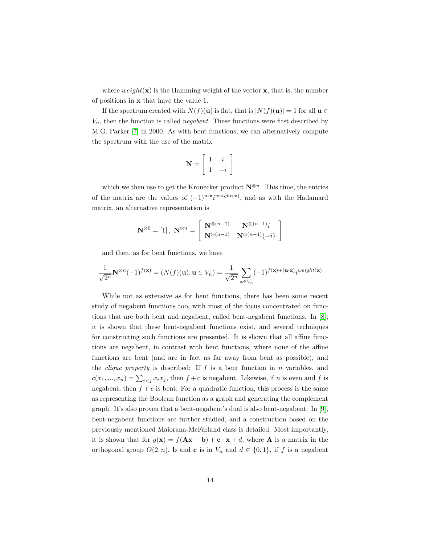where  $weight(\mathbf{x})$  is the Hamming weight of the vector  $\mathbf{x}$ , that is, the number of positions in **x** that have the value 1.

If the spectrum created with  $N(f)(\mathbf{u})$  is flat, that is  $|N(f)(\mathbf{u})| = 1$  for all  $\mathbf{u} \in$ *Vn*, then the function is called *negabent*. These functions were first described by M.G. Parker [\[7\]](#page-74-6) in 2000. As with bent functions, we can alternatively compute the spectrum with the use of the matrix

$$
\mathbf{N} = \left[ \begin{array}{cc} 1 & i \\ 1 & -i \end{array} \right]
$$

which we then use to get the Kronecker product  $\mathbf{N}^{\otimes n}$ . This time, the entries of the matrix are the values of  $(-1)^{u \cdot x} i^{weight(x)}$ , and as with the Hadamard matrix, an alternative representation is

$$
\mathbf{N}^{\otimes 0} = [1], \ \mathbf{N}^{\otimes n} = \left[ \begin{array}{cc} \mathbf{N}^{\otimes (n-1)} & \mathbf{N}^{\otimes (n-1)}i \\ \mathbf{N}^{\otimes (n-1)} & \mathbf{N}^{\otimes (n-1)}(-i) \end{array} \right]
$$

and then, as for bent functions, we have

$$
\frac{1}{\sqrt{2^n}} {\mathbf{N}}^{\otimes n}(-1)^{f({\mathbf x})} = (N(f)({\mathbf u}), {\mathbf u} \in V_n) = \frac{1}{\sqrt{2^n}} \sum_{{\mathbf x} \in V_n} (-1)^{f({\mathbf x}) + ({\mathbf u} \cdot {\mathbf x})} i^{weight({\mathbf x})}
$$

While not as extensive as for bent functions, there has been some recent study of negabent functions too, with most of the focus concentrated on functions that are both bent and negabent, called bent-negabent functions. In [\[8\]](#page-74-7), it is shown that these bent-negabent functions exist, and several techniques for constructing such functions are presented. It is shown that all affine functions are negabent, in contrast with bent functions, where none of the affine functions are bent (and are in fact as far away from bent as possible), and the *clique property* is described: If *f* is a bent function in *n* variables, and  $c(x_1, ..., x_n) = \sum_{i < j} x_i x_j$ , then  $f + c$  is negabent. Likewise, if *n* is even and *f* is negabent, then  $f + c$  is bent. For a quadratic function, this process is the same as representing the Boolean function as a graph and generating the complement graph. It's also proven that a bent-negabent's dual is also bent-negabent. In [\[9\]](#page-74-8), bent-negabent functions are further studied, and a construction based on the previously mentioned Maiorana-McFarland class is detailed. Most importantly, it is shown that for  $g(\mathbf{x}) = f(\mathbf{A}\mathbf{x} + \mathbf{b}) + \mathbf{c} \cdot \mathbf{x} + d$ , where **A** is a matrix in the orthogonal group  $O(2, n)$ , **b** and **c** is in  $V_n$  and  $d \in \{0, 1\}$ , if f is a negabent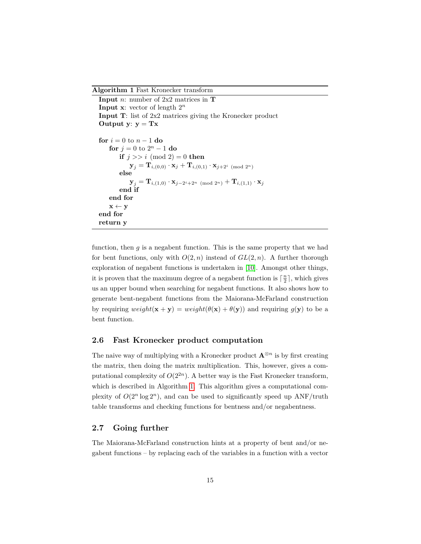<span id="page-14-2"></span>**Algorithm 1** Fast Kronecker transform

```
Input n: number of 2x2 matrices in T
Input x: vector of length 2
n
Input T: list of 2x2 matrices giving the Kronecker product
Output y: y = Txfor i = 0 to n - 1 do
     for j = 0 to 2^n - 1 do
          if j \gg i \pmod{2} = 0 then
              \mathbf{y}_j = \mathbf{T}_{i,(0,0)} \cdot \mathbf{x}_j + \mathbf{T}_{i,(0,1)} \cdot \mathbf{x}_{j+2^i \pmod{2^n}}else
               \mathbf{y}_j = \mathbf{T}_{i,(1,0)} \cdot \mathbf{x}_{j-2^i+2^n \pmod{2^n}} + \mathbf{T}_{i,(1,1)} \cdot \mathbf{x}_jend if
     end for
     \mathbf{x} \leftarrow \mathbf{y}end for
return y
```
function, then *g* is a negabent function. This is the same property that we had for bent functions, only with  $O(2, n)$  instead of  $GL(2, n)$ . A further thorough exploration of negabent functions is undertaken in [\[10\]](#page-74-9). Amongst other things, it is proven that the maximum degree of a negabent function is  $\lceil \frac{n}{2} \rceil$ , which gives us an upper bound when searching for negabent functions. It also shows how to generate bent-negabent functions from the Maiorana-McFarland construction by requiring  $weight(\mathbf{x} + \mathbf{y}) = weight(\theta(\mathbf{x}) + \theta(\mathbf{y}))$  and requiring  $g(\mathbf{y})$  to be a bent function.

### <span id="page-14-0"></span>**2.6 Fast Kronecker product computation**

The naive way of multiplying with a Kronecker product  $\mathbf{A}^{\otimes n}$  is by first creating the matrix, then doing the matrix multiplication. This, however, gives a computational complexity of  $O(2^{2n})$ . A better way is the Fast Kronecker transform, which is described in Algorithm [1.](#page-14-2) This algorithm gives a computational complexity of  $O(2^n \log 2^n)$ , and can be used to significantly speed up ANF/truth table transforms and checking functions for bentness and/or negabentness.

### <span id="page-14-1"></span>**2.7 Going further**

The Maiorana-McFarland construction hints at a property of bent and/or negabent functions – by replacing each of the variables in a function with a vector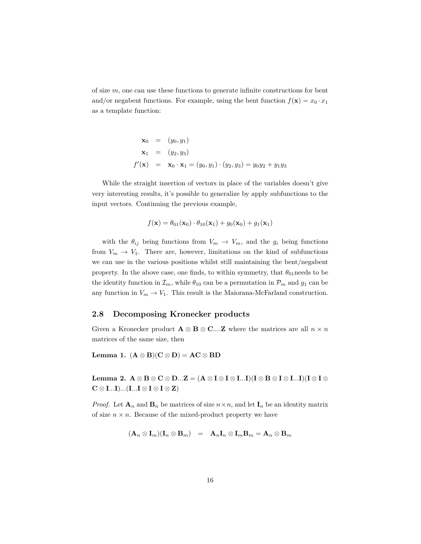of size *m*, one can use these functions to generate infinite constructions for bent and/or negabent functions. For example, using the bent function  $f(\mathbf{x}) = x_0 \cdot x_1$ as a template function:

$$
\mathbf{x}_0 = (y_0, y_1) \n\mathbf{x}_1 = (y_2, y_3) \n f'(\mathbf{x}) = \mathbf{x}_0 \cdot \mathbf{x}_1 = (y_0, y_1) \cdot (y_2, y_3) = y_0 y_2 + y_1 y_3
$$

While the straight insertion of vectors in place of the variables doesn't give very interesting results, it's possible to generalize by apply subfunctions to the input vectors. Continuing the previous example,

$$
f(\mathbf{x}) = \theta_{01}(\mathbf{x}_0) \cdot \theta_{10}(\mathbf{x}_1) + g_0(\mathbf{x}_0) + g_1(\mathbf{x}_1)
$$

with the  $\theta_{ij}$  being functions from  $V_m \to V_m$ , and the  $g_i$  being functions from  $V_m \to V_1$ . There are, however, limitations on the kind of subfunctions we can use in the various positions whilst still maintaining the bent/negabent property. In the above case, one finds, to within symmetry, that  $\theta_{01}$  needs to be the identity function in  $\mathcal{I}_m$ , while  $\theta_{10}$  can be a permutation in  $\mathcal{P}_m$  and  $g_1$  can be any function in  $V_m \to V_1$ . This result is the Maiorana-McFarland construction.

### <span id="page-15-0"></span>**2.8 Decomposing Kronecker products**

Given a Kronecker product  $\mathbf{A} \otimes \mathbf{B} \otimes \mathbf{C}$ ....**Z** where the matrices are all  $n \times n$ matrices of the same size, then

**Lemma 1.**  $(A \otimes B)(C \otimes D) = AC \otimes BD$ 

**Lemma 2.**  $A \otimes B \otimes C \otimes D...Z = (A \otimes I \otimes I \otimes I...I)(I \otimes B \otimes I \otimes I...I)(I \otimes I \otimes I...I)$ **C** ⊗ **I***...***I**)*...*(**I***...***I** ⊗ **I** ⊗ **I** ⊗ **Z**)

*Proof.* Let  $\mathbf{A}_n$  and  $\mathbf{B}_n$  be matrices of size  $n \times n$ , and let  $\mathbf{I}_n$  be an identity matrix of size  $n \times n$ . Because of the mixed-product property we have

$$
(\mathbf{A}_n \otimes \mathbf{I}_m)(\mathbf{I}_n \otimes \mathbf{B}_m) \;\; = \;\; \mathbf{A}_n \mathbf{I}_n \otimes \mathbf{I}_m \mathbf{B}_m = \mathbf{A}_n \otimes \mathbf{B}_m
$$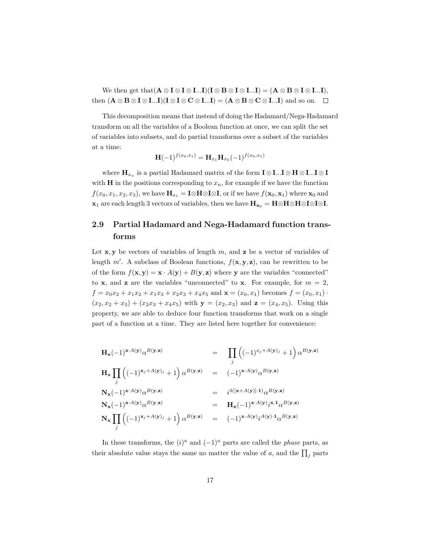We then get that  $(\mathbf{A} \otimes \mathbf{I} \otimes \mathbf{I} \otimes \mathbf{I} \ldots \mathbf{I})(\mathbf{I} \otimes \mathbf{B} \otimes \mathbf{I} \otimes \mathbf{I} \ldots \mathbf{I}) = (\mathbf{A} \otimes \mathbf{B} \otimes \mathbf{I} \otimes \mathbf{I} \ldots \mathbf{I}),$ **then**  $(A \otimes B \otimes I \otimes I...I)(I \otimes I \otimes C \otimes I...I) = (A \otimes B \otimes C \otimes I...I)$  and so on. □

This decomposition means that instead of doing the Hadamard/Nega-Hadamard transform on all the variables of a Boolean function at once, we can split the set of variables into subsets, and do partial transforms over a subset of the variables at a time:

$$
\mathbf{H}(-1)^{f(x_0,x_1)} = \mathbf{H}_{x_1}\mathbf{H}_{x_0}(-1)^{f(x_0,x_1)}
$$

where  $\mathbf{H}_{x_n}$  is a partial Hadamard matrix of the form  $\mathbf{I} \otimes \mathbf{I}$ *...***I** $\otimes \mathbf{H} \otimes \mathbf{I}$ *...***I** $\otimes \mathbf{I}$ with **H** in the positions corresponding to  $x_n$ , for example if we have the function *f*(*x*<sub>0</sub>*, x*<sub>1</sub>*, x*<sub>2</sub>*, x*<sub>3</sub>), we have  $\mathbf{H}_{x_1} = \mathbf{I} ⊗ \mathbf{H} ⊗ \mathbf{I} ⊗ \mathbf{I}$ , or if we have  $f(\mathbf{x}_0, \mathbf{x}_1)$  where  $\mathbf{x}_0$  and **x**<sub>1</sub> are each length 3 vectors of variables, then we have  $\mathbf{H}_{\mathbf{x}_0} = \mathbf{H} \otimes \mathbf{H} \otimes \mathbf{H} \otimes \mathbf{I} \otimes \mathbf{I}$ .

### <span id="page-16-0"></span>**2.9 Partial Hadamard and Nega-Hadamard function transforms**

Let **x***,* **y** be vectors of variables of length *m*, and **z** be a vector of variables of length  $m'$ . A subclass of Boolean functions,  $f(\mathbf{x}, \mathbf{y}, \mathbf{z})$ , can be rewritten to be of the form  $f(\mathbf{x}, \mathbf{y}) = \mathbf{x} \cdot A(\mathbf{y}) + B(\mathbf{y}, \mathbf{z})$  where **y** are the variables "connected" to **x**, and **z** are the variables "unconnected" to **x**. For example, for  $m = 2$ ,  $f = x_0x_2 + x_1x_2 + x_1x_3 + x_2x_3 + x_4x_5$  and  $\mathbf{x} = (x_0, x_1)$  becomes  $f = (x_0, x_1)$ .  $(x_2, x_2 + x_3) + (x_2x_3 + x_4x_5)$  with  $y = (x_2, x_3)$  and  $z = (x_4, x_5)$ . Using this property, we are able to deduce four function transforms that work on a single part of a function at a time. They are listed here together for convenience:

$$
\mathbf{H}_{\mathbf{x}}(-1)^{\mathbf{x}\cdot A(\mathbf{y})}\alpha^{B(\mathbf{y},\mathbf{z})} = \prod_{j} \left( (-1)^{x_{j}+A(\mathbf{y})_{j}} + 1 \right) \alpha^{B(\mathbf{y},\mathbf{z})}
$$
\n
$$
\mathbf{H}_{\mathbf{x}} \prod_{j} \left( (-1)^{\mathbf{x}_{j}+A(\mathbf{y})_{j}} + 1 \right) \alpha^{B(\mathbf{y},\mathbf{z})} = (-1)^{\mathbf{x}\cdot A(\mathbf{y})}\alpha^{B(\mathbf{y},\mathbf{z})}
$$
\n
$$
\mathbf{N}_{\mathbf{x}}(-1)^{\mathbf{x}\cdot A(\mathbf{y})}\alpha^{B(\mathbf{y},\mathbf{z})} = i^{3([\mathbf{x}+A(\mathbf{y})]\cdot 1)}\alpha^{B(\mathbf{y},\mathbf{z})}
$$
\n
$$
\mathbf{N}_{\mathbf{x}}(-1)^{\mathbf{x}\cdot A(\mathbf{y})}\alpha^{B(\mathbf{y},\mathbf{z})} = \mathbf{H}_{\mathbf{x}}(-1)^{\mathbf{x}\cdot A(\mathbf{y})}i^{\mathbf{x}\cdot 1}\alpha^{B(\mathbf{y},\mathbf{z})}
$$
\n
$$
\mathbf{N}_{\mathbf{x}} \prod_{j} \left( (-1)^{\mathbf{x}_{j}+A(\mathbf{y})_{j}} + 1 \right) \alpha^{B(\mathbf{y},\mathbf{z})} = (-1)^{\mathbf{x}\cdot A(\mathbf{y})}i^{A(\mathbf{y})\cdot 1}\alpha^{B(\mathbf{y},\mathbf{z})}
$$

In these transforms, the  $(i)^a$  and  $(-1)^a$  parts are called the *phase* parts, as their absolute value stays the same no matter the value of  $a$ , and the  $\prod_j$  parts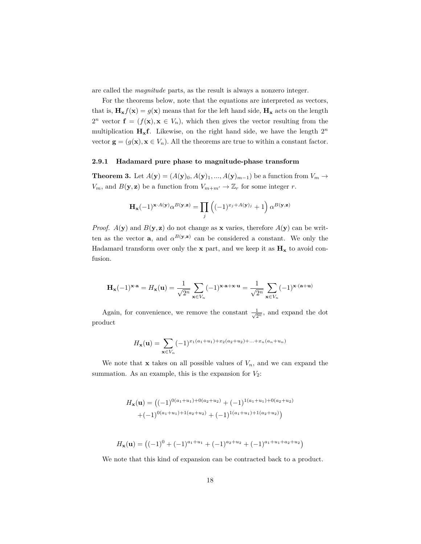are called the *magnitude* parts, as the result is always a nonzero integer.

For the theorems below, note that the equations are interpreted as vectors, that is,  $\mathbf{H}_{\mathbf{x}} f(\mathbf{x}) = g(\mathbf{x})$  means that for the left hand side,  $\mathbf{H}_{\mathbf{x}}$  acts on the length  $2^n$  vector  $f = (f(x), x \in V_n)$ , which then gives the vector resulting from the multiplication **Hxf**. Likewise, on the right hand side, we have the length 2 *n* vector  $\mathbf{g} = (g(\mathbf{x}), \mathbf{x} \in V_n)$ . All the theorems are true to within a constant factor.

#### <span id="page-17-0"></span>**2.9.1 Hadamard pure phase to magnitude-phase transform**

**Theorem 3.** Let  $A(\mathbf{y}) = (A(\mathbf{y})_0, A(\mathbf{y})_1, ..., A(\mathbf{y})_{m-1})$  be a function from  $V_m \to$ *V<sub>m</sub>*, and  $B(\mathbf{y}, \mathbf{z})$  be a function from  $V_{m+m'} \to \mathbb{Z}_r$  for some integer *r*.

$$
\mathbf{H}_{\mathbf{x}}(-1)^{\mathbf{x}\cdot A(\mathbf{y})}\alpha^{B(\mathbf{y},\mathbf{z})} = \prod_j \left( (-1)^{x_j+A(\mathbf{y})_j} + 1 \right) \alpha^{B(\mathbf{y},\mathbf{z})}
$$

*Proof.*  $A(y)$  and  $B(y, z)$  do not change as **x** varies, therefore  $A(y)$  can be written as the vector **a**, and  $\alpha^{B(y,z)}$  can be considered a constant. We only the Hadamard transform over only the  $\mathbf x$  part, and we keep it as  $\mathbf H_{\mathbf x}$  to avoid confusion.

$$
\mathbf{H}_{\mathbf{x}}(-1)^{\mathbf{x}\cdot\mathbf{a}} = H_{\mathbf{x}}(\mathbf{u}) = \frac{1}{\sqrt{2^n}} \sum_{\mathbf{x}\in V_n} (-1)^{\mathbf{x}\cdot\mathbf{a} + \mathbf{x}\cdot\mathbf{u}} = \frac{1}{\sqrt{2^n}} \sum_{\mathbf{x}\in V_n} (-1)^{\mathbf{x}\cdot(\mathbf{a} + \mathbf{u})}
$$

Again, for convenience, we remove the constant  $\frac{1}{\sqrt{6}}$  $\frac{1}{2^n}$ , and expand the dot product

$$
H_{\mathbf{x}}(\mathbf{u}) = \sum_{\mathbf{x} \in V_n} (-1)^{x_1(a_1 + u_1) + x_2(a_2 + u_2) + \dots + x_n(a_n + u_n)}
$$

We note that **x** takes on all possible values of  $V_n$ , and we can expand the summation. As an example, this is the expansion for  $V_2$ :

$$
H_{\mathbf{x}}(\mathbf{u}) = ((-1)^{0(a_1+u_1)+0(a_2+u_2)} + (-1)^{1(a_1+u_1)+0(a_2+u_2)}
$$
  
+  $(-1)^{0(a_1+u_1)+1(a_2+u_2)} + (-1)^{1(a_1+u_1)+1(a_2+u_2)}$ )

$$
H_{\mathbf{x}}(\mathbf{u}) = \left( (-1)^0 + (-1)^{a_1 + u_1} + (-1)^{a_2 + u_2} + (-1)^{a_1 + u_1 + a_2 + u_2} \right)
$$

We note that this kind of expansion can be contracted back to a product.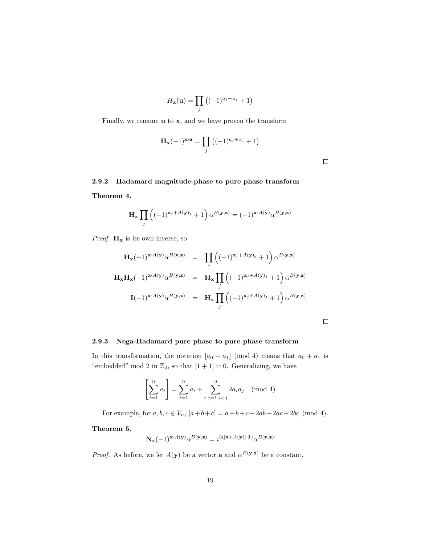$$
H_{\mathbf{x}}(\mathbf{u}) = \prod_{j} \left( (-1)^{a_j + u_j} + 1 \right)
$$

Finally, we rename **u** to **x**, and we have proven the transform

$$
\mathbf{H}_{\mathbf{x}}(-1)^{\mathbf{x}\cdot\mathbf{a}} = \prod_{j} \left( (-1)^{a_j + x_j} + 1 \right)
$$

### <span id="page-18-0"></span>**2.9.2 Hadamard magnitude-phase to pure phase transform**

**Theorem 4.**

$$
\mathbf{H}_{\mathbf{x}} \prod_{j} \left( (-1)^{\mathbf{x}_{j} + A(\mathbf{y})_{j}} + 1 \right) \alpha^{B(\mathbf{y}, \mathbf{z})} = (-1)^{\mathbf{x} \cdot A(\mathbf{y})} \alpha^{B(\mathbf{y}, \mathbf{z})}
$$

*Proof.*  $H_x$  is its own inverse, so

$$
\mathbf{H}_{\mathbf{x}}(-1)^{\mathbf{x}\cdot A(\mathbf{y})}\alpha^{B(\mathbf{y},\mathbf{z})} = \prod_{j} \left( (-1)^{\mathbf{x}_{j}+A(\mathbf{y})_{j}} + 1 \right) \alpha^{B(\mathbf{y},\mathbf{z})}
$$

$$
\mathbf{H}_{\mathbf{x}}\mathbf{H}_{\mathbf{x}}(-1)^{\mathbf{x}\cdot A(\mathbf{y})}\alpha^{B(\mathbf{y},\mathbf{z})} = \mathbf{H}_{\mathbf{x}}\prod_{j} \left( (-1)^{\mathbf{x}_{j}+A(\mathbf{y})_{j}} + 1 \right) \alpha^{B(\mathbf{y},\mathbf{z})}
$$

$$
\mathbf{I}(-1)^{\mathbf{x}\cdot A(\mathbf{y})}\alpha^{B(\mathbf{y},\mathbf{z})} = \mathbf{H}_{\mathbf{x}}\prod_{j} \left( (-1)^{\mathbf{x}_{j}+A(\mathbf{y})_{j}} + 1 \right) \alpha^{B(\mathbf{y},\mathbf{z})}
$$

### <span id="page-18-1"></span>**2.9.3 Nega-Hadamard pure phase to pure phase transform**

In this transformation, the notation  $[a_0 + a_1] \pmod{4}$  means that  $a_0 + a_1$  is "embedded" mod 2 in  $\mathbb{Z}_4$ , so that  $[1 + 1] = 0$ . Generalizing, we have

$$
\left[\sum_{i=1}^{n} a_i\right] = \sum_{i=1}^{n} a_i + \sum_{i,j=1, i
$$

For example, for  $a, b, c \in V_n$ ,  $[a+b+c] = a+b+c+2ab+2ac+2bc \pmod{4}$ .

**Theorem 5.**

$$
\mathbf{N}_{\mathbf{x}}(-1)^{\mathbf{x}\cdot A(\mathbf{y})}\alpha^{B(\mathbf{y},\mathbf{z})} = i^{3([\mathbf{x}+A(\mathbf{y})]\cdot \mathbf{1})}\alpha^{B(\mathbf{y},\mathbf{z})}
$$

*Proof.* As before, we let  $A(y)$  be a vector **a** and  $\alpha^{B(y,z)}$  be a constant.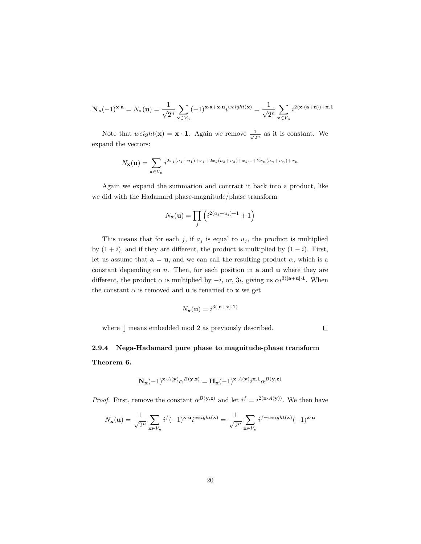$$
\mathbf{N_x}(-1)^{\mathbf{x}\cdot\mathbf{a}}=N_\mathbf{x}(\mathbf{u})=\frac{1}{\sqrt{2^n}}\sum_{\mathbf{x}\in V_n}(-1)^{\mathbf{x}\cdot\mathbf{a}+\mathbf{x}\cdot\mathbf{u}}i^{weight(\mathbf{x})}=\frac{1}{\sqrt{2^n}}\sum_{\mathbf{x}\in V_n}i^{2(\mathbf{x}\cdot(\mathbf{a}+\mathbf{u}))+\mathbf{x}\cdot\mathbf{1}}
$$

Note that  $weight(\mathbf{x}) = \mathbf{x} \cdot \mathbf{1}$ . Again we remove  $\frac{1}{\sqrt{2}}$  $\frac{1}{2^n}$  as it is constant. We expand the vectors:

$$
N_{\mathbf{x}}(\mathbf{u}) = \sum_{\mathbf{x} \in V_n} i^{2x_1(a_1 + u_1) + x_1 + 2x_2(a_2 + u_2) + x_2 \dots + 2x_n(a_n + u_n) + x_n}
$$

Again we expand the summation and contract it back into a product, like we did with the Hadamard phase-magnitude/phase transform

$$
N_{\mathbf{x}}(\mathbf{u}) = \prod_{j} \left( i^{2(a_j + u_j) + 1} + 1 \right)
$$

This means that for each  $j$ , if  $a_j$  is equal to  $u_j$ , the product is multiplied by  $(1 + i)$ , and if they are different, the product is multiplied by  $(1 - i)$ . First, let us assume that  $\mathbf{a} = \mathbf{u}$ , and we can call the resulting product  $\alpha$ , which is a constant depending on *n*. Then, for each position in **a** and **u** where they are different, the product  $\alpha$  is multiplied by  $-i$ , or, 3*i*, giving us  $\alpha i^{3([\mathbf{a}+\mathbf{u}]\cdot\mathbf{1}}$ . When the constant  $\alpha$  is removed and **u** is renamed to **x** we get

$$
N_{\mathbf{x}}(\mathbf{u}) = i^{3([\mathbf{a}+\mathbf{x}]\cdot 1)}
$$

where [] means embedded mod 2 as previously described.

 $\Box$ 

### <span id="page-19-0"></span>**2.9.4 Nega-Hadamard pure phase to magnitude-phase transform Theorem 6.**

$$
\mathbf{N_x}(-1)^{\mathbf{x} \cdot A(\mathbf{y})} \alpha^{B(\mathbf{y},\mathbf{z})} = \mathbf{H_x}(-1)^{\mathbf{x} \cdot A(\mathbf{y})} i^{\mathbf{x}.1} \alpha^{B(\mathbf{y},\mathbf{z})}
$$

*Proof.* First, remove the constant  $\alpha^{B(y,z)}$  and let  $i^f = i^{2(x \cdot A(y))}$ . We then have

$$
N_{\mathbf{x}}(\mathbf{u}) = \frac{1}{\sqrt{2^n}} \sum_{\mathbf{x} \in V_n} i^f (-1)^{\mathbf{x} \cdot \mathbf{u}} i^{weight(\mathbf{x})} = \frac{1}{\sqrt{2^n}} \sum_{\mathbf{x} \in V_n} i^{f + weight(\mathbf{x})} (-1)^{\mathbf{x} \cdot \mathbf{u}}
$$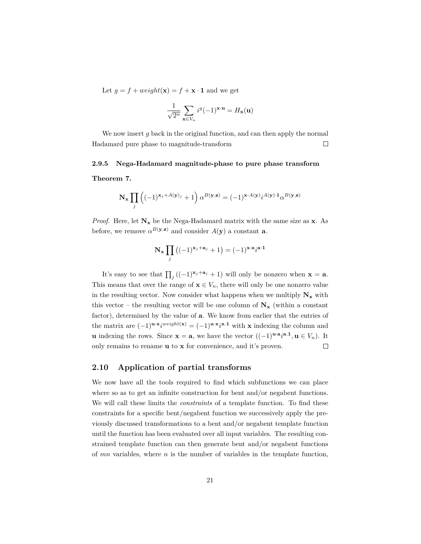Let  $g = f + weight(\mathbf{x}) = f + \mathbf{x} \cdot \mathbf{1}$  and we get

$$
\frac{1}{\sqrt{2^n}}\sum_{\mathbf{x}\in V_n}i^g(-1)^{\mathbf{x}\cdot\mathbf{u}}=H_\mathbf{x}(\mathbf{u})
$$

We now insert *g* back in the original function, and can then apply the normal Hadamard pure phase to magnitude-transform  $\Box$ 

#### <span id="page-20-0"></span>**2.9.5 Nega-Hadamard magnitude-phase to pure phase transform**

**Theorem 7.**

$$
\mathbf{N}_{\mathbf{x}} \prod_{j} \left( (-1)^{\mathbf{x}_{j} + A(\mathbf{y})_{j}} + 1 \right) \alpha^{B(\mathbf{y}, \mathbf{z})} = (-1)^{\mathbf{x} \cdot A(\mathbf{y})} i^{A(\mathbf{y}) \cdot 1} \alpha^{B(\mathbf{y}, \mathbf{z})}
$$

*Proof.* Here, let  $N_x$  be the Nega-Hadamard matrix with the same size as **x**. As before, we remove  $\alpha^{B(\mathbf{y},\mathbf{z})}$  and consider  $A(\mathbf{y})$  a constant **a**.

$$
\mathbf{N}_{\mathbf{x}} \prod_{j} \left( (-1)^{\mathbf{x}_j + \mathbf{a}_j} + 1 \right) = (-1)^{\mathbf{x} \cdot \mathbf{a}} i^{\mathbf{a} \cdot \mathbf{1}}
$$

It's easy to see that  $\prod_j ((-1)^{x_j + a_j} + 1)$  will only be nonzero when  $\mathbf{x} = \mathbf{a}$ . This means that over the range of  $\mathbf{x} \in V_n$ , there will only be one nonzero value in the resulting vector. Now consider what happens when we multiply  $N_x$  with this vector – the resulting vector will be one column of  $N_x$  (within a constant factor), determined by the value of **a**. We know from earlier that the entries of the matrix are  $(-1)^{\mathbf{u} \cdot \mathbf{x}} i^{weight(\mathbf{x})} = (-1)^{\mathbf{u} \cdot \mathbf{x}} i^{\mathbf{x} \cdot \mathbf{1}}$  with **x** indexing the column and **u** indexing the rows. Since  $\mathbf{x} = \mathbf{a}$ , we have the vector  $((-1)^{\mathbf{u} \cdot \mathbf{a}} i^{\mathbf{a} \cdot \mathbf{1}}, \mathbf{u} \in V_n)$ . It only remains to rename **u** to **x** for convenience, and it's proven.  $\Box$ 

### <span id="page-20-1"></span>**2.10 Application of partial transforms**

We now have all the tools required to find which subfunctions we can place where so as to get an infinite construction for bent and/or negabent functions. We will call these limits the *constraints* of a template function. To find these constraints for a specific bent/negabent function we successively apply the previously discussed transformations to a bent and/or negabent template function until the function has been evaluated over all input variables. The resulting constrained template function can then generate bent and/or negabent functions of *mn* variables, where *n* is the number of variables in the template function,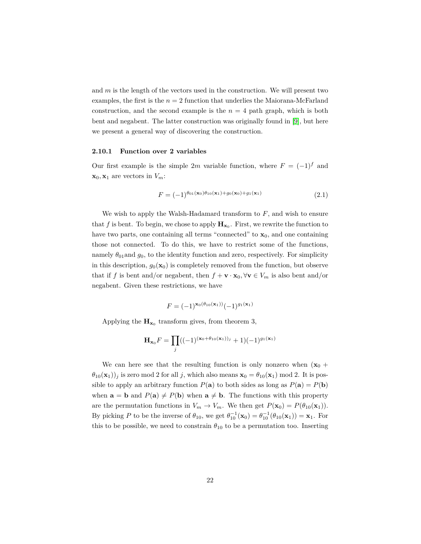and *m* is the length of the vectors used in the construction. We will present two examples, the first is the  $n = 2$  function that underlies the Maiorana-McFarland construction, and the second example is the  $n = 4$  path graph, which is both bent and negabent. The latter construction was originally found in [\[9\]](#page-74-8), but here we present a general way of discovering the construction.

#### <span id="page-21-0"></span>**2.10.1 Function over 2 variables**

Our first example is the simple 2*m* variable function, where  $F = (-1)^f$  and  $\mathbf{x}_0, \mathbf{x}_1$  are vectors in  $V_m$ :

$$
F = (-1)^{\theta_{01}(\mathbf{x}_0)\theta_{10}(\mathbf{x}_1) + g_0(\mathbf{x}_0) + g_1(\mathbf{x}_1)}
$$
\n(2.1)

We wish to apply the Walsh-Hadamard transform to *F*, and wish to ensure that  $f$  is bent. To begin, we chose to apply  $\mathbf{H}_{\mathbf{x}_0}$ . First, we rewrite the function to have two parts, one containing all terms "connected" to  $\mathbf{x}_0$ , and one containing those not connected. To do this, we have to restrict some of the functions, namely  $\theta_{01}$  and  $g_0$ , to the identity function and zero, respectively. For simplicity in this description,  $g_0(\mathbf{x}_0)$  is completely removed from the function, but observe that if *f* is bent and/or negabent, then  $f + \mathbf{v} \cdot \mathbf{x}_0$ ,  $\forall \mathbf{v} \in V_m$  is also bent and/or negabent. Given these restrictions, we have

$$
F = (-1)^{x_0(\theta_{10}(\mathbf{x}_1))} (-1)^{g_1(\mathbf{x}_1)}
$$

Applying the  $\mathbf{H}_{\mathbf{x}_0}$  transform gives, from theorem 3,

$$
\mathbf{H}_{\mathbf{x}_0} F = \prod_j ((-1)^{(\mathbf{x}_0 + \theta_{10}(\mathbf{x}_1))_j} + 1)(-1)^{g_1(\mathbf{x}_1)}
$$

We can here see that the resulting function is only nonzero when  $(x_0 +$  $(\theta_{10}(\mathbf{x}_1))_j$  is zero mod 2 for all *j*, which also means  $\mathbf{x}_0 = \theta_{10}(\mathbf{x}_1) \text{ mod } 2$ . It is possible to apply an arbitrary function  $P(\mathbf{a})$  to both sides as long as  $P(\mathbf{a}) = P(\mathbf{b})$ when  $\mathbf{a} = \mathbf{b}$  and  $P(\mathbf{a}) \neq P(\mathbf{b})$  when  $\mathbf{a} \neq \mathbf{b}$ . The functions with this property are the permutation functions in  $V_m \to V_m$ . We then get  $P(\mathbf{x}_0) = P(\theta_{10}(\mathbf{x}_1))$ . By picking *P* to be the inverse of  $\theta_{10}$ , we get  $\theta_{10}^{-1}(\mathbf{x}_0) = \theta_{10}^{-1}(\theta_{10}(\mathbf{x}_1)) = \mathbf{x}_1$ . For this to be possible, we need to constrain  $\theta_{10}$  to be a permutation too. Inserting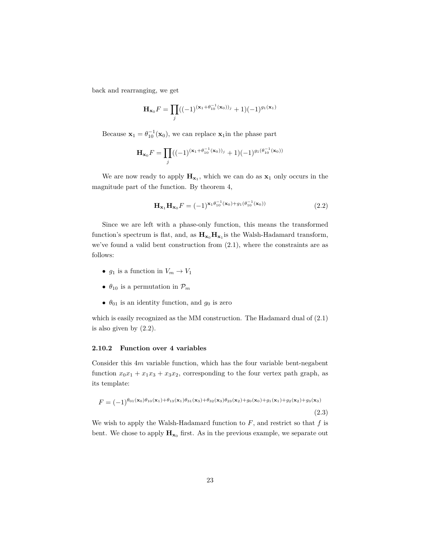back and rearranging, we get

$$
\mathbf{H}_{\mathbf{x}_0} F = \prod_j ((-1)^{(\mathbf{x}_1 + \theta_{10}^{-1}(\mathbf{x}_0))_j} + 1)(-1)^{g_1(\mathbf{x}_1)}
$$

Because  $\mathbf{x}_1 = \theta_{10}^{-1}(\mathbf{x}_0)$ , we can replace  $\mathbf{x}_1$  in the phase part

$$
\mathbf{H}_{\mathbf{x}_0}F = \prod_j ((-1)^{(\mathbf{x}_1 + \theta_{10}^{-1}(\mathbf{x}_0))_j} + 1)(-1)^{g_1(\theta_{10}^{-1}(\mathbf{x}_0))}
$$

We are now ready to apply  $\mathbf{H}_{\mathbf{x}_1}$ , which we can do as  $\mathbf{x}_1$  only occurs in the magnitude part of the function. By theorem 4,

$$
\mathbf{H}_{\mathbf{x}_1} \mathbf{H}_{\mathbf{x}_0} F = (-1)^{\mathbf{x}_1 \theta_{10}^{-1}(\mathbf{x}_0) + g_1(\theta_{10}^{-1}(\mathbf{x}_0))}
$$
(2.2)

Since we are left with a phase-only function, this means the transformed function's spectrum is flat, and, as  $H_{x_0}H_{x_1}$  is the Walsh-Hadamard transform, we've found a valid bent construction from (2*.*1), where the constraints are as follows:

- $g_1$  is a function in  $V_m \to V_1$
- $\theta_{10}$  is a permutation in  $\mathcal{P}_m$
- $\theta_{01}$  is an identity function, and  $g_0$  is zero

which is easily recognized as the MM construction. The Hadamard dual of (2*.*1) is also given by (2*.*2).

#### <span id="page-22-0"></span>**2.10.2 Function over 4 variables**

Consider this 4*m* variable function, which has the four variable bent-negabent function  $x_0x_1 + x_1x_3 + x_3x_2$ , corresponding to the four vertex path graph, as its template:

$$
F = (-1)^{\theta_{01}(\mathbf{x}_0)\theta_{10}(\mathbf{x}_1) + \theta_{13}(\mathbf{x}_1)\theta_{31}(\mathbf{x}_3) + \theta_{32}(\mathbf{x}_3)\theta_{23}(\mathbf{x}_2) + g_0(\mathbf{x}_0) + g_1(\mathbf{x}_1) + g_2(\mathbf{x}_2) + g_3(\mathbf{x}_3)}
$$

(2.3)

We wish to apply the Walsh-Hadamard function to  $F$ , and restrict so that  $f$  is bent. We chose to apply  $\mathbf{H}_{\mathbf{x}_0}$  first. As in the previous example, we separate out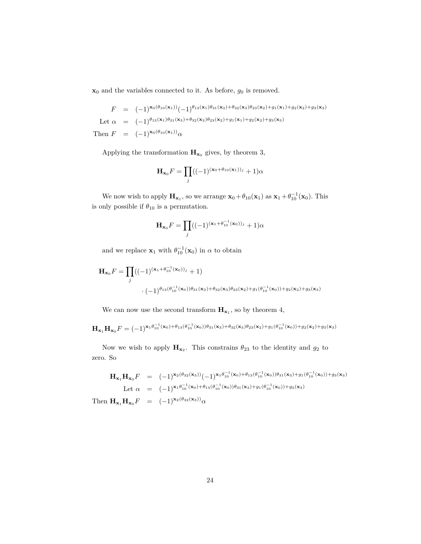$\mathbf{x}_0$  and the variables connected to it. As before,  $g_0$  is removed.

 $F = (-1)^{\mathbf{x}_0(\theta_{10}(\mathbf{x}_1))}(-1)^{\theta_{13}(\mathbf{x}_1)\theta_{31}(\mathbf{x}_3)+\theta_{32}(\mathbf{x}_3)\theta_{23}(\mathbf{x}_2)+g_1(\mathbf{x}_1)+g_2(\mathbf{x}_2)+g_3(\mathbf{x}_3)}$ Let  $\alpha = (-1)^{\theta_{13}(\mathbf{x}_1)\theta_{31}(\mathbf{x}_3)+\theta_{32}(\mathbf{x}_3)\theta_{23}(\mathbf{x}_2)+g_1(\mathbf{x}_1)+g_2(\mathbf{x}_2)+g_3(\mathbf{x}_3)}$ Then  $F = (-1)^{\mathbf{x}_0(\theta_{10}(\mathbf{x}_1))}\alpha$ 

Applying the transformation  $\mathbf{H}_{\mathbf{x}_0}$  gives, by theorem 3,

$$
\mathbf{H}_{\mathbf{x}_0}F = \prod_j ((-1)^{(\mathbf{x}_0 + \theta_{10}(\mathbf{x}_1))_j} + 1)\alpha
$$

We now wish to apply  $\mathbf{H}_{\mathbf{x}_1}$ , so we arrange  $\mathbf{x}_0 + \theta_{10}(\mathbf{x}_1)$  as  $\mathbf{x}_1 + \theta_{10}^{-1}(\mathbf{x}_0)$ . This is only possible if  $\theta_{10}$  is a permutation.

$$
\mathbf{H}_{\mathbf{x}_0} F = \prod_j ((-1)^{(\mathbf{x}_1 + \theta_{10}^{-1}(\mathbf{x}_0))_j} + 1)\alpha
$$

and we replace  $\mathbf{x}_1$  with  $\theta_{10}^{-1}(\mathbf{x}_0)$  in  $\alpha$  to obtain

$$
\mathbf{H}_{\mathbf{x}_0} F = \prod_j ((-1)^{(\mathbf{x}_1 + \theta_{10}^{-1}(\mathbf{x}_0))_j} + 1)
$$
  
 
$$
\cdot (-1)^{\theta_{13}(\theta_{10}^{-1}(\mathbf{x}_0))\theta_{31}(\mathbf{x}_3) + \theta_{32}(\mathbf{x}_3)\theta_{23}(\mathbf{x}_2) + g_1(\theta_{10}^{-1}(\mathbf{x}_0)) + g_2(\mathbf{x}_2) + g_3(\mathbf{x}_3)}
$$

We can now use the second transform  $\mathbf{H}_{\mathbf{x}_1}$ , so by theorem 4,

 $\mathbf{H}_{\mathbf{x}_1}\mathbf{H}_{\mathbf{x}_0}F=(-1)^{\mathbf{x}_1\theta_{10}^{-1}(\mathbf{x}_0)+\theta_{13}(\theta_{10}^{-1}(\mathbf{x}_0))\theta_{31}(\mathbf{x}_3)+\theta_{32}(\mathbf{x}_3)\theta_{23}(\mathbf{x}_2)+g_1(\theta_{10}^{-1}(\mathbf{x}_0))+g_2(\mathbf{x}_2)+g_3(\mathbf{x}_3)}$ 

Now we wish to apply  $\mathbf{H}_{\mathbf{x}_2}$ . This constrains  $\theta_{23}$  to the identity and  $g_2$  to zero. So

$$
\mathbf{H}_{\mathbf{x}_1}\mathbf{H}_{\mathbf{x}_0}F = (-1)^{\mathbf{x}_2(\theta_{32}(\mathbf{x}_3))}(-1)^{\mathbf{x}_1\theta_{10}^{-1}(\mathbf{x}_0)+\theta_{13}(\theta_{10}^{-1}(\mathbf{x}_0))\theta_{31}(\mathbf{x}_3)+g_1(\theta_{10}^{-1}(\mathbf{x}_0))+g_3(\mathbf{x}_3)}
$$
  
Let  $\alpha = (-1)^{\mathbf{x}_1\theta_{10}^{-1}(\mathbf{x}_0)+\theta_{13}(\theta_{10}^{-1}(\mathbf{x}_0))\theta_{31}(\mathbf{x}_3)+g_1(\theta_{10}^{-1}(\mathbf{x}_0))+g_3(\mathbf{x}_3)}$   
Then  $\mathbf{H}_{\mathbf{x}_1}\mathbf{H}_{\mathbf{x}_0}F = (-1)^{\mathbf{x}_2(\theta_{32}(\mathbf{x}_3))}\alpha$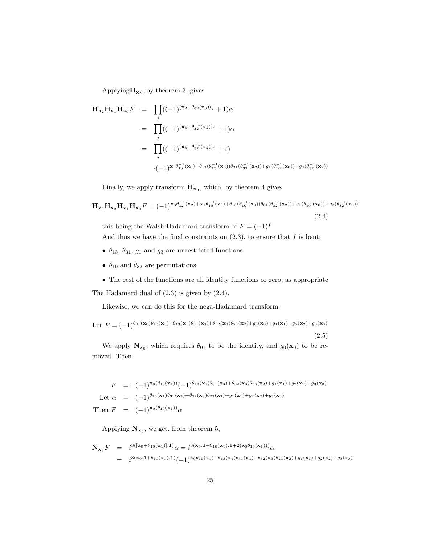Applying  $\mathbf{H}_{\mathbf{x}_2}$ , by theorem 3, gives

$$
\mathbf{H}_{\mathbf{x}_2} \mathbf{H}_{\mathbf{x}_1} \mathbf{H}_{\mathbf{x}_0} F = \prod_j ((-1)^{(\mathbf{x}_2 + \theta_{32}(\mathbf{x}_3))_j} + 1) \alpha
$$
\n
$$
= \prod_j ((-1)^{(\mathbf{x}_3 + \theta_{32}^{-1}(\mathbf{x}_2))_j} + 1) \alpha
$$
\n
$$
= \prod_j ((-1)^{(\mathbf{x}_3 + \theta_{32}^{-1}(\mathbf{x}_2))_j} + 1)
$$
\n
$$
\cdot (-1)^{\mathbf{x}_1 \theta_{10}^{-1}(\mathbf{x}_0) + \theta_{13}(\theta_{10}^{-1}(\mathbf{x}_0)) \theta_{31}(\theta_{32}^{-1}(\mathbf{x}_2)) + g_1(\theta_{10}^{-1}(\mathbf{x}_0)) + g_3(\theta_{32}^{-1}(\mathbf{x}_2))}
$$

Finally, we apply transform  $H_{\mathbf{x}_3}$ , which, by theorem 4 gives

$$
\mathbf{H}_{\mathbf{x}_3} \mathbf{H}_{\mathbf{x}_2} \mathbf{H}_{\mathbf{x}_1} \mathbf{H}_{\mathbf{x}_0} F = (-1)^{\mathbf{x}_3 \theta_{32}^{-1}(\mathbf{x}_2) + \mathbf{x}_1 \theta_{10}^{-1}(\mathbf{x}_0) + \theta_{13}(\theta_{10}^{-1}(\mathbf{x}_0))\theta_{31}(\theta_{32}^{-1}(\mathbf{x}_2)) + g_1(\theta_{10}^{-1}(\mathbf{x}_0)) + g_3(\theta_{32}^{-1}(\mathbf{x}_2))}
$$
\n(2.4)

this being the Walsh-Hadamard transform of  $F = (-1)^f$ And thus we have the final constraints on  $(2.3)$ , to ensure that  $f$  is bent:

- $\theta_{13}$ ,  $\theta_{31}$ ,  $g_1$  and  $g_3$  are unrestricted functions
- $\theta_{10}$  and  $\theta_{32}$  are permutations
- The rest of the functions are all identity functions or zero, as appropriate

The Hadamard dual of (2*.*3) is given by (2*.*4).

Likewise, we can do this for the nega-Hadamard transform:

Let 
$$
F = (-1)^{\theta_{01}(\mathbf{x}_0)\theta_{10}(\mathbf{x}_1) + \theta_{13}(\mathbf{x}_1)\theta_{31}(\mathbf{x}_3) + \theta_{32}(\mathbf{x}_3)\theta_{23}(\mathbf{x}_2) + g_0(\mathbf{x}_0) + g_1(\mathbf{x}_1) + g_2(\mathbf{x}_2) + g_3(\mathbf{x}_3)}
$$
  
(2.5)

We apply  $N_{\mathbf{x}_0}$ , which requires  $\theta_{01}$  to be the identity, and  $g_0(\mathbf{x}_0)$  to be removed. Then

$$
F = (-1)^{\mathbf{x}_0(\theta_{10}(\mathbf{x}_1))} (-1)^{\theta_{13}(\mathbf{x}_1)\theta_{31}(\mathbf{x}_3) + \theta_{32}(\mathbf{x}_3)\theta_{23}(\mathbf{x}_2) + g_1(\mathbf{x}_1) + g_2(\mathbf{x}_2) + g_3(\mathbf{x}_3)}
$$
  
Let  $\alpha = (-1)^{\theta_{13}(\mathbf{x}_1)\theta_{31}(\mathbf{x}_3) + \theta_{32}(\mathbf{x}_3)\theta_{23}(\mathbf{x}_2) + g_1(\mathbf{x}_1) + g_2(\mathbf{x}_2) + g_3(\mathbf{x}_3)}$   
Then  $F = (-1)^{\mathbf{x}_0(\theta_{10}(\mathbf{x}_1))} \alpha$ 

Applying  $\mathbf{N}_{\mathbf{x}_0}$ , we get, from theorem 5,

$$
\mathbf{N}_{\mathbf{x}_0} F = i^{3([\mathbf{x}_0 + \theta_{10}(\mathbf{x}_1)].\mathbf{1})} \alpha = i^{3(\mathbf{x}_0.1 + \theta_{10}(\mathbf{x}_1).1 + 2(\mathbf{x}_0\theta_{10}(\mathbf{x}_1)))} \alpha
$$
  
= 
$$
i^{3(\mathbf{x}_0.1 + \theta_{10}(\mathbf{x}_1).1)} (-1)^{\mathbf{x}_0\theta_{10}(\mathbf{x}_1) + \theta_{13}(\mathbf{x}_1)\theta_{31}(\mathbf{x}_3) + \theta_{32}(\mathbf{x}_3)\theta_{23}(\mathbf{x}_2) + g_1(\mathbf{x}_1) + g_2(\mathbf{x}_2) + g_3(\mathbf{x}_3)}
$$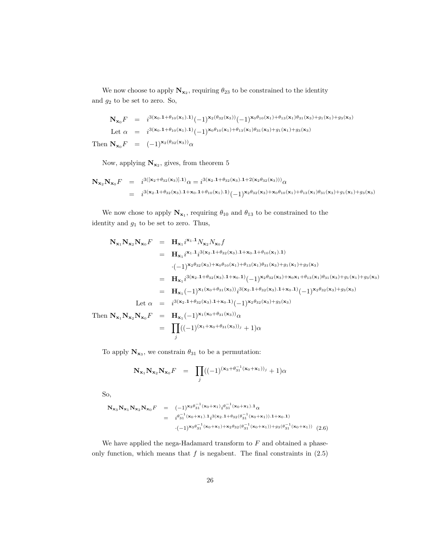We now choose to apply  $\mathbf{N}_{\mathbf{x}_2}$ , requiring  $\theta_{23}$  to be constrained to the identity and *g*<sup>2</sup> to be set to zero. So,

$$
\mathbf{N}_{\mathbf{x}_0}F = i^{3(\mathbf{x}_0.1+\theta_{10}(\mathbf{x}_1).1)}(-1)^{\mathbf{x}_2(\theta_{32}(\mathbf{x}_3))}(-1)^{\mathbf{x}_0\theta_{10}(\mathbf{x}_1)+\theta_{13}(\mathbf{x}_1)\theta_{31}(\mathbf{x}_3)+g_1(\mathbf{x}_1)+g_3(\mathbf{x}_3)}
$$
  
Let  $\alpha = i^{3(\mathbf{x}_0.1+\theta_{10}(\mathbf{x}_1).1)}(-1)^{\mathbf{x}_0\theta_{10}(\mathbf{x}_1)+\theta_{13}(\mathbf{x}_1)\theta_{31}(\mathbf{x}_3)+g_1(\mathbf{x}_1)+g_3(\mathbf{x}_3)}$   
Then  $\mathbf{N}_{\mathbf{x}_0}F = (-1)^{\mathbf{x}_2(\theta_{32}(\mathbf{x}_3))}\alpha$ 

Now, applying  $N_{\mathbf{x}_2}$ , gives, from theorem 5

$$
\begin{array}{rcl}\n\mathbf{N_{x_2}}\mathbf{N_{x_0}}F &=& i^{3(\mathbf{x_2}+\theta_{32}(\mathbf{x_3})].\mathbf{1})}\alpha = & i^{3(\mathbf{x_2}.1+\theta_{32}(\mathbf{x_3}).1+2(\mathbf{x_2}\theta_{32}(\mathbf{x_3})))}\alpha \\
&=& i^{3(\mathbf{x_2}.1+\theta_{32}(\mathbf{x_3}).1+\mathbf{x_0}.1+\theta_{10}(\mathbf{x_1}).\mathbf{1})}(-1)^{\mathbf{x_2}\theta_{32}(\mathbf{x_3})+\mathbf{x_0}\theta_{10}(\mathbf{x_1})+\theta_{13}(\mathbf{x_1})\theta_{31}(\mathbf{x_3})+g_1(\mathbf{x_1})+g_3(\mathbf{x_3})}\n\end{array}
$$

We now chose to apply  $N_{\mathbf{x}_1}$ , requiring  $\theta_{10}$  and  $\theta_{13}$  to be constrained to the identity and *g*<sup>1</sup> to be set to zero. Thus,

$$
N_{x_1}N_{x_2}N_{x_0}F = H_{x_1}i^{x_1.1}N_{x_2}N_{x_0}f
$$
  
\n
$$
= H_{x_1}i^{x_1.1}i^{3(x_2.1+\theta_{32}(x_3).1+x_0.1+\theta_{10}(x_1).1)}
$$
  
\n
$$
\cdot (-1)^{x_2\theta_{32}(x_3)+x_0\theta_{10}(x_1)+\theta_{13}(x_1)\theta_{31}(x_3)+g_1(x_1)+g_3(x_3)}
$$
  
\n
$$
= H_{x_1}i^{3(x_2.1+\theta_{32}(x_3).1+x_0.1)}(-1)^{x_2\theta_{32}(x_3)+x_0x_1+\theta_{13}(x_1)\theta_{31}(x_3)+g_1(x_1)+g_3(x_3)}
$$
  
\n
$$
= H_{x_1}(-1)^{x_1(x_0+\theta_{31}(x_3))}i^{3(x_2.1+\theta_{32}(x_3).1+x_0.1)}(-1)^{x_2\theta_{32}(x_3)+g_3(x_3)}
$$
  
\nLet  $\alpha = i^{3(x_2.1+\theta_{32}(x_3).1+x_0.1)}(-1)^{x_2\theta_{32}(x_3)+g_3(x_3)}$   
\n
$$
N_{x_1}N_{x_2}N_{x_0}F = H_{x_1}(-1)^{x_1(x_0+\theta_{31}(x_3))}\alpha
$$

**Then**  $=$   $\Pi$ *j*  $((-1)^{(\mathbf{x}_1+\mathbf{x}_0+\theta_{31}(\mathbf{x}_3))_j}+1)\alpha$ 

To apply  $\mathbf{N}_{\mathbf{x}_3}$ , we constrain  $\theta_{31}$  to be a permutation:

$$
\mathbf{N}_{\mathbf{x}_1} \mathbf{N}_{\mathbf{x}_2} \mathbf{N}_{\mathbf{x}_0} F = \prod_j ((-1)^{(\mathbf{x}_3 + \theta_{31}^{-1}(\mathbf{x}_0 + \mathbf{x}_1))_j} + 1) \alpha
$$

So,

$$
\mathbf{N}_{\mathbf{x}_3} \mathbf{N}_{\mathbf{x}_1} \mathbf{N}_{\mathbf{x}_2} \mathbf{N}_{\mathbf{x}_0} F = (-1)^{\mathbf{x}_3 \theta_{31}^{-1} (\mathbf{x}_0 + \mathbf{x}_1)} i^{\theta_{31}^{-1} (\mathbf{x}_0 + \mathbf{x}_1) . \mathbf{1}} \alpha
$$
  
\n
$$
= i^{\theta_{31}^{-1} (\mathbf{x}_0 + \mathbf{x}_1) . \mathbf{1}} i^{3(\mathbf{x}_2 . \mathbf{1} + \theta_{32} (\theta_{31}^{-1} (\mathbf{x}_0 + \mathbf{x}_1)) . \mathbf{1} + \mathbf{x}_0 . \mathbf{1})}
$$
  
\n
$$
\cdot (-1)^{\mathbf{x}_3 \theta_{31}^{-1} (\mathbf{x}_0 + \mathbf{x}_1) + \mathbf{x}_2 \theta_{32} (\theta_{31}^{-1} (\mathbf{x}_0 + \mathbf{x}_1)) + g_3 (\theta_{31}^{-1} (\mathbf{x}_0 + \mathbf{x}_1))} (2.6)
$$

We have applied the nega-Hadamard transform to *F* and obtained a phaseonly function, which means that  $f$  is negabent. The final constraints in  $(2.5)$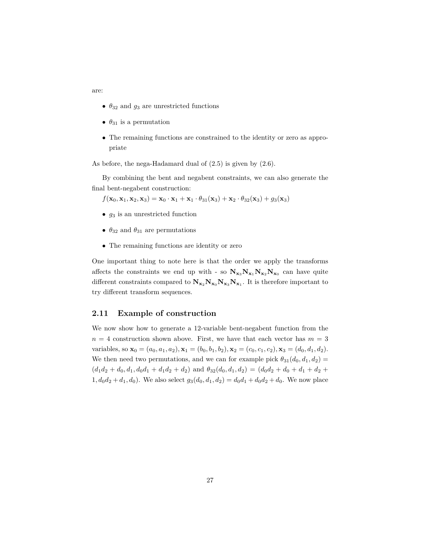are:

- $\theta_{32}$  and  $g_3$  are unrestricted functions
- $\theta_{31}$  is a permutation
- The remaining functions are constrained to the identity or zero as appropriate

As before, the nega-Hadamard dual of (2*.*5) is given by (2*.*6).

By combining the bent and negabent constraints, we can also generate the final bent-negabent construction:

 $f(\mathbf{x}_0, \mathbf{x}_1, \mathbf{x}_2, \mathbf{x}_3) = \mathbf{x}_0 \cdot \mathbf{x}_1 + \mathbf{x}_1 \cdot \theta_{31}(\mathbf{x}_3) + \mathbf{x}_2 \cdot \theta_{32}(\mathbf{x}_3) + g_3(\mathbf{x}_3)$ 

- *g*<sup>3</sup> is an unrestricted function
- $\theta_{32}$  and  $\theta_{31}$  are permutations
- The remaining functions are identity or zero

One important thing to note here is that the order we apply the transforms affects the constraints we end up with - so  $N_{x_3}N_{x_1}N_{x_2}N_{x_0}$  can have quite different constraints compared to  $N_{x_2}N_{x_0}N_{x_3}N_{x_1}$ . It is therefore important to try different transform sequences.

### <span id="page-26-0"></span>**2.11 Example of construction**

We now show how to generate a 12-variable bent-negabent function from the  $n = 4$  construction shown above. First, we have that each vector has  $m = 3$ variables, so  $\mathbf{x}_0 = (a_0, a_1, a_2), \mathbf{x}_1 = (b_0, b_1, b_2), \mathbf{x}_2 = (c_0, c_1, c_2), \mathbf{x}_3 = (d_0, d_1, d_2).$ We then need two permutations, and we can for example pick  $\theta_{31}(d_0, d_1, d_2)$  =  $(d_1d_2 + d_0, d_1, d_0d_1 + d_1d_2 + d_2)$  and  $\theta_{32}(d_0, d_1, d_2) = (d_0d_2 + d_0 + d_1 + d_2 +$  $1, d_0d_2 + d_1, d_0$ ). We also select  $g_3(d_0, d_1, d_2) = d_0d_1 + d_0d_2 + d_0$ . We now place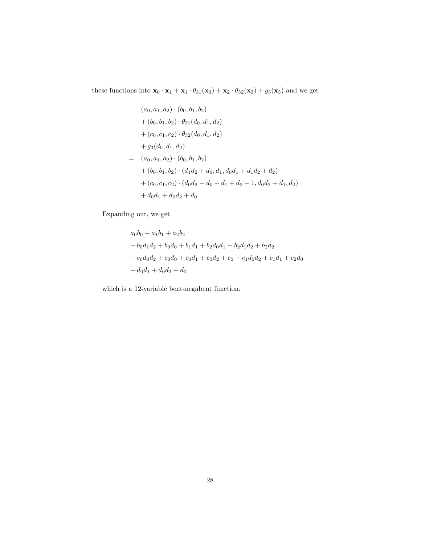these functions into  $\mathbf{x}_0 \cdot \mathbf{x}_1 + \mathbf{x}_1 \cdot \theta_{31}(\mathbf{x}_3) + \mathbf{x}_2 \cdot \theta_{32}(\mathbf{x}_3) + g_3(\mathbf{x}_3)$  and we get

$$
(a_0, a_1, a_2) \cdot (b_0, b_1, b_2)
$$
  
+  $(b_0, b_1, b_2) \cdot \theta_{31}(d_0, d_1, d_2)$   
+  $(c_0, c_1, c_2) \cdot \theta_{32}(d_0, d_1, d_2)$   
+  $g_3(d_0, d_1, d_2)$   
=  $(a_0, a_1, a_2) \cdot (b_0, b_1, b_2)$   
+  $(b_0, b_1, b_2) \cdot (d_1d_2 + d_0, d_1, d_0d_1 + d_1d_2 + d_2)$   
+  $(c_0, c_1, c_2) \cdot (d_0d_2 + d_0 + d_1 + d_2 + 1, d_0d_2 + d_1, d_0)$   
+  $d_0d_1 + d_0d_2 + d_0$ 

Expanding out, we get

$$
a_0b_0 + a_1b_1 + a_2b_2
$$
  
+  $b_0d_1d_2 + b_0d_0 + b_1d_1 + b_2d_0d_1 + b_2d_1d_2 + b_2d_2$   
+  $c_0d_0d_2 + c_0d_0 + c_0d_1 + c_0d_2 + c_0 + c_1d_0d_2 + c_1d_1 + c_2d_0$   
+  $d_0d_1 + d_0d_2 + d_0$ 

which is a 12-variable bent-negabent function.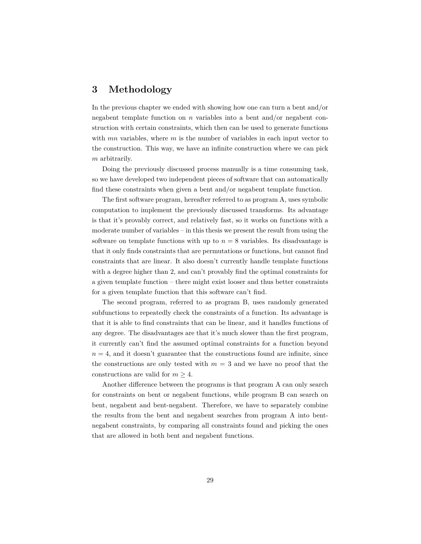### <span id="page-28-0"></span>**3 Methodology**

In the previous chapter we ended with showing how one can turn a bent and/or negabent template function on *n* variables into a bent and/or negabent construction with certain constraints, which then can be used to generate functions with *mn* variables, where *m* is the number of variables in each input vector to the construction. This way, we have an infinite construction where we can pick *m* arbitrarily.

Doing the previously discussed process manually is a time consuming task, so we have developed two independent pieces of software that can automatically find these constraints when given a bent and/or negabent template function.

The first software program, hereafter referred to as program A, uses symbolic computation to implement the previously discussed transforms. Its advantage is that it's provably correct, and relatively fast, so it works on functions with a moderate number of variables – in this thesis we present the result from using the software on template functions with up to  $n = 8$  variables. Its disadvantage is that it only finds constraints that are permutations or functions, but cannot find constraints that are linear. It also doesn't currently handle template functions with a degree higher than 2, and can't provably find the optimal constraints for a given template function – there might exist looser and thus better constraints for a given template function that this software can't find.

The second program, referred to as program B, uses randomly generated subfunctions to repeatedly check the constraints of a function. Its advantage is that it is able to find constraints that can be linear, and it handles functions of any degree. The disadvantages are that it's much slower than the first program, it currently can't find the assumed optimal constraints for a function beyond  $n = 4$ , and it doesn't guarantee that the constructions found are infinite, since the constructions are only tested with  $m = 3$  and we have no proof that the constructions are valid for  $m \geq 4$ .

Another difference between the programs is that program A can only search for constraints on bent or negabent functions, while program B can search on bent, negabent and bent-negabent. Therefore, we have to separately combine the results from the bent and negabent searches from program A into bentnegabent constraints, by comparing all constraints found and picking the ones that are allowed in both bent and negabent functions.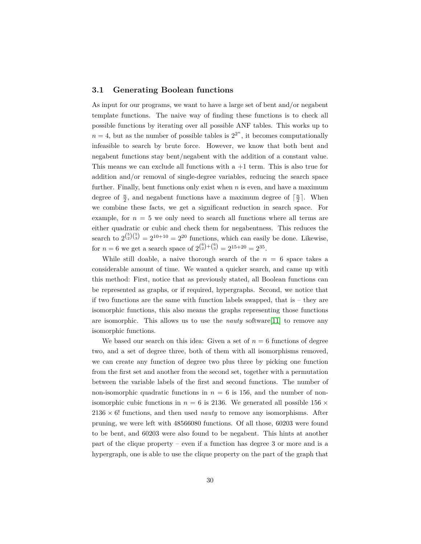### <span id="page-29-0"></span>**3.1 Generating Boolean functions**

As input for our programs, we want to have a large set of bent and/or negabent template functions. The naive way of finding these functions is to check all possible functions by iterating over all possible ANF tables. This works up to  $n = 4$ , but as the number of possible tables is  $2^{2^n}$ , it becomes computationally infeasible to search by brute force. However, we know that both bent and negabent functions stay bent/negabent with the addition of a constant value. This means we can exclude all functions with  $a + 1$  term. This is also true for addition and/or removal of single-degree variables, reducing the search space further. Finally, bent functions only exist when *n* is even, and have a maximum degree of  $\frac{n}{2}$ , and negabent functions have a maximum degree of  $\lceil \frac{n}{2} \rceil$ . When we combine these facts, we get a significant reduction in search space. For example, for  $n = 5$  we only need to search all functions where all terms are either quadratic or cubic and check them for negabentness. This reduces the search to  $2^{5/5} = 2^{10+10} = 2^{20}$  functions, which can easily be done. Likewise, for  $n = 6$  we get a search space of  $2^{6 \choose 2} + {6 \choose 3} = 2^{15+20} = 2^{35}$ .

While still doable, a naive thorough search of the  $n = 6$  space takes a considerable amount of time. We wanted a quicker search, and came up with this method: First, notice that as previously stated, all Boolean functions can be represented as graphs, or if required, hypergraphs. Second, we notice that if two functions are the same with function labels swapped, that is – they are isomorphic functions, this also means the graphs representing those functions are isomorphic. This allows us to use the *nauty* software[\[11\]](#page-75-0) to remove any isomorphic functions.

We based our search on this idea: Given a set of  $n = 6$  functions of degree two, and a set of degree three, both of them with all isomorphisms removed, we can create any function of degree two plus three by picking one function from the first set and another from the second set, together with a permutation between the variable labels of the first and second functions. The number of non-isomorphic quadratic functions in  $n = 6$  is 156, and the number of nonisomorphic cubic functions in  $n = 6$  is 2136. We generated all possible 156  $\times$  $2136 \times 6!$  functions, and then used *nauty* to remove any isomorphisms. After pruning, we were left with 48566080 functions. Of all those, 60203 were found to be bent, and 60203 were also found to be negabent. This hints at another part of the clique property – even if a function has degree 3 or more and is a hypergraph, one is able to use the clique property on the part of the graph that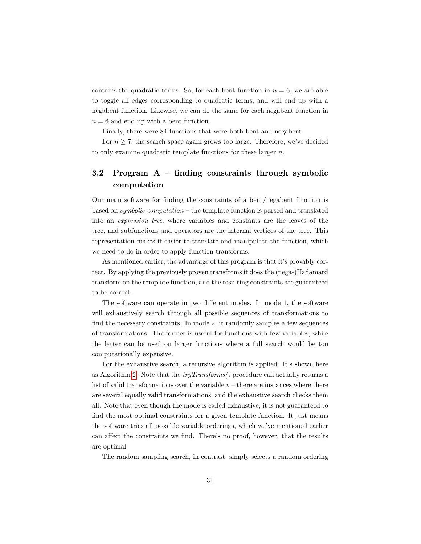contains the quadratic terms. So, for each bent function in  $n = 6$ , we are able to toggle all edges corresponding to quadratic terms, and will end up with a negabent function. Likewise, we can do the same for each negabent function in  $n = 6$  and end up with a bent function.

Finally, there were 84 functions that were both bent and negabent.

For  $n \geq 7$ , the search space again grows too large. Therefore, we've decided to only examine quadratic template functions for these larger *n*.

### <span id="page-30-0"></span>**3.2 Program A – finding constraints through symbolic computation**

Our main software for finding the constraints of a bent/negabent function is based on *symbolic computation* – the template function is parsed and translated into an *expression tree*, where variables and constants are the leaves of the tree, and subfunctions and operators are the internal vertices of the tree. This representation makes it easier to translate and manipulate the function, which we need to do in order to apply function transforms.

As mentioned earlier, the advantage of this program is that it's provably correct. By applying the previously proven transforms it does the (nega-)Hadamard transform on the template function, and the resulting constraints are guaranteed to be correct.

The software can operate in two different modes. In mode 1, the software will exhaustively search through all possible sequences of transformations to find the necessary constraints. In mode 2, it randomly samples a few sequences of transformations. The former is useful for functions with few variables, while the latter can be used on larger functions where a full search would be too computationally expensive.

For the exhaustive search, a recursive algorithm is applied. It's shown here as Algorithm [2.](#page-31-0) Note that the *tryTransforms()* procedure call actually returns a list of valid transformations over the variable  $v$  – there are instances where there are several equally valid transformations, and the exhaustive search checks them all. Note that even though the mode is called exhaustive, it is not guaranteed to find the most optimal constraints for a given template function. It just means the software tries all possible variable orderings, which we've mentioned earlier can affect the constraints we find. There's no proof, however, that the results are optimal.

The random sampling search, in contrast, simply selects a random ordering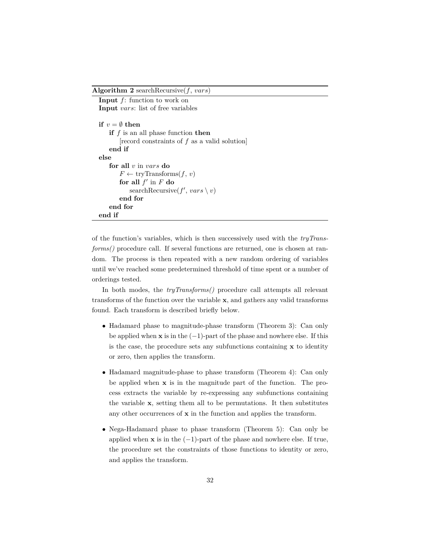<span id="page-31-0"></span>**Algorithm 2** searchRecursive(*f*, *vars*)

```
Input f: function to work on
Input vars: list of free variables
if v = \emptyset then
   if f is an all phase function then
       [record constraints of f as a valid solution]
    end if
else
    for all v in vars do
       F \leftarrow \text{tryTransforms}(f, v)for all f' in F do
           searchRecursive(f', vars \setminus v)end for
    end for
end if
```
of the function's variables, which is then successively used with the *tryTransforms()* procedure call. If several functions are returned, one is chosen at random. The process is then repeated with a new random ordering of variables until we've reached some predetermined threshold of time spent or a number of orderings tested.

In both modes, the *tryTransforms()* procedure call attempts all relevant transforms of the function over the variable **x**, and gathers any valid transforms found. Each transform is described briefly below.

- Hadamard phase to magnitude-phase transform (Theorem 3): Can only be applied when **x** is in the  $(-1)$ -part of the phase and nowhere else. If this is the case, the procedure sets any subfunctions containing **x** to identity or zero, then applies the transform.
- Hadamard magnitude-phase to phase transform (Theorem 4): Can only be applied when **x** is in the magnitude part of the function. The process extracts the variable by re-expressing any subfunctions containing the variable **x**, setting them all to be permutations. It then substitutes any other occurrences of **x** in the function and applies the transform.
- Nega-Hadamard phase to phase transform (Theorem 5): Can only be applied when **x** is in the  $(-1)$ -part of the phase and nowhere else. If true, the procedure set the constraints of those functions to identity or zero, and applies the transform.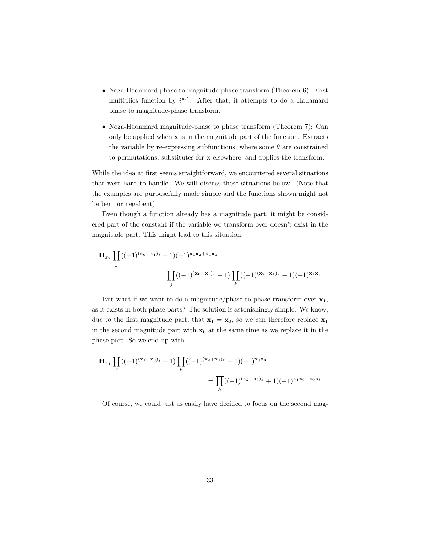- Nega-Hadamard phase to magnitude-phase transform (Theorem 6): First multiplies function by *i* **x***.***1** . After that, it attempts to do a Hadamard phase to magnitude-phase transform.
- Nega-Hadamard magnitude-phase to phase transform (Theorem 7): Can only be applied when **x** is in the magnitude part of the function. Extracts the variable by re-expressing subfunctions, where some  $\theta$  are constrained to permutations, substitutes for **x** elsewhere, and applies the transform.

While the idea at first seems straightforward, we encountered several situations that were hard to handle. We will discuss these situations below. (Note that the examples are purposefully made simple and the functions shown might not be bent or negabent)

Even though a function already has a magnitude part, it might be considered part of the constant if the variable we transform over doesn't exist in the magnitude part. This might lead to this situation:

$$
\mathbf{H}_{x_2} \prod_j ((-1)^{(\mathbf{x}_0 + \mathbf{x}_1)_j} + 1)(-1)^{\mathbf{x}_1 \mathbf{x}_2 + \mathbf{x}_1 \mathbf{x}_3}
$$
  
= 
$$
\prod_j ((-1)^{(\mathbf{x}_0 + \mathbf{x}_1)_j} + 1) \prod_k ((-1)^{(\mathbf{x}_2 + \mathbf{x}_1)_k} + 1)(-1)^{\mathbf{x}_1 \mathbf{x}_3}
$$

But what if we want to do a magnitude/phase to phase transform over  $\mathbf{x}_1$ , as it exists in both phase parts? The solution is astonishingly simple. We know, due to the first magnitude part, that  $\mathbf{x}_1 = \mathbf{x}_0$ , so we can therefore replace  $\mathbf{x}_1$ in the second magnitude part with  $x_0$  at the same time as we replace it in the phase part. So we end up with

$$
\mathbf{H}_{\mathbf{x}_1} \prod_j ((-1)^{(\mathbf{x}_1 + \mathbf{x}_0)_j} + 1) \prod_k ((-1)^{(\mathbf{x}_2 + \mathbf{x}_0)_k} + 1)(-1)^{\mathbf{x}_0 \mathbf{x}_3}
$$
  
= 
$$
\prod_k ((-1)^{(\mathbf{x}_2 + \mathbf{x}_0)_k} + 1)(-1)^{\mathbf{x}_1 \mathbf{x}_0 + \mathbf{x}_0 \mathbf{x}_3}
$$

Of course, we could just as easily have decided to focus on the second mag-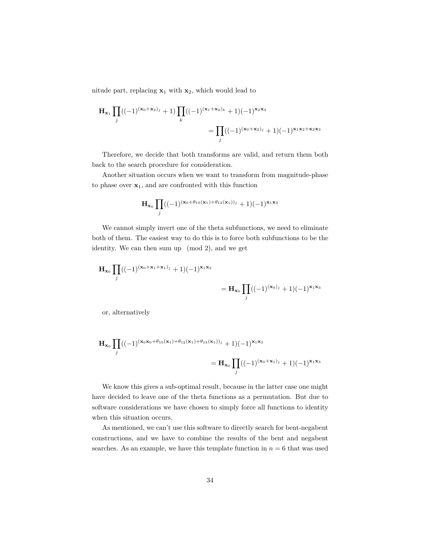nitude part, replacing  $x_1$  with  $x_2$ , which would lead to

$$
\mathbf{H}_{\mathbf{x}_1} \prod_j ((-1)^{(\mathbf{x}_0 + \mathbf{x}_2)_j} + 1) \prod_k ((-1)^{(\mathbf{x}_1 + \mathbf{x}_2)_k} + 1)(-1)^{\mathbf{x}_2 \mathbf{x}_3}
$$
  
= 
$$
\prod_j ((-1)^{(\mathbf{x}_0 + \mathbf{x}_2)_j} + 1)(-1)^{\mathbf{x}_1 \mathbf{x}_2 + \mathbf{x}_2 \mathbf{x}_3}
$$

Therefore, we decide that both transforms are valid, and return them both back to the search procedure for consideration.

Another situation occurs when we want to transform from magnitude-phase to phase over  $x_1$ , and are confronted with this function

$$
\mathbf{H}_{\mathbf{x}_0} \prod_j ((-1)^{(\mathbf{x}_0 + \theta_{10}(\mathbf{x}_1) + \theta_{12}(\mathbf{x}_1))_j} + 1)(-1)^{\mathbf{x}_1 \mathbf{x}_3}
$$

We cannot simply invert one of the theta subfunctions, we need to eliminate both of them. The easiest way to do this is to force both subfunctions to be the identity. We can then sum up (mod 2), and we get

$$
\mathbf{H}_{\mathbf{x}_0} \prod_j ((-1)^{(\mathbf{x}_0 + \mathbf{x}_1 + \mathbf{x}_1)_j} + 1)(-1)^{\mathbf{x}_1 \mathbf{x}_3} = \mathbf{H}_{\mathbf{x}_0} \prod_j ((-1)^{(\mathbf{x}_0)_j} + 1)(-1)^{\mathbf{x}_1 \mathbf{x}_3}
$$

or, alternatively

$$
\mathbf{H}_{\mathbf{x}_0} \prod_j ((-1)^{(\mathbf{x}_0 \mathbf{x}_0 + \theta_{10}(\mathbf{x}_1) + \theta_{12}(\mathbf{x}_1) + \theta_{13}(\mathbf{x}_1))_j} + 1)(-1)^{\mathbf{x}_1 \mathbf{x}_3}
$$
  
= 
$$
\mathbf{H}_{\mathbf{x}_0} \prod_j ((-1)^{(\mathbf{x}_0 + \mathbf{x}_1)_j} + 1)(-1)^{\mathbf{x}_1 \mathbf{x}_3}
$$

We know this gives a sub-optimal result, because in the latter case one might have decided to leave one of the theta functions as a permutation. But due to software considerations we have chosen to simply force all functions to identity when this situation occurs.

As mentioned, we can't use this software to directly search for bent-negabent constructions, and we have to combine the results of the bent and negabent searches. As an example, we have this template function in  $n = 6$  that was used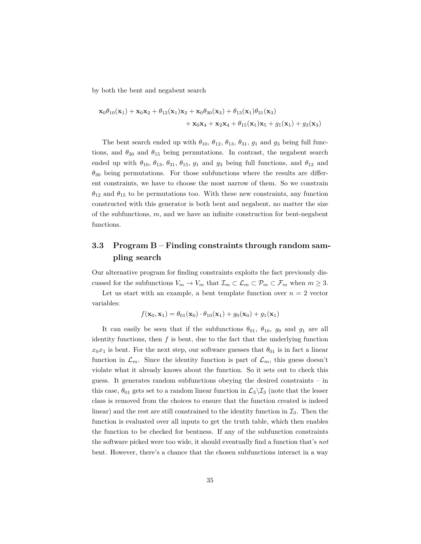by both the bent and negabent search

$$
\mathbf{x}_0\theta_{10}(\mathbf{x}_1) + \mathbf{x}_0\mathbf{x}_2 + \theta_{12}(\mathbf{x}_1)\mathbf{x}_2 + \mathbf{x}_0\theta_{30}(\mathbf{x}_3) + \theta_{13}(\mathbf{x}_1)\theta_{31}(\mathbf{x}_3) + \mathbf{x}_0\mathbf{x}_4 + \mathbf{x}_2\mathbf{x}_4 + \theta_{15}(\mathbf{x}_1)\mathbf{x}_5 + g_1(\mathbf{x}_1) + g_3(\mathbf{x}_3)
$$

The bent search ended up with  $\theta_{10}$ ,  $\theta_{12}$ ,  $\theta_{13}$ ,  $\theta_{31}$ ,  $g_1$  and  $g_3$  being full functions, and  $\theta_{30}$  and  $\theta_{15}$  being permutations. In contrast, the negabent search ended up with  $\theta_{10}$ ,  $\theta_{13}$ ,  $\theta_{31}$ ,  $\theta_{15}$ ,  $g_1$  and  $g_3$  being full functions, and  $\theta_{12}$  and  $\theta_{30}$  being permutations. For those subfunctions where the results are different constraints, we have to choose the most narrow of them. So we constrain  $\theta_{12}$  and  $\theta_{15}$  to be permutations too. With these new constraints, any function constructed with this generator is both bent and negabent, no matter the size of the subfunctions, *m*, and we have an infinite construction for bent-negabent functions.

### <span id="page-34-0"></span>**3.3 Program B – Finding constraints through random sampling search**

Our alternative program for finding constraints exploits the fact previously discussed for the subfunctions  $V_m \to V_m$  that  $\mathcal{I}_m \subset \mathcal{L}_m \subset \mathcal{P}_m \subset \mathcal{F}_m$  when  $m \geq 3$ .

Let us start with an example, a bent template function over  $n = 2$  vector variables:

$$
f(\mathbf{x}_0, \mathbf{x}_1) = \theta_{01}(\mathbf{x}_0) \cdot \theta_{10}(\mathbf{x}_1) + g_0(\mathbf{x}_0) + g_1(\mathbf{x}_1)
$$

It can easily be seen that if the subfunctions  $\theta_{01}$ ,  $\theta_{10}$ ,  $g_0$  and  $g_1$  are all identity functions, then  $f$  is bent, due to the fact that the underlying function  $x_0x_1$  is bent. For the next step, our software guesses that  $\theta_{01}$  is in fact a linear function in  $\mathcal{L}_m$ . Since the identity function is part of  $\mathcal{L}_m$ , this guess doesn't violate what it already knows about the function. So it sets out to check this guess. It generates random subfunctions obeying the desired constraints – in this case,  $\theta_{01}$  gets set to a random linear function in  $\mathcal{L}_3\backslash\mathcal{I}_3$  (note that the lesser class is removed from the choices to ensure that the function created is indeed linear) and the rest are still constrained to the identity function in  $\mathcal{I}_3$ . Then the function is evaluated over all inputs to get the truth table, which then enables the function to be checked for bentness. If any of the subfunction constraints the software picked were too wide, it should eventually find a function that's *not* bent. However, there's a chance that the chosen subfunctions interact in a way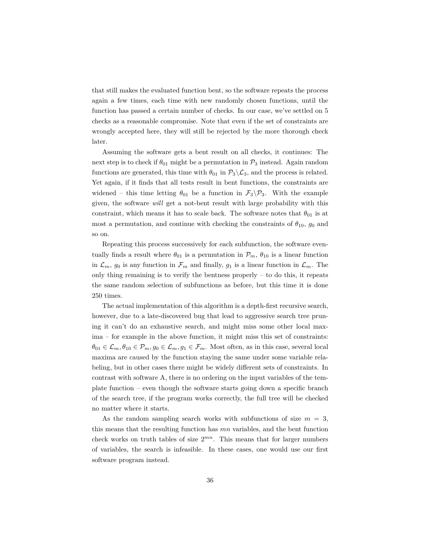that still makes the evaluated function bent, so the software repeats the process again a few times, each time with new randomly chosen functions, until the function has passed a certain number of checks. In our case, we've settled on 5 checks as a reasonable compromise. Note that even if the set of constraints are wrongly accepted here, they will still be rejected by the more thorough check later.

Assuming the software gets a bent result on all checks, it continues: The next step is to check if  $\theta_{01}$  might be a permutation in  $\mathcal{P}_3$  instead. Again random functions are generated, this time with  $\theta_{01}$  in  $\mathcal{P}_3 \backslash \mathcal{L}_3$ , and the process is related. Yet again, if it finds that all tests result in bent functions, the constraints are widened – this time letting  $\theta_{01}$  be a function in  $\mathcal{F}_3 \backslash \mathcal{P}_3$ . With the example given, the software *will* get a not-bent result with large probability with this constraint, which means it has to scale back. The software notes that  $\theta_{01}$  is at most a permutation, and continue with checking the constraints of  $\theta_{10}$ ,  $g_0$  and so on.

Repeating this process successively for each subfunction, the software eventually finds a result where  $\theta_{01}$  is a permutation in  $\mathcal{P}_m$ ,  $\theta_{10}$  is a linear function in  $\mathcal{L}_m$ ,  $g_0$  is any function in  $\mathcal{F}_m$  and finally,  $g_1$  is a linear function in  $\mathcal{L}_m$ . The only thing remaining is to verify the bentness properly  $-$  to do this, it repeats the same random selection of subfunctions as before, but this time it is done 250 times.

The actual implementation of this algorithm is a depth-first recursive search, however, due to a late-discovered bug that lead to aggressive search tree pruning it can't do an exhaustive search, and might miss some other local maxima – for example in the above function, it might miss this set of constraints:  $\theta_{01} \in \mathcal{L}_m, \theta_{10} \in \mathcal{P}_m, g_0 \in \mathcal{L}_m, g_1 \in \mathcal{F}_m$ . Most often, as in this case, several local maxima are caused by the function staying the same under some variable relabeling, but in other cases there might be widely different sets of constraints. In contrast with software A, there is no ordering on the input variables of the template function – even though the software starts going down a specific branch of the search tree, if the program works correctly, the full tree will be checked no matter where it starts.

As the random sampling search works with subfunctions of size  $m = 3$ , this means that the resulting function has *mn* variables, and the bent function check works on truth tables of size 2 *mn*. This means that for larger numbers of variables, the search is infeasible. In these cases, one would use our first software program instead.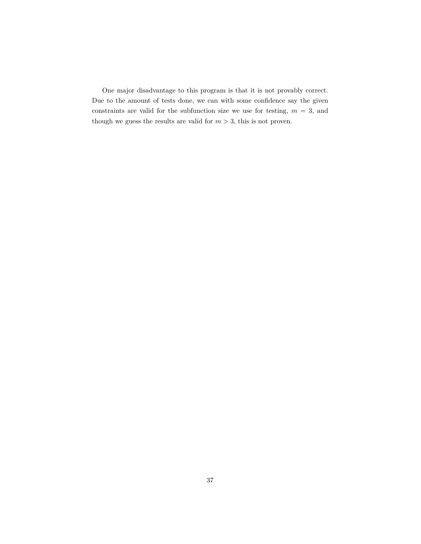One major disadvantage to this program is that it is not provably correct. Due to the amount of tests done, we can with some confidence say the given constraints are valid for the subfunction size we use for testing,  $m = 3$ , and though we guess the results are valid for  $m > 3$ , this is not proven.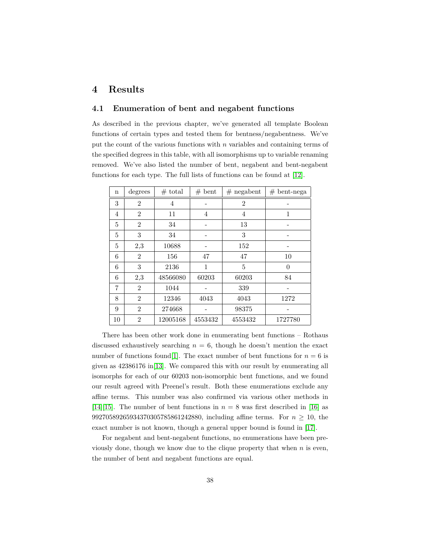# **4 Results**

### **4.1 Enumeration of bent and negabent functions**

As described in the previous chapter, we've generated all template Boolean functions of certain types and tested them for bentness/negabentness. We've put the count of the various functions with *n* variables and containing terms of the specified degrees in this table, with all isomorphisms up to variable renaming removed. We've also listed the number of bent, negabent and bent-negabent functions for each type. The full lists of functions can be found at [\[12\]](#page-75-0).

| $\mathbf n$ | degrees        | $#$ total | $#$ bent | $#$ negabent   | $#$ bent-nega |
|-------------|----------------|-----------|----------|----------------|---------------|
| 3           | $\overline{2}$ | 4         |          | $\overline{2}$ |               |
| 4           | $\overline{2}$ | 11        | 4        | $\overline{4}$ | 1             |
| 5           | $\overline{2}$ | 34        |          | 13             |               |
| 5           | 3              | 34        |          | 3              |               |
| 5           | 2,3            | 10688     |          | 152            |               |
| 6           | $\overline{2}$ | 156       | 47       | 47             | 10            |
| 6           | 3              | 2136      | 1        | 5              | $\theta$      |
| 6           | 2,3            | 48566080  | 60203    | 60203          | 84            |
| 7           | $\overline{2}$ | 1044      |          | 339            |               |
| 8           | $\overline{2}$ | 12346     | 4043     | 4043           | 1272          |
| 9           | $\overline{2}$ | 274668    |          | 98375          |               |
| 10          | $\overline{2}$ | 12005168  | 4553432  | 4553432        | 1727780       |

There has been other work done in enumerating bent functions – Rothaus discussed exhaustively searching  $n = 6$ , though he doesn't mention the exact number of functions found<sup>[\[1\]](#page-74-0)</sup>. The exact number of bent functions for  $n = 6$  is given as 42386176 in[\[13\]](#page-75-1). We compared this with our result by enumerating all isomorphs for each of our 60203 non-isomorphic bent functions, and we found our result agreed with Preenel's result. Both these enumerations exclude any affine terms. This number was also confirmed via various other methods in [\[14\]](#page-75-2)[\[15\]](#page-75-3). The number of bent functions in  $n = 8$  was first described in [\[16\]](#page-75-4) as 99270589265934370305785861242880, including affine terms. For *n* ≥ 10, the exact number is not known, though a general upper bound is found in [\[17\]](#page-75-5).

For negabent and bent-negabent functions, no enumerations have been previously done, though we know due to the clique property that when *n* is even, the number of bent and negabent functions are equal.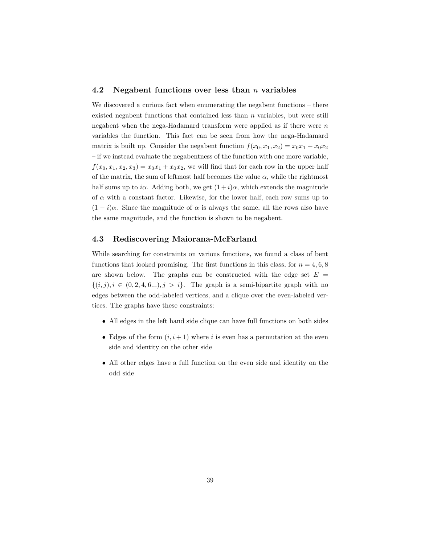### **4.2 Negabent functions over less than** *n* **variables**

We discovered a curious fact when enumerating the negabent functions – there existed negabent functions that contained less than *n* variables, but were still negabent when the nega-Hadamard transform were applied as if there were *n* variables the function. This fact can be seen from how the nega-Hadamard matrix is built up. Consider the negabent function  $f(x_0, x_1, x_2) = x_0x_1 + x_0x_2$ – if we instead evaluate the negabentness of the function with one more variable,  $f(x_0, x_1, x_2, x_3) = x_0x_1 + x_0x_2$ , we will find that for each row in the upper half of the matrix, the sum of leftmost half becomes the value  $\alpha$ , while the rightmost half sums up to *iα*. Adding both, we get  $(1+i)a$ , which extends the magnitude of *α* with a constant factor. Likewise, for the lower half, each row sums up to  $(1 - i)\alpha$ . Since the magnitude of  $\alpha$  is always the same, all the rows also have the same magnitude, and the function is shown to be negabent.

## **4.3 Rediscovering Maiorana-McFarland**

While searching for constraints on various functions, we found a class of bent functions that looked promising. The first functions in this class, for  $n = 4, 6, 8$ are shown below. The graphs can be constructed with the edge set  $E =$  $\{(i, j), i \in (0, 2, 4, 6...)$ ,  $j > i\}$ . The graph is a semi-bipartite graph with no edges between the odd-labeled vertices, and a clique over the even-labeled vertices. The graphs have these constraints:

- All edges in the left hand side clique can have full functions on both sides
- Edges of the form  $(i, i + 1)$  where *i* is even has a permutation at the even side and identity on the other side
- All other edges have a full function on the even side and identity on the odd side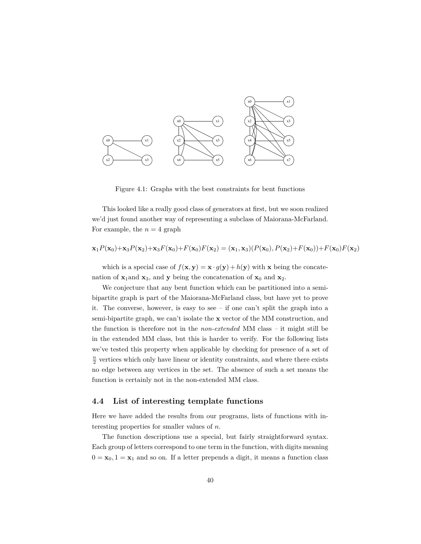

Figure 4.1: Graphs with the best constraints for bent functions

This looked like a really good class of generators at first, but we soon realized we'd just found another way of representing a subclass of Maiorana-McFarland. For example, the  $n = 4$  graph

$$
\mathbf{x}_1 P(\mathbf{x}_0) + \mathbf{x}_3 P(\mathbf{x}_2) + \mathbf{x}_3 F(\mathbf{x}_0) + F(\mathbf{x}_0) F(\mathbf{x}_2) = (\mathbf{x}_1, \mathbf{x}_3) (P(\mathbf{x}_0), P(\mathbf{x}_2) + F(\mathbf{x}_0)) + F(\mathbf{x}_0) F(\mathbf{x}_2)
$$

which is a special case of  $f(\mathbf{x}, \mathbf{y}) = \mathbf{x} \cdot g(\mathbf{y}) + h(\mathbf{y})$  with **x** being the concatenation of  $\mathbf{x}_1$ and  $\mathbf{x}_3$ , and  $\mathbf{y}$  being the concatenation of  $\mathbf{x}_0$  and  $\mathbf{x}_2$ .

We conjecture that any bent function which can be partitioned into a semibipartite graph is part of the Maiorana-McFarland class, but have yet to prove it. The converse, however, is easy to see – if one can't split the graph into a semi-bipartite graph, we can't isolate the **x** vector of the MM construction, and the function is therefore not in the *non-extended* MM class *–* it might still be in the extended MM class, but this is harder to verify. For the following lists we've tested this property when applicable by checking for presence of a set of  $\frac{n}{2}$  vertices which only have linear or identity constraints, and where there exists no edge between any vertices in the set. The absence of such a set means the function is certainly not in the non-extended MM class.

#### **4.4 List of interesting template functions**

Here we have added the results from our programs, lists of functions with interesting properties for smaller values of *n*.

The function descriptions use a special, but fairly straightforward syntax. Each group of letters correspond to one term in the function, with digits meaning  $0 = \mathbf{x}_0, 1 = \mathbf{x}_1$  and so on. If a letter prepends a digit, it means a function class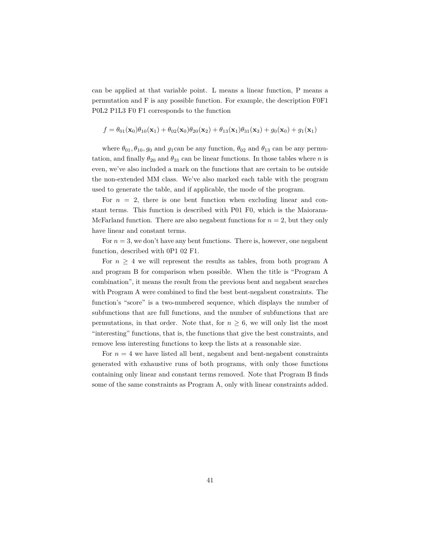can be applied at that variable point. L means a linear function, P means a permutation and F is any possible function. For example, the description F0F1 P0L2 P1L3 F0 F1 corresponds to the function

$$
f = \theta_{01}(\mathbf{x}_0)\theta_{10}(\mathbf{x}_1) + \theta_{02}(\mathbf{x}_0)\theta_{20}(\mathbf{x}_2) + \theta_{13}(\mathbf{x}_1)\theta_{31}(\mathbf{x}_3) + g_0(\mathbf{x}_0) + g_1(\mathbf{x}_1)
$$

where  $\theta_{01}, \theta_{10}, g_0$  and  $g_1$ can be any function,  $\theta_{02}$  and  $\theta_{13}$  can be any permutation, and finally  $\theta_{20}$  and  $\theta_{31}$  can be linear functions. In those tables where *n* is even, we've also included a mark on the functions that are certain to be outside the non-extended MM class. We've also marked each table with the program used to generate the table, and if applicable, the mode of the program.

For  $n = 2$ , there is one bent function when excluding linear and constant terms. This function is described with P01 F0, which is the Maiorana-McFarland function. There are also negabent functions for  $n = 2$ , but they only have linear and constant terms.

For  $n = 3$ , we don't have any bent functions. There is, however, one negabent function, described with 0P1 02 F1.

For  $n \geq 4$  we will represent the results as tables, from both program A and program B for comparison when possible. When the title is "Program A combination", it means the result from the previous bent and negabent searches with Program A were combined to find the best bent-negabent constraints. The function's "score" is a two-numbered sequence, which displays the number of subfunctions that are full functions, and the number of subfunctions that are permutations, in that order. Note that, for  $n \geq 6$ , we will only list the most "interesting" functions, that is, the functions that give the best constraints, and remove less interesting functions to keep the lists at a reasonable size.

For  $n = 4$  we have listed all bent, negabent and bent-negabent constraints generated with exhaustive runs of both programs, with only those functions containing only linear and constant terms removed. Note that Program B finds some of the same constraints as Program A, only with linear constraints added.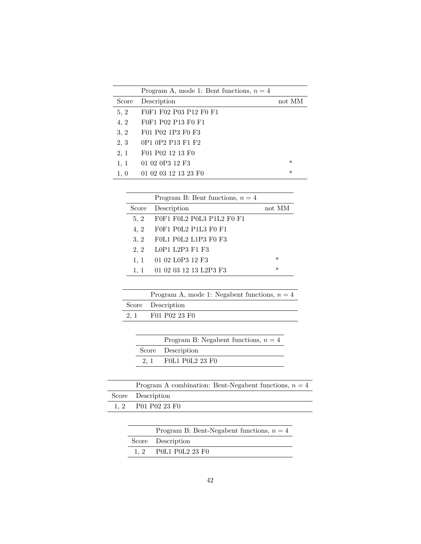|       | Program A, mode 1: Bent functions, $n = 4$ |        |
|-------|--------------------------------------------|--------|
| Score | Description                                | not MM |
| 5, 2  | F0F1 F02 P03 P12 F0 F1                     |        |
| 4, 2  | F0F1 P02 P13 F0 F1                         |        |
| 3, 2  | F01 P02 1P3 F0 F3                          |        |
| 2, 3  | 0P1 0P2 P13 F1 F2                          |        |
| 2, 1  | F01 P02 12 13 F0                           |        |
| 1, 1  | 01 02 0P3 12 F3                            | $\ast$ |
| 1, 0  | 01 02 03 12 13 23 F0                       | $\ast$ |

|       | Program B: Bent functions, $n = 4$ |         |
|-------|------------------------------------|---------|
| Score | Description                        | not MM  |
| 5, 2  | FOF1 FOL2 POL3 P1L2 FO F1          |         |
| 4, 2  | F0F1 P0L2 P1L3 F0 F1               |         |
| 3, 2  | FOL1 POL2 L1P3 FO F3               |         |
| 2, 2  | L0P1 L2P3 F1 F3                    |         |
| 1, 1  | 01 02 L0P3 12 F3                   | $^\ast$ |
| 1, 1  | 01 02 03 12 13 L2P3 F3             | $^\ast$ |

|      | Program A, mode 1: Negabent functions, $n = 4$ |
|------|------------------------------------------------|
|      | Score Description                              |
| 2, 1 | F01 P02 23 F0                                  |

| Program B: Negabent functions, $n = 4$ |
|----------------------------------------|
| Score Description                      |
| 2, 1 FOL1 POL2 23 FO                   |

| Program A combination: Bent-Negabent functions, $n = 4$ |
|---------------------------------------------------------|
| Score Description                                       |
| 1, 2 P01 P02 23 F0                                      |

| Program B: Bent-Negabent functions, $n = 4$ |
|---------------------------------------------|
| Score Description                           |
| 1, 2 POL1 POL2 23 FO                        |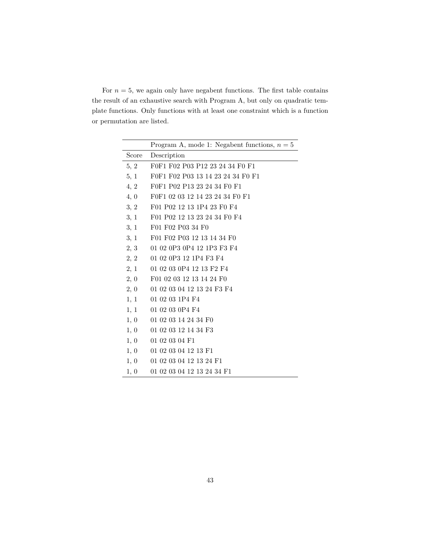For  $n = 5$ , we again only have negabent functions. The first table contains the result of an exhaustive search with Program A, but only on quadratic template functions. Only functions with at least one constraint which is a function or permutation are listed.

|       | Program A, mode 1: Negabent functions, $n = 5$ |
|-------|------------------------------------------------|
| Score | Description                                    |
| 5, 2  | F0F1 F02 P03 P12 23 24 34 F0 F1                |
| 5, 1  | F0F1 F02 P03 13 14 23 24 34 F0 F1              |
| 4, 2  | F0F1 P02 P13 23 24 34 F0 F1                    |
| 4, 0  | F0F1 02 03 12 14 23 24 34 F0 F1                |
| 3, 2  | F01 P02 12 13 1P4 23 F0 F4                     |
| 3, 1  | F01 P02 12 13 23 24 34 F0 F4                   |
| 3, 1  | F01 F02 P03 34 F0                              |
| 3, 1  | F01 F02 P03 12 13 14 34 F0                     |
| 2, 3  | 01 02 0P3 0P4 12 1P3 F3 F4                     |
| 2, 2  | 01 02 0P3 12 1P4 F3 F4                         |
| 2, 1  | 01 02 03 0P4 12 13 F2 F4                       |
| 2, 0  | F01 02 03 12 13 14 24 F0                       |
| 2, 0  | 01 02 03 04 12 13 24 F3 F4                     |
| 1, 1  | 01 02 03 1P4 F4                                |
| 1, 1  | 01 02 03 0P4 F4                                |
| 1, 0  | 01 02 03 14 24 34 F0                           |
| 1, 0  | 01 02 03 12 14 34 F3                           |
| 1, 0  | 01 02 03 04 F1                                 |
| 1, 0  | 01 02 03 04 12 13 F1                           |
| 1, 0  | 01 02 03 04 12 13 24 F1                        |
| 1, 0  | 01 02 03 04 12 13 24 34 F1                     |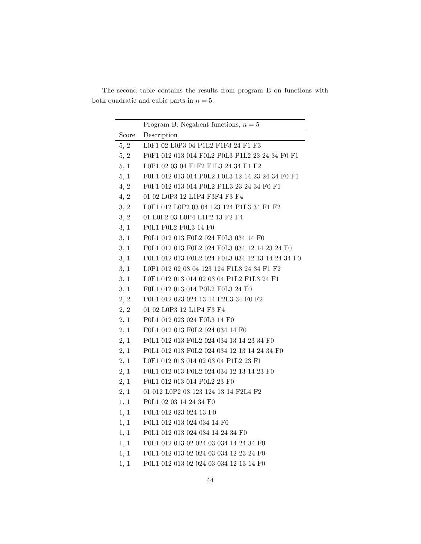The second table contains the results from program B on functions with both quadratic and cubic parts in  $n = 5$ .

|       | Program B: Negabent functions, $n = 5$           |
|-------|--------------------------------------------------|
| Score | Description                                      |
| 5, 2  | L0F1 02 L0P3 04 P1L2 F1F3 24 F1 F3               |
| 5, 2  | F0F1 012 013 014 F0L2 P0L3 P1L2 23 24 34 F0 F1   |
| 5, 1  | L0P1 02 03 04 F1F2 F1L3 24 34 F1 F2              |
| 5, 1  | F0F1 012 013 014 P0L2 F0L3 12 14 23 24 34 F0 F1  |
| 4, 2  | F0F1 012 013 014 P0L2 P1L3 23 24 34 F0 F1        |
| 4, 2  | 01 02 L0P3 12 L1P4 F3F4 F3 F4                    |
| 3, 2  | L0F1 012 L0P2 03 04 123 124 P1L3 34 F1 F2        |
| 3, 2  | 01 L0F2 03 L0P4 L1P2 13 F2 F4                    |
| 3, 1  | P0L1 F0L2 F0L3 14 F0                             |
| 3, 1  | P0L1 012 013 F0L2 024 F0L3 034 14 F0             |
| 3, 1  | P0L1 012 013 F0L2 024 F0L3 034 12 14 23 24 F0    |
| 3, 1  | P0L1 012 013 F0L2 024 F0L3 034 12 13 14 24 34 F0 |
| 3, 1  | L0P1 012 02 03 04 123 124 F1L3 24 34 F1 F2       |
| 3, 1  | L0F1 012 013 014 02 03 04 P1L2 F1L3 24 F1        |
| 3, 1  | F0L1 012 013 014 P0L2 F0L3 24 F0                 |
| 2, 2  | P0L1 012 023 024 13 14 P2L3 34 F0 F2             |
| 2, 2  | 01 02 L0P3 12 L1P4 F3 F4                         |
| 2, 1  | P0L1 012 023 024 F0L3 14 F0                      |
| 2, 1  | P0L1 012 013 F0L2 024 034 14 F0                  |
| 2, 1  | P0L1 012 013 F0L2 024 034 13 14 23 34 F0         |
| 2, 1  | P0L1 012 013 F0L2 024 034 12 13 14 24 34 F0      |
| 2, 1  | L0F1 012 013 014 02 03 04 P1L2 23 F1             |
| 2, 1  | F0L1 012 013 P0L2 024 034 12 13 14 23 F0         |
| 2, 1  | F0L1 012 013 014 P0L2 23 F0                      |
| 2, 1  | 01 012 L0P2 03 123 124 13 14 F2L4 F2             |
| 1, 1  | P0L1 02 03 14 24 34 F0                           |
| 1, 1  | P0L1 012 023 024 13 F0                           |
| 1, 1  | P0L1 012 013 024 034 14 F0                       |
| 1, 1  | P0L1 012 013 024 034 14 24 34 F0                 |
| 1, 1  | P0L1 012 013 02 024 03 034 14 24 34 F0           |
| 1, 1  | P0L1 012 013 02 024 03 034 12 23 24 F0           |
| 1, 1  | P0L1 012 013 02 024 03 034 12 13 14 F0           |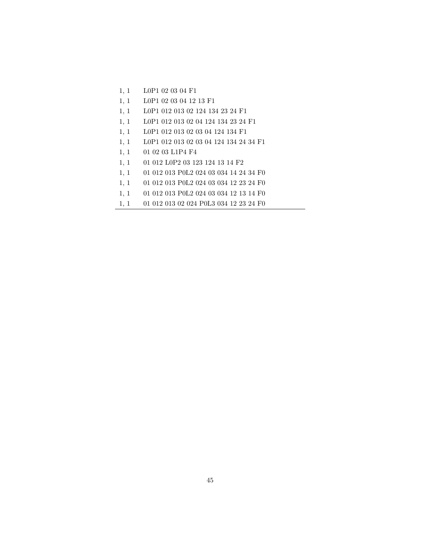- 1, 1 L0P1 02 03 04 F1
- 1, 1 L0P1 02 03 04 12 13 F1
- 1, 1 L0P1 012 013 02 124 134 23 24 F1
- 1, 1 L0P1 012 013 02 04 124 134 23 24 F1
- 1, 1 L0P1 012 013 02 03 04 124 134 F1
- 1, 1 L0P1 012 013 02 03 04 124 134 24 34 F1
- 1, 1 01 02 03 L1P4 F4
- 1, 1 01 012 L0P2 03 123 124 13 14 F2
- 1, 1 01 012 013 P0L2 024 03 034 14 24 34 F0
- 1, 1 01 012 013 P0L2 024 03 034 12 23 24 F0
- 1, 1 01 012 013 P0L2 024 03 034 12 13 14 F0
- 1, 1 01 012 013 02 024 P0L3 034 12 23 24 F0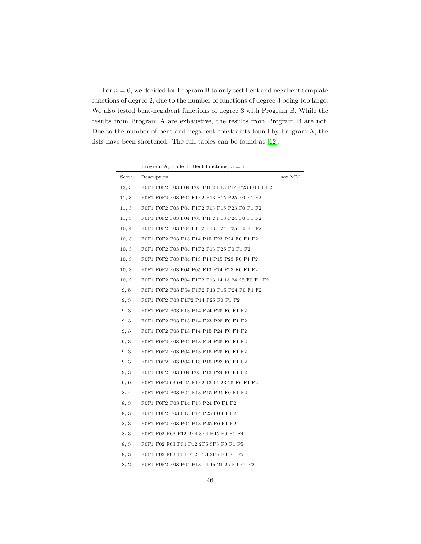For  $n = 6$ , we decided for Program B to only test bent and negabent template functions of degree 2, due to the number of functions of degree 3 being too large. We also tested bent-negabent functions of degree 3 with Program B. While the results from Program A are exhaustive, the results from Program B are not. Due to the number of bent and negabent constraints found by Program A, the lists have been shortened. The full tables can be found at [\[12\]](#page-75-0).

|       | Program A, mode 1: Bent functions, $n = 6$      |        |
|-------|-------------------------------------------------|--------|
| Score | Description                                     | not MM |
| 12, 3 | F0F1 F0F2 F03 F04 P05 F1F2 F13 P14 P23 F0 F1 F2 |        |
| 11, 3 | F0F1 F0F2 F03 P04 F1F2 P13 F15 P25 F0 F1 F2     |        |
| 11, 3 | F0F1 F0F2 F03 P04 F1F2 F13 P15 P23 F0 F1 F2     |        |
| 11, 3 | F0F1 F0F2 F03 F04 P05 F1F2 P13 P24 F0 F1 F2     |        |
| 10, 4 | F0F1 F0F2 F03 P04 F1F2 P13 P24 P25 F0 F1 F2     |        |
| 10, 3 | F0F1 F0F2 P03 F13 F14 P15 F23 P24 F0 F1 F2      |        |
| 10, 3 | F0F1 F0F2 F03 P04 F1F2 P13 P25 F0 F1 F2         |        |
| 10, 3 | F0F1 F0F2 F03 P04 F13 F14 P15 P23 F0 F1 F2      |        |
| 10, 3 | F0F1 F0F2 F03 F04 P05 F13 P14 P23 F0 F1 F2      |        |
| 10, 2 | F0F1 F0F2 F03 P04 F1F2 P13 14 15 24 25 F0 F1 F2 |        |
| 9, 5  | F0F1 F0F2 P03 P04 F1F2 P13 P15 P24 F0 F1 F2     |        |
| 9, 3  | F0F1 F0F2 P03 F1F2 P14 P25 F0 F1 F2             |        |
| 9, 3  | F0F1 F0F2 P03 F13 P14 F24 P25 F0 F1 F2          |        |
| 9, 3  | F0F1 F0F2 P03 F13 P14 F23 P25 F0 F1 F2          |        |
| 9, 3  | F0F1 F0F2 P03 F13 F14 P15 P24 F0 F1 F2          |        |
| 9, 3  | F0F1 F0F2 F03 P04 P13 F24 P25 F0 F1 F2          |        |
| 9, 3  | F0F1 F0F2 F03 P04 P13 F15 P25 F0 F1 F2          |        |
| 9, 3  | F0F1 F0F2 F03 P04 F13 P15 P23 F0 F1 F2          |        |
| 9, 3  | F0F1 F0F2 F03 F04 P05 P13 P24 F0 F1 F2          |        |
| 9, 0  | F0F1 F0F2 03 04 05 F1F2 13 14 23 25 F0 F1 F2    |        |
| 8, 4  | F0F1 F0F2 P03 P04 F13 P15 P24 F0 F1 F2          |        |
| 8, 3  | F0F1 F0F2 P03 F14 P15 P24 F0 F1 F2              |        |
| 8, 3  | F0F1 F0F2 P03 F13 P14 P25 F0 F1 F2              |        |
| 8, 3  | F0F1 F0F2 F03 P04 P13 P25 F0 F1 F2              |        |
| 8, 3  | F0F1 F02 P03 P12 2F4 3F4 P45 F0 F1 F4           |        |
| 8, 3  | F0F1 F02 F03 P04 P12 2F5 3P5 F0 F1 F5           |        |
| 8, 3  | F0F1 F02 F03 P04 F12 P13 2P5 F0 F1 F5           |        |
| 8, 2  | F0F1 F0F2 F03 P04 P13 14 15 24 25 F0 F1 F2      |        |
|       |                                                 |        |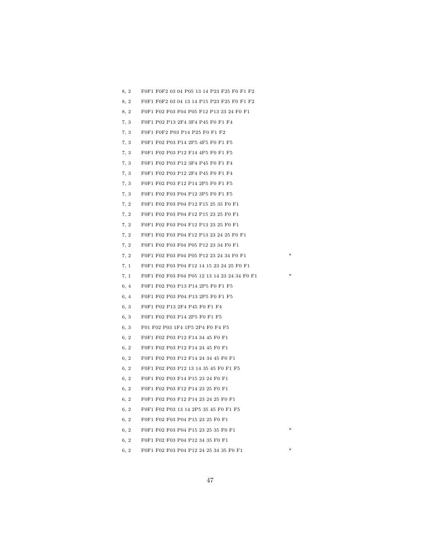8, 2 F0F1 F0F2 03 04 P05 13 14 P23 F25 F0 F1 F2 8, 2 F0F1 F0F2 03 04 13 14 P15 P23 F25 F0 F1 F2 8, 2 F0F1 F02 F03 F04 P05 F12 P13 23 24 F0 F1 7, 3 F0F1 P02 P13 2F4 3F4 P45 F0 F1 F4 7, 3 F0F1 F0F2 P03 P14 P25 F0 F1 F2 7, 3 F0F1 F02 P03 P14 2P5 4F5 F0 F1 F5 7, 3 F0F1 F02 P03 P12 F14 4P5 F0 F1 F5 7, 3 F0F1 F02 P03 P12 3F4 P45 F0 F1 F4 7, 3 F0F1 F02 P03 P12 2F4 P45 F0 F1 F4 7, 3 F0F1 F02 P03 F12 P14 2P5 F0 F1 F5 7, 3 F0F1 F02 F03 P04 P12 3P5 F0 F1 F5 7, 2 F0F1 F02 F03 P04 P12 F15 25 35 F0 F1 7, 2 F0F1 F02 F03 P04 F12 P15 23 25 F0 F1 7, 2 F0F1 F02 F03 P04 F12 P13 23 25 F0 F1 7, 2 F0F1 F02 F03 P04 F12 P13 23 24 25 F0 F1 7, 2 F0F1 F02 F03 F04 P05 P12 23 34 F0 F1 7, 2 F0F1 F02 F03 F04 P05 P12 23 24 34 F0 F1 \* 7, 1 F0F1 F02 F03 P04 F12 14 15 23 24 25 F0 F1 7, 1 F0F1 F02 F03 F04 P05 12 13 14 23 24 34 F0 F1 \* 6, 4 F0F1 F02 P03 P13 P14 2P5 F0 F1 F5 6, 4 F0F1 F02 P03 P04 P13 2P5 F0 F1 F5 6, 3 F0F1 P02 P13 2F4 P45 F0 F1 F4 6, 3 F0F1 F02 P03 P14 2P5 F0 F1 F5 6, 3 F01 F02 P03 1F4 1P5 2P4 F0 F4 F5 6, 2 F0F1 F02 P03 P12 F14 34 45 F0 F1 6, 2 F0F1 F02 P03 P12 F14 24 45 F0 F1 6, 2 F0F1 F02 P03 P12 F14 24 34 45 F0 F1 6, 2 F0F1 F02 P03 P12 13 14 35 45 F0 F1 F5 6, 2 F0F1 F02 P03 F14 P15 23 24 F0 F1 6, 2 F0F1 F02 P03 F12 P14 23 25 F0 F1 6, 2 F0F1 F02 P03 F12 P14 23 24 25 F0 F1 6, 2 F0F1 F02 P03 13 14 2P5 35 45 F0 F1 F5 6, 2 F0F1 F02 F03 P04 P15 23 25 F0 F1 6, 2 F0F1 F02 F03 P04 P15 23 25 35 F0 F1 \* 6, 2 F0F1 F02 F03 P04 P12 34 35 F0 F1

6, 2 F0F1 F02 F03 P04 P12 24 25 34 35 F0 F1 \*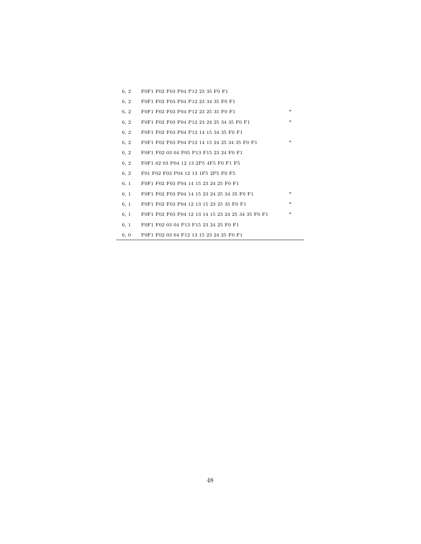| 6, 2 | F0F1 F02 F03 P04 P12 23 35 F0 F1                  |     |
|------|---------------------------------------------------|-----|
| 6, 2 | F0F1 F02 F03 P04 P12 23 34 35 F0 F1               |     |
| 6, 2 | F0F1 F02 F03 P04 P12 23 25 35 F0 F1               | $*$ |
| 6, 2 | F0F1 F02 F03 P04 P12 23 24 25 34 35 F0 F1         | $*$ |
| 6, 2 | F0F1 F02 F03 P04 P12 14 15 34 35 F0 F1            |     |
| 6, 2 | F0F1 F02 F03 P04 P12 14 15 24 25 34 35 F0 F1      | $*$ |
| 6, 2 | F0F1 F02 03 04 P05 P13 F15 23 24 F0 F1            |     |
| 6, 2 | F0F1 02 03 P04 12 13 2P5 4F5 F0 F1 F5             |     |
| 6, 2 | F01 F02 F03 P04 12 13 1F5 2P5 F0 F5               |     |
| 6, 1 | F0F1 F02 F03 P04 14 15 23 24 25 F0 F1             |     |
| 6, 1 | F0F1 F02 F03 P04 14 15 23 24 25 34 35 F0 F1       | $*$ |
| 6, 1 | F0F1 F02 F03 P04 12 13 15 23 25 35 F0 F1          | $*$ |
| 6, 1 | F0F1 F02 F03 P04 12 13 14 15 23 24 25 34 35 F0 F1 | *   |
| 6, 1 | F0F1 F02 03 04 P13 F15 23 24 25 F0 F1             |     |
| 6, 0 | F0F1 F02 03 04 F12 13 15 23 24 25 F0 F1           |     |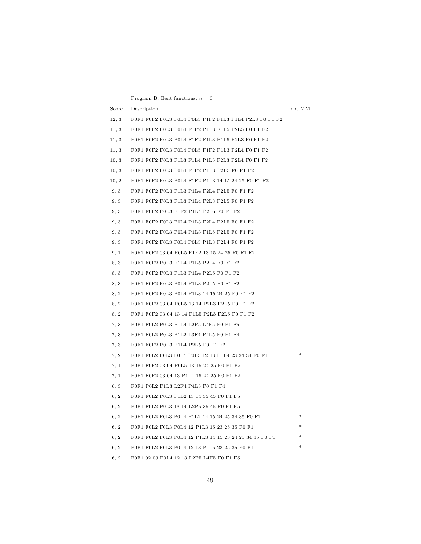|       | Program B: Bent functions, $n = 6$                     |        |
|-------|--------------------------------------------------------|--------|
| Score | Description                                            | not MM |
| 12, 3 | F0F1 F0F2 F0L3 F0L4 P0L5 F1F2 F1L3 P1L4 P2L3 F0 F1 F2  |        |
| 11, 3 | F0F1 F0F2 F0L3 P0L4 F1F2 P1L3 F1L5 P2L5 F0 F1 F2       |        |
| 11, 3 | F0F1 F0F2 F0L3 P0L4 F1F2 F1L3 P1L5 P2L3 F0 F1 F2       |        |
| 11, 3 | F0F1 F0F2 F0L3 F0L4 P0L5 F1F2 P1L3 P2L4 F0 F1 F2       |        |
| 10, 3 | F0F1 F0F2 P0L3 F1L3 F1L4 P1L5 F2L3 P2L4 F0 F1 F2       |        |
| 10, 3 | F0F1 F0F2 F0L3 P0L4 F1F2 P1L3 P2L5 F0 F1 F2            |        |
| 10, 2 | F0F1 F0F2 F0L3 P0L4 F1F2 P1L3 14 15 24 25 F0 F1 F2     |        |
| 9, 3  | F0F1 F0F2 P0L3 F1L3 P1L4 F2L4 P2L5 F0 F1 F2            |        |
| 9, 3  | F0F1 F0F2 P0L3 F1L3 P1L4 F2L3 P2L5 F0 F1 F2            |        |
| 9, 3  | F0F1 F0F2 P0L3 F1F2 P1L4 P2L5 F0 F1 F2                 |        |
| 9, 3  | F0F1 F0F2 F0L3 P0L4 P1L3 F2L4 P2L5 F0 F1 F2            |        |
| 9, 3  | F0F1 F0F2 F0L3 P0L4 P1L3 F1L5 P2L5 F0 F1 F2            |        |
| 9, 3  | F0F1 F0F2 F0L3 F0L4 P0L5 P1L3 P2L4 F0 F1 F2            |        |
| 9, 1  | F0F1 F0F2 03 04 P0L5 F1F2 13 15 24 25 F0 F1 F2         |        |
| 8, 3  | F0F1 F0F2 P0L3 F1L4 P1L5 P2L4 F0 F1 F2                 |        |
| 8.3   | F0F1 F0F2 P0L3 F1L3 P1L4 P2L5 F0 F1 F2                 |        |
| 8, 3  | F0F1 F0F2 F0L3 P0L4 P1L3 P2L5 F0 F1 F2                 |        |
| 8, 2  | F0F1 F0F2 F0L3 P0L4 P1L3 14 15 24 25 F0 F1 F2          |        |
| 8, 2  | F0F1 F0F2 03 04 P0L5 13 14 P2L3 F2L5 F0 F1 F2          |        |
| 8, 2  | F0F1 F0F2 03 04 13 14 P1L5 P2L3 F2L5 F0 F1 F2          |        |
| 7, 3  | F0F1 F0L2 P0L3 P1L4 L2P5 L4F5 F0 F1 F5                 |        |
| 7, 3  | F0F1 F0L2 P0L3 P1L2 L3F4 P4L5 F0 F1 F4                 |        |
| 7, 3  | F0F1 F0F2 P0L3 P1L4 P2L5 F0 F1 F2                      |        |
| 7, 2  | F0F1 F0L2 F0L3 F0L4 P0L5 12 13 P1L4 23 24 34 F0 F1     | $\ast$ |
| 7, 1  | F0F1 F0F2 03 04 P0L5 13 15 24 25 F0 F1 F2              |        |
| 7, 1  | F0F1 F0F2 03 04 13 P1L4 15 24 25 F0 F1 F2              |        |
| 6, 3  | F0F1 P0L2 P1L3 L2F4 P4L5 F0 F1 F4                      |        |
| 6, 2  | F0F1 F0L2 P0L3 P1L2 13 14 35 45 F0 F1 F5               |        |
| 6, 2  | F0F1 F0L2 P0L3 13 14 L2P5 35 45 F0 F1 F5               |        |
| 6, 2  | F0F1 F0L2 F0L3 P0L4 P1L2 14 15 24 25 34 35 F0 F1       | *      |
| 6, 2  | F0F1 F0L2 F0L3 P0L4 12 P1L3 15 23 25 35 F0 F1          |        |
| 6, 2  | F0F1 F0L2 F0L3 P0L4 12 P1L3 14 15 23 24 25 34 35 F0 F1 |        |
| 6, 2  | F0F1 F0L2 F0L3 P0L4 12 13 P1L5 23 25 35 F0 F1          |        |
| 6, 2  | F0F1 02 03 P0L4 12 13 L2P5 L4F5 F0 F1 F5               |        |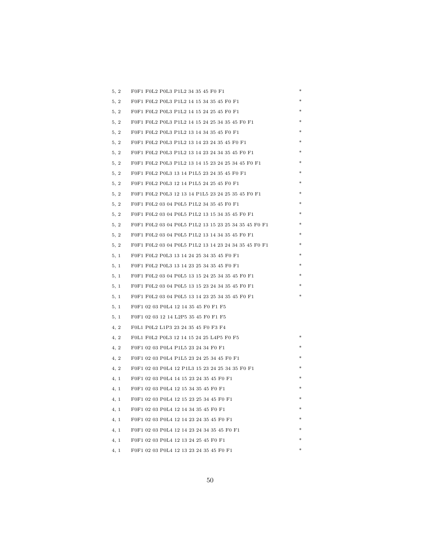| 5, 2 | F0F1 F0L2 P0L3 P1L2 34 35 45 F0 F1                   |  |
|------|------------------------------------------------------|--|
| 5, 2 | F0F1 F0L2 P0L3 P1L2 14 15 34 35 45 F0 F1             |  |
| 5, 2 | F0F1 F0L2 P0L3 P1L2 14 15 24 25 45 F0 F1             |  |
| 5, 2 | F0F1 F0L2 P0L3 P1L2 14 15 24 25 34 35 45 F0 F1       |  |
| 5, 2 | F0F1 F0L2 P0L3 P1L2 13 14 34 35 45 F0 F1             |  |
| 5, 2 | F0F1 F0L2 P0L3 P1L2 13 14 23 24 35 45 F0 F1          |  |
| 5, 2 | F0F1 F0L2 P0L3 P1L2 13 14 23 24 34 35 45 F0 F1       |  |
| 5, 2 | F0F1 F0L2 P0L3 P1L2 13 14 15 23 24 25 34 45 F0 F1    |  |
| 5, 2 | F0F1 F0L2 P0L3 13 14 P1L5 23 24 35 45 F0 F1          |  |
| 5, 2 | F0F1 F0L2 P0L3 12 14 P1L5 24 25 45 F0 F1             |  |
| 5, 2 | F0F1 F0L2 P0L3 12 13 14 P1L5 23 24 25 35 45 F0 F1    |  |
| 5, 2 | F0F1 F0L2 03 04 P0L5 P1L2 34 35 45 F0 F1             |  |
| 5, 2 | F0F1 F0L2 03 04 P0L5 P1L2 13 15 34 35 45 F0 F1       |  |
| 5, 2 | F0F1 F0L2 03 04 P0L5 P1L2 13 15 23 25 34 35 45 F0 F1 |  |
| 5, 2 | F0F1 F0L2 03 04 P0L5 P1L2 13 14 34 35 45 F0 F1       |  |
| 5, 2 | F0F1 F0L2 03 04 P0L5 P1L2 13 14 23 24 34 35 45 F0 F1 |  |
| 5, 1 | F0F1 F0L2 P0L3 13 14 24 25 34 35 45 F0 F1            |  |
| 5, 1 | F0F1 F0L2 P0L3 13 14 23 25 34 35 45 F0 F1            |  |
| 5, 1 | F0F1 F0L2 03 04 P0L5 13 15 24 25 34 35 45 F0 F1      |  |
| 5, 1 | F0F1 F0L2 03 04 P0L5 13 15 23 24 34 35 45 F0 F1      |  |
| 5, 1 | F0F1 F0L2 03 04 P0L5 13 14 23 25 34 35 45 F0 F1      |  |
| 5, 1 | F0F1 02 03 P0L4 12 14 35 45 F0 F1 F5                 |  |
| 5, 1 | F0F1 02 03 12 14 L2P5 35 45 F0 F1 F5                 |  |
| 4, 2 | F0L1 P0L2 L1P3 23 24 35 45 F0 F3 F4                  |  |
| 4, 2 | F0L1 F0L2 P0L3 12 14 15 24 25 L4P5 F0 F5             |  |
| 4, 2 | F0F1 02 03 P0L4 P1L5 23 24 34 F0 F1                  |  |
| 4, 2 | F0F1 02 03 P0L4 P1L5 23 24 25 34 45 F0 F1            |  |
| 4, 2 | F0F1 02 03 P0L4 12 P1L3 15 23 24 25 34 35 F0 F1      |  |
| 4, 1 | F0F1 02 03 P0L4 14 15 23 24 35 45 F0 F1              |  |
| 4, 1 | F0F1 02 03 P0L4 12 15 34 35 45 F0 F1                 |  |
| 4, 1 | F0F1 02 03 P0L4 12 15 23 25 34 45 F0 F1              |  |
| 4.1  | F0F1 02 03 P0L4 12 14 34 35 45 F0 F1                 |  |
| 4, 1 | F0F1 02 03 P0L4 12 14 23 24 35 45 F0 F1              |  |
| 4, 1 | F0F1 02 03 P0L4 12 14 23 24 34 35 45 F0 F1           |  |
| 4, 1 | F0F1 02 03 P0L4 12 13 24 25 45 F0 F1                 |  |
| 4, 1 | F0F1 02 03 P0L4 12 13 23 24 35 45 F0 F1              |  |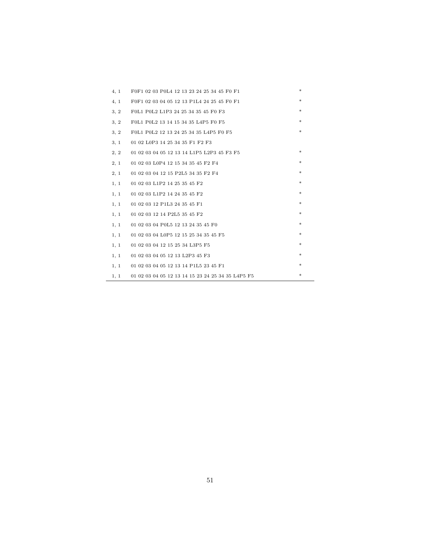| 4, 1 | F0F1 02 03 P0L4 12 13 23 24 25 34 45 F0 F1        | * |
|------|---------------------------------------------------|---|
| 4, 1 | F0F1 02 03 04 05 12 13 P1L4 24 25 45 F0 F1        | * |
| 3, 2 | F0L1 P0L2 L1P3 24 25 34 35 45 F0 F3               | * |
| 3, 2 | F0L1 P0L2 13 14 15 34 35 L4P5 F0 F5               | * |
| 3, 2 | F0L1 P0L2 12 13 24 25 34 35 L4P5 F0 F5            | * |
| 3, 1 | 01 02 L0P3 14 25 34 35 F1 F2 F3                   |   |
| 2, 2 | 01 02 03 04 05 12 13 14 L1P5 L2P3 45 F3 F5        | * |
| 2, 1 | 01 02 03 L0P4 12 15 34 35 45 F2 F4                | * |
| 2, 1 | 01 02 03 04 12 15 P2L5 34 35 F2 F4                | * |
| 1, 1 | 01 02 03 L1P2 14 25 35 45 F2                      | * |
| 1, 1 | 01 02 03 L1P2 14 24 35 45 F2                      | * |
| 1, 1 | 01 02 03 12 P1L3 24 35 45 F1                      | * |
| 1, 1 | 01 02 03 12 14 P2L5 35 45 F2                      | * |
| 1, 1 | 01 02 03 04 P0L5 12 13 24 35 45 F0                | * |
| 1, 1 | 01 02 03 04 L0P5 12 15 25 34 35 45 F5             | * |
| 1, 1 | 01 02 03 04 12 15 25 34 L3P5 F5                   | * |
| 1, 1 | 01 02 03 04 05 12 13 L2P3 45 F3                   | * |
| 1, 1 | 01 02 03 04 05 12 13 14 P1L5 23 45 F1             | * |
| 1, 1 | 01 02 03 04 05 12 13 14 15 23 24 25 34 35 L4P5 F5 | * |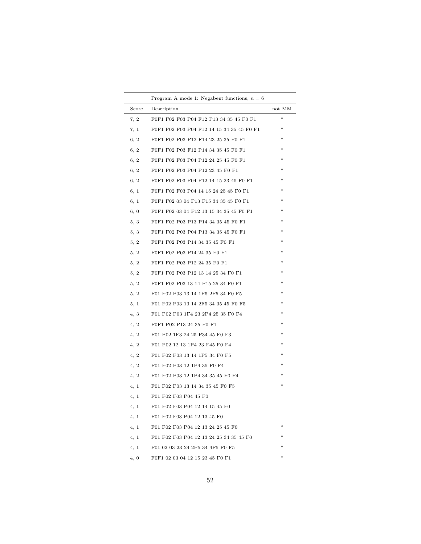|       | Program A mode 1: Negabent functions, $n = 6$ |        |
|-------|-----------------------------------------------|--------|
| Score | Description                                   | not MM |
| 7, 2  | F0F1 F02 F03 P04 F12 P13 34 35 45 F0 F1       | $*$    |
| 7, 1  | F0F1 F02 F03 P04 F12 14 15 34 35 45 F0 F1     | ∗      |
| 6, 2  | F0F1 F02 P03 P12 F14 23 25 35 F0 F1           | *      |
| 6, 2  | F0F1 F02 P03 F12 P14 34 35 45 F0 F1           | ∗      |
| 6, 2  | F0F1 F02 F03 P04 P12 24 25 45 F0 F1           | *      |
| 6, 2  | F0F1 F02 F03 P04 P12 23 45 F0 F1              | *      |
| 6, 2  | F0F1 F02 F03 P04 P12 14 15 23 45 F0 F1        | *      |
| 6, 1  | F0F1 F02 F03 P04 14 15 24 25 45 F0 F1         | *      |
| 6, 1  | F0F1 F02 03 04 P13 F15 34 35 45 F0 F1         | *      |
| 6, 0  | F0F1 F02 03 04 F12 13 15 34 35 45 F0 F1       | *      |
| 5, 3  | F0F1 F02 P03 P13 P14 34 35 45 F0 F1           | $\ast$ |
| 5, 3  | F0F1 F02 P03 P04 P13 34 35 45 F0 F1           | $\ast$ |
| 5, 2  | F0F1 F02 P03 P14 34 35 45 F0 F1               | $\ast$ |
| 5, 2  | F0F1 F02 P03 P14 24 35 F0 F1                  | $\ast$ |
| 5, 2  | F0F1 F02 P03 P12 24 35 F0 F1                  | $\ast$ |
| 5, 2  | F0F1 F02 P03 P12 13 14 25 34 F0 F1            | $\ast$ |
| 5, 2  | F0F1 F02 P03 13 14 P15 25 34 F0 F1            | $\ast$ |
| 5, 2  | F01 F02 P03 13 14 1P5 2F5 34 F0 F5            | $\ast$ |
| 5, 1  | F01 F02 P03 13 14 2F5 34 35 45 F0 F5          | ∗      |
| 4, 3  | F01 P02 P03 1F4 23 2P4 25 35 F0 F4            | ∗      |
| 4, 2  | F0F1 P02 P13 24 35 F0 F1                      | ∗      |
| 4, 2  | F01 P02 1F3 24 25 P34 45 F0 F3                | ∗      |
| 4, 2  | F01 P02 12 13 1P4 23 F45 F0 F4                | ∗      |
| 4, 2  | F01 F02 P03 13 14 1P5 34 F0 F5                | ∗      |
| 4, 2  | F01 F02 P03 12 1P4 35 F0 F4                   | ∗      |
| 4, 2  | F01 F02 P03 12 1P4 34 35 45 F0 F4             | *      |
| 4, 1  | F01 F02 P03 13 14 34 35 45 F0 F5              | ∗      |
| 4, 1  | F01 F02 F03 P04 45 F0                         |        |
| 4, 1  | F01 F02 F03 P04 12 14 15 45 F0                |        |
| 4, 1  | F01 F02 F03 P04 12 13 45 F0                   |        |
| 4, 1  | F01 F02 F03 P04 12 13 24 25 45 F0             | *      |
| 4, 1  | F01 F02 F03 P04 12 13 24 25 34 35 45 F0       |        |
| 4, 1  | F01 02 03 23 24 2P5 34 4F5 F0 F5              | *      |
| 4,0   | F0F1 02 03 04 12 15 23 45 F0 F1               | ×      |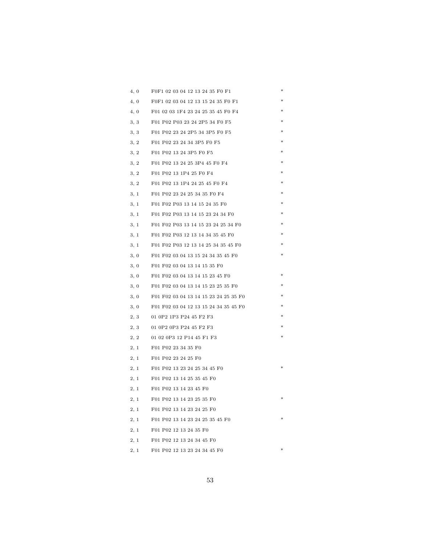| 4,0  | F0F1 02 03 04 12 13 24 35 F0 F1       | ∗ |
|------|---------------------------------------|---|
| 4,0  | F0F1 02 03 04 12 13 15 24 35 F0 F1    |   |
| 4,0  | F01 02 03 1F4 23 24 25 35 45 F0 F4    |   |
| 3, 3 | F01 P02 P03 23 24 2P5 34 F0 F5        |   |
| 3, 3 | F01 P02 23 24 2P5 34 3P5 F0 F5        |   |
| 3, 2 | F01 P02 23 24 34 3P5 F0 F5            |   |
| 3, 2 | F01 P02 13 24 3P5 F0 F5               |   |
| 3, 2 | F01 P02 13 24 25 3P4 45 F0 F4         |   |
| 3, 2 | F01 P02 13 1P4 25 F0 F4               |   |
| 3, 2 | F01 P02 13 1P4 24 25 45 F0 F4         |   |
| 3, 1 | F01 P02 23 24 25 34 35 F0 F4          |   |
| 3, 1 | F01 F02 P03 13 14 15 24 35 F0         | ∗ |
| 3, 1 | F01 F02 P03 13 14 15 23 24 34 F0      | ∗ |
| 3, 1 | F01 F02 P03 13 14 15 23 24 25 34 F0   |   |
| 3, 1 | F01 F02 P03 12 13 14 34 35 45 F0      |   |
| 3, 1 | F01 F02 P03 12 13 14 25 34 35 45 F0   |   |
| 3, 0 | F01 F02 03 04 13 15 24 34 35 45 F0    |   |
| 3, 0 | F01 F02 03 04 13 14 15 35 F0          |   |
| 3, 0 | F01 F02 03 04 13 14 15 23 45 F0       |   |
| 3, 0 | F01 F02 03 04 13 14 15 23 25 35 F0    |   |
| 3, 0 | F01 F02 03 04 13 14 15 23 24 25 35 F0 |   |
| 3, 0 | F01 F02 03 04 12 13 15 24 34 35 45 F0 |   |
| 2, 3 | 01 0P2 1P3 P24 45 F2 F3               |   |
| 2, 3 | 01 0P2 0P3 P24 45 F2 F3               |   |
| 2, 2 | 01 02 0P3 12 P14 45 F1 F3             |   |
| 2, 1 | F01 P02 23 34 35 F0                   |   |
| 2, 1 | F01 P02 23 24 25 F0                   |   |
| 2, 1 | F01 P02 13 23 24 25 34 45 F0          |   |
| 2, 1 | F01 P02 13 14 25 35 45 F0             |   |
| 2, 1 | F01 P02 13 14 23 45 F0                |   |
| 2, 1 | F01 P02 13 14 23 25 35 F0             |   |
| 2, 1 | F01 P02 13 14 23 24 25 F0             |   |
| 2, 1 | F01 P02 13 14 23 24 25 35 45 F0       |   |
| 2, 1 | F01 P02 12 13 24 35 F0                |   |
| 2, 1 | F01 P02 12 13 24 34 45 F0             |   |
| 2,1  | F01 P02 12 13 23 24 34 45 F0          |   |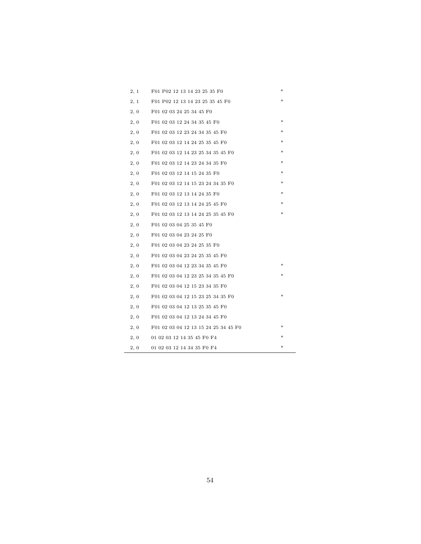| 2, 1 | F01 P02 12 13 14 23 25 35 F0         | $\ast$ |
|------|--------------------------------------|--------|
| 2, 1 | F01 P02 12 13 14 23 25 35 45 F0      | *      |
| 2, 0 | F01 02 03 24 25 34 45 F0             |        |
| 2, 0 | F01 02 03 12 24 34 35 45 F0          | $\ast$ |
| 2, 0 | F01 02 03 12 23 24 34 35 45 F0       | *      |
| 2, 0 | F01 02 03 12 14 24 25 35 45 F0       | *      |
| 2, 0 | F01 02 03 12 14 23 25 34 35 45 F0    | $\ast$ |
| 2, 0 | F01 02 03 12 14 23 24 34 35 F0       | ∗      |
| 2, 0 | F01 02 03 12 14 15 24 35 F0          | ∗      |
| 2, 0 | F01 02 03 12 14 15 23 24 34 35 F0    | *      |
| 2, 0 | F01 02 03 12 13 14 24 35 F0          | *      |
| 2,0  | F01 02 03 12 13 14 24 25 45 F0       |        |
| 2, 0 | F01 02 03 12 13 14 24 25 35 45 F0    | *      |
| 2, 0 | F01 02 03 04 25 35 45 F0             |        |
| 2, 0 | F01 02 03 04 23 24 25 F0             |        |
| 2, 0 | F01 02 03 04 23 24 25 35 F0          |        |
| 2, 0 | F01 02 03 04 23 24 25 35 45 F0       |        |
| 2, 0 | F01 02 03 04 12 23 34 35 45 F0       | *      |
| 2, 0 | F01 02 03 04 12 23 25 34 35 45 F0    |        |
| 2, 0 | F01 02 03 04 12 15 23 34 35 F0       |        |
| 2, 0 | F01 02 03 04 12 15 23 25 34 35 F0    | *      |
| 2, 0 | F01 02 03 04 12 13 25 35 45 F0       |        |
| 2, 0 | F01 02 03 04 12 13 24 34 45 F0       |        |
| 2, 0 | F01 02 03 04 12 13 15 24 25 34 45 F0 | *      |
| 2, 0 | 01 02 03 12 14 35 45 F0 F4           | *      |
| 2, 0 | 01 02 03 12 14 34 35 F0 F4           | *      |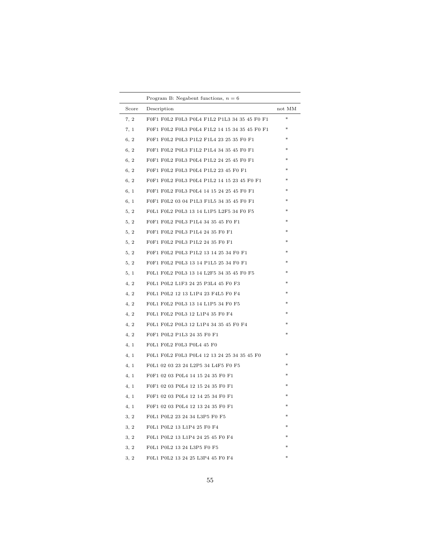|       | Program B: Negabent functions, $n = 6$        |        |
|-------|-----------------------------------------------|--------|
| Score | Description                                   | not MM |
| 7, 2  | F0F1 F0L2 F0L3 P0L4 F1L2 P1L3 34 35 45 F0 F1  | *      |
| 7, 1  | F0F1 F0L2 F0L3 P0L4 F1L2 14 15 34 35 45 F0 F1 | *      |
| 6, 2  | F0F1 F0L2 P0L3 P1L2 F1L4 23 25 35 F0 F1       | *      |
| 6, 2  | F0F1 F0L2 P0L3 F1L2 P1L4 34 35 45 F0 F1       | *      |
| 6, 2  | F0F1 F0L2 F0L3 P0L4 P1L2 24 25 45 F0 F1       | *      |
| 6, 2  | F0F1 F0L2 F0L3 P0L4 P1L2 23 45 F0 F1          | ×      |
| 6, 2  | F0F1 F0L2 F0L3 P0L4 P1L2 14 15 23 45 F0 F1    | *      |
| 6, 1  | F0F1 F0L2 F0L3 P0L4 14 15 24 25 45 F0 F1      | ×      |
| 6, 1  | F0F1 F0L2 03 04 P1L3 F1L5 34 35 45 F0 F1      | $\ast$ |
| 5, 2  | FOL1 FOL2 POL3 13 14 L1P5 L2F5 34 FO F5       | $\ast$ |
| 5, 2  | F0F1 F0L2 P0L3 P1L4 34 35 45 F0 F1            | $\ast$ |
| 5, 2  | F0F1 F0L2 P0L3 P1L4 24 35 F0 F1               | *      |
| 5, 2  | F0F1 F0L2 P0L3 P1L2 24 35 F0 F1               | *      |
| 5, 2  | F0F1 F0L2 P0L3 P1L2 13 14 25 34 F0 F1         | *      |
| 5, 2  | F0F1 F0L2 P0L3 13 14 P1L5 25 34 F0 F1         | $\ast$ |
| 5, 1  | FOL1 FOL2 POL3 13 14 L2F5 34 35 45 FO F5      | *      |
| 4, 2  | F0L1 P0L2 L1F3 24 25 P3L4 45 F0 F3            | $\ast$ |
| 4, 2  | F0L1 P0L2 12 13 L1P4 23 F4L5 F0 F4            | *      |
| 4, 2  | F0L1 F0L2 P0L3 13 14 L1P5 34 F0 F5            | *      |
| 4, 2  | F0L1 F0L2 P0L3 12 L1P4 35 F0 F4               | *      |
| 4, 2  | F0L1 F0L2 P0L3 12 L1P4 34 35 45 F0 F4         |        |
| 4, 2  | F0F1 P0L2 P1L3 24 35 F0 F1                    | *      |
| 4, 1  | FOL1 FOL2 FOL3 POL4 45 FO                     |        |
| 4, 1  | F0L1 F0L2 F0L3 P0L4 12 13 24 25 34 35 45 F0   | *      |
| 4, 1  | F0L1 02 03 23 24 L2P5 34 L4F5 F0 F5           |        |
| 4, 1  | F0F1 02 03 P0L4 14 15 24 35 F0 F1             | *      |
| 4, 1  | F0F1 02 03 P0L4 12 15 24 35 F0 F1             |        |
| 4, 1  | F0F1 02 03 P0L4 12 14 25 34 F0 F1             |        |
| 4, 1  | F0F1 02 03 P0L4 12 13 24 35 F0 F1             |        |
| 3, 2  | F0L1 P0L2 23 24 34 L3P5 F0 F5                 | *      |
| 3, 2  | F0L1 P0L2 13 L1P4 25 F0 F4                    |        |
| 3, 2  | F0L1 P0L2 13 L1P4 24 25 45 F0 F4              |        |
| 3, 2  | F0L1 P0L2 13 24 L3P5 F0 F5                    |        |
| 3, 2  | F0L1 P0L2 13 24 25 L3P4 45 F0 F4              |        |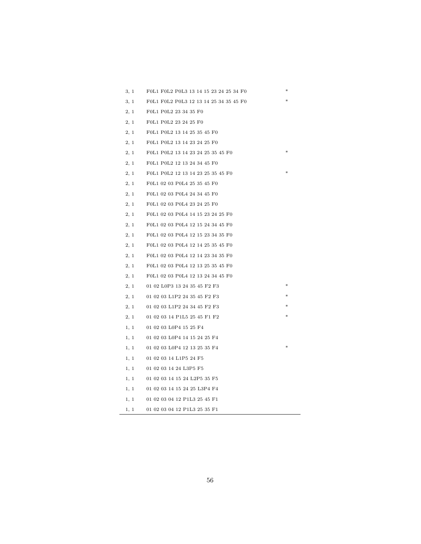| 3, 1 | F0L1 F0L2 P0L3 13 14 15 23 24 25 34 F0 |  |
|------|----------------------------------------|--|
| 3, 1 | F0L1 F0L2 P0L3 12 13 14 25 34 35 45 F0 |  |
| 2, 1 | F0L1 P0L2 23 34 35 F0                  |  |
| 2, 1 | F0L1 P0L2 23 24 25 F0                  |  |
| 2, 1 | F0L1 P0L2 13 14 25 35 45 F0            |  |
| 2, 1 | F0L1 P0L2 13 14 23 24 25 F0            |  |
| 2, 1 | F0L1 P0L2 13 14 23 24 25 35 45 F0      |  |
| 2, 1 | F0L1 P0L2 12 13 24 34 45 F0            |  |
| 2, 1 | F0L1 P0L2 12 13 14 23 25 35 45 F0      |  |
| 2, 1 | F0L1 02 03 P0L4 25 35 45 F0            |  |
| 2, 1 | F0L1 02 03 P0L4 24 34 45 F0            |  |
| 2, 1 | F0L1 02 03 P0L4 23 24 25 F0            |  |
| 2, 1 | F0L1 02 03 P0L4 14 15 23 24 25 F0      |  |
| 2, 1 | F0L1 02 03 P0L4 12 15 24 34 45 F0      |  |
| 2, 1 | F0L1 02 03 P0L4 12 15 23 34 35 F0      |  |
| 2, 1 | F0L1 02 03 P0L4 12 14 25 35 45 F0      |  |
| 2, 1 | F0L1 02 03 P0L4 12 14 23 34 35 F0      |  |
| 2, 1 | F0L1 02 03 P0L4 12 13 25 35 45 F0      |  |
| 2, 1 | F0L1 02 03 P0L4 12 13 24 34 45 F0      |  |
| 2, 1 | 01 02 L0P3 13 24 35 45 F2 F3           |  |
| 2, 1 | 01 02 03 L1P2 24 35 45 F2 F3           |  |
| 2, 1 | 01 02 03 L1P2 24 34 45 F2 F3           |  |
| 2, 1 | 01 02 03 14 P1L5 25 45 F1 F2           |  |
| 1, 1 | 01 02 03 L0P4 15 25 F4                 |  |
| 1, 1 | 01 02 03 L0P4 14 15 24 25 F4           |  |
| 1, 1 | 01 02 03 L0P4 12 13 25 35 F4           |  |
| 1, 1 | 01 02 03 14 L1P5 24 F5                 |  |
| 1, 1 | 01 02 03 14 24 L3P5 F5                 |  |
| 1, 1 | 01 02 03 14 15 24 L2P5 35 F5           |  |
| 1, 1 | 01 02 03 14 15 24 25 L3P4 F4           |  |
| 1, 1 | 01 02 03 04 12 P1L3 25 45 F1           |  |
| 1, 1 | 01 02 03 04 12 P1L3 25 35 F1           |  |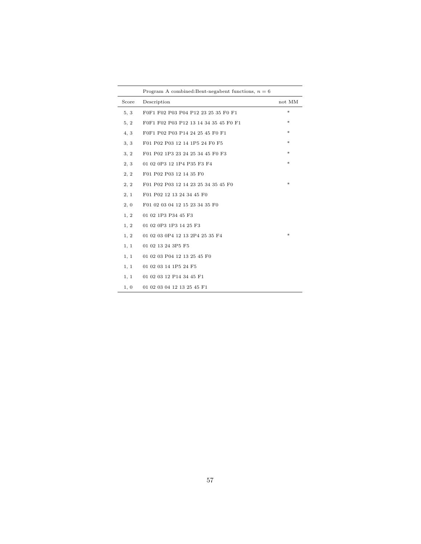|       | Program A combined: Bent-negabent functions, $n = 6$ |                                   |
|-------|------------------------------------------------------|-----------------------------------|
| Score | Description                                          | $\operatorname{not}\ \mathrm{MM}$ |
| 5, 3  | F0F1 F02 P03 P04 P12 23 25 35 F0 F1                  | ×.                                |
| 5, 2  | F0F1 F02 P03 P12 13 14 34 35 45 F0 F1                | *                                 |
| 4.3   | F0F1 P02 P03 P14 24 25 45 F0 F1                      | *                                 |
| 3, 3  | F01 P02 P03 12 14 1P5 24 F0 F5                       | *                                 |
| 3, 2  | F01 P02 1P3 23 24 25 34 45 F0 F3                     | *                                 |
| 2, 3  | 01 02 0P3 12 1P4 P35 F3 F4                           | *                                 |
| 2, 2  | F01 P02 P03 12 14 35 F0                              |                                   |
| 2, 2  | F01 P02 P03 12 14 23 25 34 35 45 F0                  | *                                 |
| 2, 1  | F01 P02 12 13 24 34 45 F0                            |                                   |
| 2, 0  | F01 02 03 04 12 15 23 34 35 F0                       |                                   |
| 1, 2  | 01 02 1P3 P34 45 F3                                  |                                   |
| 1, 2  | 01 02 0P3 1P3 14 25 F3                               |                                   |
| 1, 2  | 01 02 03 0P4 12 13 2P4 25 35 F4                      | *                                 |
| 1, 1  | 01 02 13 24 3P5 F5                                   |                                   |
| 1, 1  | 01 02 03 P04 12 13 25 45 F0                          |                                   |
| 1, 1  | 01 02 03 14 1P5 24 F5                                |                                   |
| 1, 1  | 01 02 03 12 P14 34 45 F1                             |                                   |
| 1, 0  | 01 02 03 04 12 13 25 45 F1                           |                                   |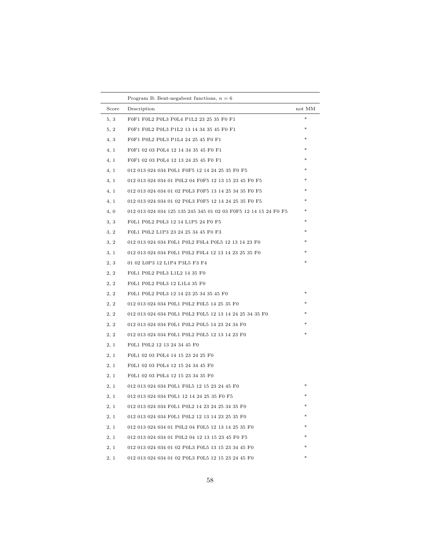|       | Program B: Bent-negabent functions, $n = 6$                     |        |
|-------|-----------------------------------------------------------------|--------|
| Score | Description                                                     | not MM |
| 5, 3  | F0F1 F0L2 P0L3 P0L4 P1L2 23 25 35 F0 F1                         | ×      |
| 5, 2  | F0F1 F0L2 P0L3 P1L2 13 14 34 35 45 F0 F1                        | *      |
| 4, 3  | F0F1 P0L2 P0L3 P1L4 24 25 45 F0 F1                              |        |
| 4, 1  | F0F1 02 03 P0L4 12 14 34 35 45 F0 F1                            |        |
| 4, 1  | F0F1 02 03 P0L4 12 13 24 25 45 F0 F1                            |        |
| 4, 1  | 012 013 024 034 P0L1 F0F5 12 14 24 25 35 F0 F5                  |        |
| 4, 1  | 012 013 024 034 01 P0L2 04 F0F5 12 13 15 23 45 F0 F5            |        |
| 4, 1  | 012 013 024 034 01 02 P0L3 F0F5 13 14 25 34 35 F0 F5            |        |
| 4, 1  | 012 013 024 034 01 02 P0L3 F0F5 12 14 24 25 35 F0 F5            |        |
| 4,0   | 012 013 024 034 125 135 245 345 01 02 03 F0F5 12 14 15 24 F0 F5 | *      |
| 3, 3  | F0L1 P0L2 P0L3 12 14 L1P5 24 F0 F5                              | *      |
| 3, 2  | F0L1 P0L2 L1P3 23 24 25 34 45 F0 F3                             |        |
| 3, 2  | 012 013 024 034 F0L1 P0L2 F0L4 P0L5 12 13 14 23 F0              |        |
| 3, 1  | 012 013 024 034 F0L1 P0L2 F0L4 12 13 14 23 25 35 F0             |        |
| 2, 3  | 01 02 L0P3 12 L1P4 P3L5 F3 F4                                   |        |
| 2, 2  | F0L1 P0L2 P0L3 L1L2 14 35 F0                                    |        |
| 2, 2  | F0L1 P0L2 P0L3 12 L1L4 35 F0                                    |        |
| 2, 2  | F0L1 P0L2 P0L3 12 14 23 25 34 35 45 F0                          |        |
| 2, 2  | 012 013 024 034 P0L1 P0L2 F0L5 14 25 35 F0                      |        |
| 2, 2  | 012 013 024 034 P0L1 P0L2 F0L5 12 13 14 24 25 34 35 F0          |        |
| 2, 2  | 012 013 024 034 F0L1 P0L2 P0L5 14 23 24 34 F0                   |        |
| 2, 2  | 012 013 024 034 F0L1 P0L2 P0L5 12 13 14 23 F0                   |        |
| 2, 1  | F0L1 P0L2 12 13 24 34 45 F0                                     |        |
| 2, 1  | F0L1 02 03 P0L4 14 15 23 24 25 F0                               |        |
| 2, 1  | F0L1 02 03 P0L4 12 15 24 34 45 F0                               |        |
| 2, 1  | F0L1 02 03 P0L4 12 15 23 34 35 F0                               |        |
| 2, 1  | 012 013 024 034 P0L1 F0L5 12 15 23 24 45 F0                     |        |
| 2, 1  | 012 013 024 034 P0L1 12 14 24 25 35 F0 F5                       |        |
| 2, 1  | 012 013 024 034 F0L1 P0L2 14 23 24 25 34 35 F0                  |        |
| 2, 1  | 012 013 024 034 F0L1 P0L2 12 13 14 23 25 35 F0                  |        |
| 2, 1  | 012 013 024 034 01 P0L2 04 F0L5 12 13 14 25 35 F0               |        |
| 2, 1  | 012 013 024 034 01 P0L2 04 12 13 15 23 45 F0 F5                 |        |
| 2, 1  | 012 013 024 034 01 02 P0L3 F0L5 13 15 23 34 45 F0               |        |
| 2, 1  | 012 013 024 034 01 02 P0L3 F0L5 12 15 23 24 45 F0               |        |

 $\overline{\phantom{0}}$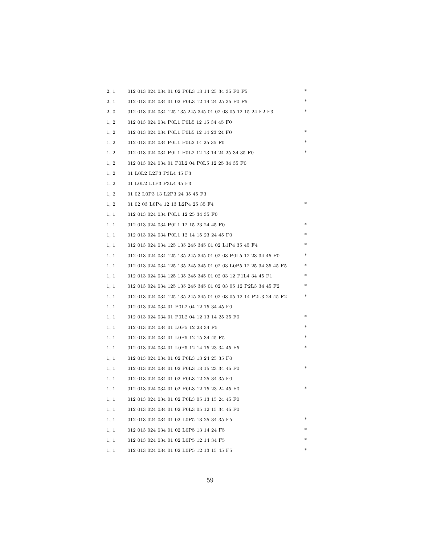| 2, 1 | 012 013 024 034 01 02 P0L3 13 14 25 34 35 F0 F5                 | ∗ |
|------|-----------------------------------------------------------------|---|
| 2, 1 | 012 013 024 034 01 02 P0L3 12 14 24 25 35 F0 F5                 |   |
| 2, 0 | 012 013 024 034 125 135 245 345 01 02 03 05 12 15 24 F2 F3      |   |
| 1, 2 | 012 013 024 034 P0L1 P0L5 12 15 34 45 F0                        |   |
| 1, 2 | 012 013 024 034 P0L1 P0L5 12 14 23 24 F0                        |   |
| 1, 2 | 012 013 024 034 P0L1 P0L2 14 25 35 F0                           |   |
| 1, 2 | 012 013 024 034 P0L1 P0L2 12 13 14 24 25 34 35 F0               |   |
| 1, 2 | 012 013 024 034 01 P0L2 04 P0L5 12 25 34 35 F0                  |   |
| 1, 2 | 01 LOL2 L2P3 P3L4 45 F3                                         |   |
| 1, 2 | 01 LOL2 L1P3 P3L4 45 F3                                         |   |
| 1, 2 | 01 02 L0P3 13 L2P3 24 35 45 F3                                  |   |
| 1, 2 | 01 02 03 L0P4 12 13 L2P4 25 35 F4                               |   |
| 1, 1 | 012 013 024 034 P0L1 12 25 34 35 F0                             |   |
| 1, 1 | 012 013 024 034 P0L1 12 15 23 24 45 F0                          |   |
| 1, 1 | 012 013 024 034 P0L1 12 14 15 23 24 45 F0                       |   |
| 1, 1 | 012 013 024 034 125 135 245 345 01 02 L1P4 35 45 F4             |   |
| 1, 1 | 012 013 024 034 125 135 245 345 01 02 03 P0L5 12 23 34 45 F0    |   |
| 1, 1 | 012 013 024 034 125 135 245 345 01 02 03 L0P5 12 25 34 35 45 F5 |   |
| 1, 1 | 012 013 024 034 125 135 245 345 01 02 03 12 P1L4 34 45 F1       |   |
| 1, 1 | 012 013 024 034 125 135 245 345 01 02 03 05 12 P2L3 34 45 F2    |   |
| 1, 1 | 012 013 024 034 125 135 245 345 01 02 03 05 12 14 P2L3 24 45 F2 |   |
| 1, 1 | 012 013 024 034 01 P0L2 04 12 15 34 45 F0                       |   |
| 1, 1 | 012 013 024 034 01 P0L2 04 12 13 14 25 35 F0                    |   |
| 1, 1 | 012 013 024 034 01 L0P5 12 23 34 F5                             |   |
| 1, 1 | 012 013 024 034 01 L0P5 12 15 34 45 F5                          |   |
| 1, 1 | 012 013 024 034 01 L0P5 12 14 15 23 34 45 F5                    |   |
| 1, 1 | 012 013 024 034 01 02 P0L3 13 24 25 35 F0                       |   |
| 1, 1 | 012 013 024 034 01 02 P0L3 13 15 23 34 45 F0                    |   |
| 1, 1 | 012 013 024 034 01 02 P0L3 12 25 34 35 F0                       |   |
| 1, 1 | 012 013 024 034 01 02 P0L3 12 15 23 24 45 F0                    |   |
| 1, 1 | 012 013 024 034 01 02 P0L3 05 13 15 24 45 F0                    |   |
| 1, 1 | 012 013 024 034 01 02 P0L3 05 12 15 34 45 F0                    |   |
| 1, 1 | 012 013 024 034 01 02 L0P5 13 25 34 35 F5                       |   |
| 1, 1 | 012 013 024 034 01 02 L0P5 13 14 24 F5                          |   |
| 1, 1 | 012 013 024 034 01 02 L0P5 12 14 34 F5                          |   |
| 1, 1 | 012 013 024 034 01 02 L0P5 12 13 15 45 F5                       |   |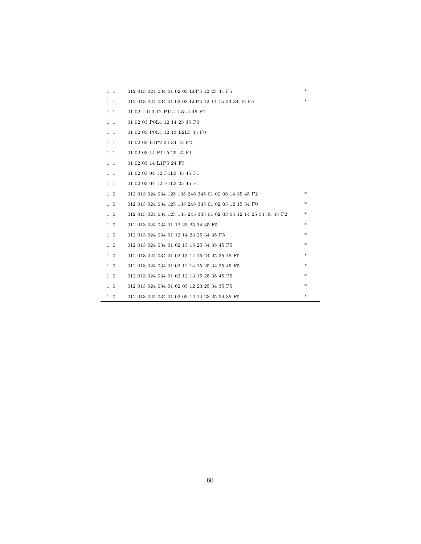| 1, 1 | 012 013 024 034 01 02 03 L0P5 12 23 34 F5                        | * |
|------|------------------------------------------------------------------|---|
| 1, 1 | 012 013 024 034 01 02 03 L0P5 12 14 15 23 34 45 F5               | * |
| 1, 1 | 01 02 L0L3 12 P1L4 L3L4 45 F1                                    |   |
| 1, 1 | 01 02 03 P0L4 12 14 25 35 F0                                     |   |
| 1, 1 | 01 02 03 P0L4 12 13 L2L5 45 F0                                   |   |
| 1, 1 | 01 02 03 L1P2 24 34 45 F2                                        |   |
| 1, 1 | 01 02 03 14 P1L5 25 45 F1                                        |   |
| 1, 1 | 01 02 03 14 L1P5 24 F5                                           |   |
| 1, 1 | 01 02 03 04 12 P1L3 35 45 F1                                     |   |
| 1, 1 | 01 02 03 04 12 P1L3 25 45 F1                                     |   |
| 1, 0 | 012 013 024 034 125 135 245 345 01 02 05 14 35 45 F2             | * |
| 1, 0 | 012 013 024 034 125 135 245 345 01 02 03 12 15 34 F0             | * |
| 1, 0 | 012 013 024 034 125 135 245 345 01 02 03 05 12 14 25 34 35 45 F2 | * |
| 1, 0 | 012 013 024 034 01 12 23 25 34 35 F5                             | * |
| 1, 0 | 012 013 024 034 01 12 14 23 25 34 35 F5                          | * |
| 1, 0 | 012 013 024 034 01 02 13 15 25 34 35 45 F5                       | * |
| 1, 0 | 012 013 024 034 01 02 13 14 15 24 25 35 45 F5                    | * |
| 1, 0 | 012 013 024 034 01 02 12 14 15 25 34 35 45 F5                    | * |
| 1, 0 | 012 013 024 034 01 02 12 13 15 25 35 45 F5                       | * |
| 1, 0 | 012 013 024 034 01 02 03 12 23 25 34 35 F5                       | * |
| 1, 0 | 012 013 024 034 01 02 03 12 14 23 25 34 35 F5                    | * |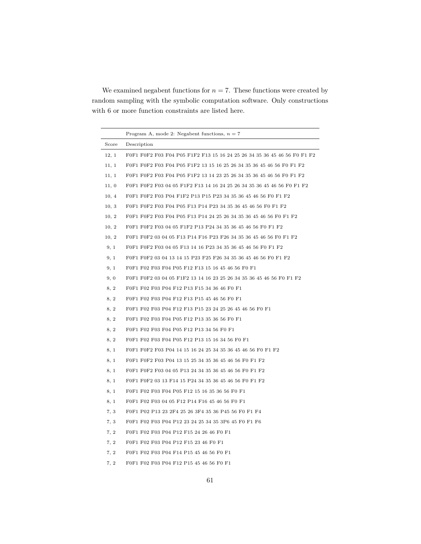We examined negabent functions for  $n = 7$ . These functions were created by random sampling with the symbolic computation software. Only constructions with 6 or more function constraints are listed here.

|       | Program A, mode 2: Negabent functions, $n = 7$                           |
|-------|--------------------------------------------------------------------------|
| Score | Description                                                              |
| 12, 1 | F0F1 F0F2 F03 F04 P05 F1F2 F13 15 16 24 25 26 34 35 36 45 46 56 F0 F1 F2 |
| 11, 1 | F0F1 F0F2 F03 F04 P05 F1F2 13 15 16 25 26 34 35 36 45 46 56 F0 F1 F2     |
| 11, 1 | F0F1 F0F2 F03 F04 P05 F1F2 13 14 23 25 26 34 35 36 45 46 56 F0 F1 F2     |
| 11, 0 | F0F1 F0F2 F03 04 05 F1F2 F13 14 16 24 25 26 34 35 36 45 46 56 F0 F1 F2   |
| 10, 4 | F0F1 F0F2 F03 P04 F1F2 P13 P15 P23 34 35 36 45 46 56 F0 F1 F2            |
| 10, 3 | F0F1 F0F2 F03 F04 P05 F13 P14 P23 34 35 36 45 46 56 F0 F1 F2             |
| 10, 2 | F0F1 F0F2 F03 F04 P05 F13 P14 24 25 26 34 35 36 45 46 56 F0 F1 F2        |
| 10, 2 | F0F1 F0F2 F03 04 05 F1F2 P13 P24 34 35 36 45 46 56 F0 F1 F2              |
| 10, 2 | F0F1 F0F2 03 04 05 F13 P14 F16 P23 F26 34 35 36 45 46 56 F0 F1 F2        |
| 9, 1  | F0F1 F0F2 F03 04 05 F13 14 16 P23 34 35 36 45 46 56 F0 F1 F2             |
| 9, 1  | F0F1 F0F2 03 04 13 14 15 P23 F25 F26 34 35 36 45 46 56 F0 F1 F2          |
| 9, 1  | F0F1 F02 F03 F04 P05 F12 F13 15 16 45 46 56 F0 F1                        |
| 9, 0  | F0F1 F0F2 03 04 05 F1F2 13 14 16 23 25 26 34 35 36 45 46 56 F0 F1 F2     |
| 8, 2  | F0F1 F02 F03 P04 F12 P13 F15 34 36 46 F0 F1                              |
| 8, 2  | F0F1 F02 F03 P04 F12 F13 P15 45 46 56 F0 F1                              |
| 8, 2  | F0F1 F02 F03 P04 F12 F13 P15 23 24 25 26 45 46 56 F0 F1                  |
| 8, 2  | F0F1 F02 F03 F04 P05 F12 P13 35 36 56 F0 F1                              |
| 8, 2  | F0F1 F02 F03 F04 P05 F12 P13 34 56 F0 F1                                 |
| 8, 2  | F0F1 F02 F03 F04 P05 F12 P13 15 16 34 56 F0 F1                           |
| 8, 1  | F0F1 F0F2 F03 P04 14 15 16 24 25 34 35 36 45 46 56 F0 F1 F2              |
| 8, 1  | F0F1 F0F2 F03 P04 13 15 25 34 35 36 45 46 56 F0 F1 F2                    |
| 8, 1  | F0F1 F0F2 F03 04 05 P13 24 34 35 36 45 46 56 F0 F1 F2                    |
| 8, 1  | F0F1 F0F2 03 13 F14 15 P24 34 35 36 45 46 56 F0 F1 F2                    |
| 8, 1  | F0F1 F02 F03 F04 P05 F12 15 16 35 36 56 F0 F1                            |
| 8, 1  | F0F1 F02 F03 04 05 F12 P14 F16 45 46 56 F0 F1                            |
| 7, 3  | F0F1 P02 P13 23 2F4 25 26 3F4 35 36 P45 56 F0 F1 F4                      |
| 7, 3  | F0F1 F02 F03 P04 P12 23 24 25 34 35 3P6 45 F0 F1 F6                      |
| 7, 2  | F0F1 F02 F03 P04 P12 F15 24 26 46 F0 F1                                  |
| 7, 2  | F0F1 F02 F03 P04 P12 F15 23 46 F0 F1                                     |
| 7, 2  | F0F1 F02 F03 P04 F14 P15 45 46 56 F0 F1                                  |
| 7, 2  | F0F1 F02 F03 P04 F12 P15 45 46 56 F0 F1                                  |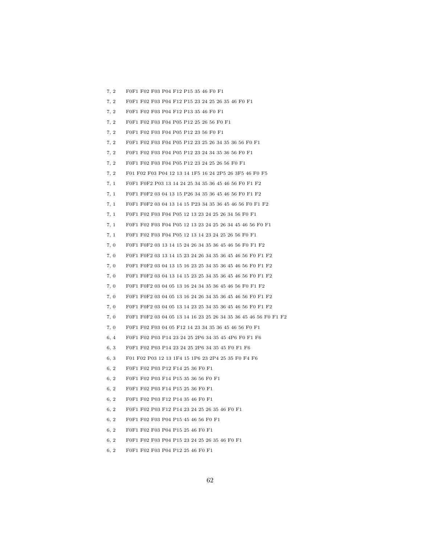7, 2 F0F1 F02 F03 P04 F12 P15 35 46 F0 F1 7, 2 F0F1 F02 F03 P04 F12 P15 23 24 25 26 35 46 F0 F1 7, 2 F0F1 F02 F03 P04 F12 P13 35 46 F0 F1 7, 2 F0F1 F02 F03 F04 P05 P12 25 26 56 F0 F1 7, 2 F0F1 F02 F03 F04 P05 P12 23 56 F0 F1 7, 2 F0F1 F02 F03 F04 P05 P12 23 25 26 34 35 36 56 F0 F1 7, 2 F0F1 F02 F03 F04 P05 P12 23 24 34 35 36 56 F0 F1 7, 2 F0F1 F02 F03 F04 P05 P12 23 24 25 26 56 F0 F1 7, 2 F01 F02 F03 P04 12 13 14 1F5 16 24 2P5 26 3F5 46 F0 F5 7, 1 F0F1 F0F2 P03 13 14 24 25 34 35 36 45 46 56 F0 F1 F2 7, 1 F0F1 F0F2 03 04 13 15 P26 34 35 36 45 46 56 F0 F1 F2 7, 1 F0F1 F0F2 03 04 13 14 15 P23 34 35 36 45 46 56 F0 F1 F2 7, 1 F0F1 F02 F03 F04 P05 12 13 23 24 25 26 34 56 F0 F1 7, 1 F0F1 F02 F03 F04 P05 12 13 23 24 25 26 34 45 46 56 F0 F1 7, 1 F0F1 F02 F03 F04 P05 12 13 14 23 24 25 26 56 F0 F1 7, 0 F0F1 F0F2 03 13 14 15 24 26 34 35 36 45 46 56 F0 F1 F2 7, 0 F0F1 F0F2 03 13 14 15 23 24 26 34 35 36 45 46 56 F0 F1 F2 7, 0 F0F1 F0F2 03 04 13 15 16 23 25 34 35 36 45 46 56 F0 F1 F2 7, 0 F0F1 F0F2 03 04 13 14 15 23 25 34 35 36 45 46 56 F0 F1 F2 7, 0 F0F1 F0F2 03 04 05 13 16 24 34 35 36 45 46 56 F0 F1 F2 7, 0 F0F1 F0F2 03 04 05 13 16 24 26 34 35 36 45 46 56 F0 F1 F2 7, 0 F0F1 F0F2 03 04 05 13 14 23 25 34 35 36 45 46 56 F0 F1 F2 7, 0 F0F1 F0F2 03 04 05 13 14 16 23 25 26 34 35 36 45 46 56 F0 F1 F2 7, 0 F0F1 F02 F03 04 05 F12 14 23 34 35 36 45 46 56 F0 F1 6, 4 F0F1 F02 P03 P14 23 24 25 2P6 34 35 45 4P6 F0 F1 F6 6, 3 F0F1 F02 P03 P14 23 24 25 2P6 34 35 45 F0 F1 F6 6, 3 F01 F02 P03 12 13 1F4 15 1P6 23 2P4 25 35 F0 F4 F6 6, 2 F0F1 F02 P03 P12 F14 25 36 F0 F1 6, 2 F0F1 F02 P03 F14 P15 35 36 56 F0 F1 6, 2 F0F1 F02 P03 F14 P15 25 36 F0 F1 6, 2 F0F1 F02 P03 F12 P14 35 46 F0 F1 6, 2 F0F1 F02 P03 F12 P14 23 24 25 26 35 46 F0 F1 6, 2 F0F1 F02 F03 P04 P15 45 46 56 F0 F1 6, 2 F0F1 F02 F03 P04 P15 25 46 F0 F1 6, 2 F0F1 F02 F03 P04 P15 23 24 25 26 35 46 F0 F1

6, 2 F0F1 F02 F03 P04 P12 25 46 F0 F1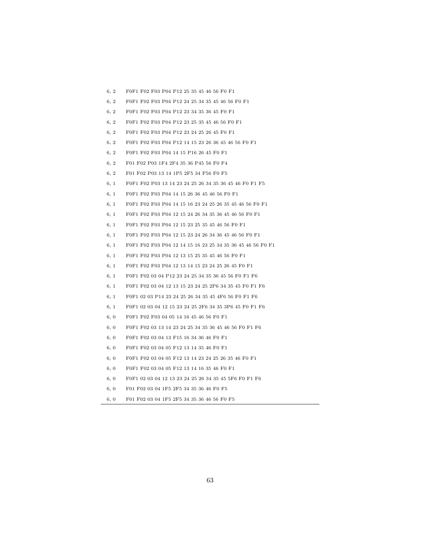| 6, 2 | F0F1 F02 F03 P04 P12 25 35 45 46 56 F0 F1                  |
|------|------------------------------------------------------------|
| 6, 2 | F0F1 F02 F03 P04 P12 24 25 34 35 45 46 56 F0 F1            |
| 6, 2 | F0F1 F02 F03 P04 P12 23 34 35 36 45 F0 F1                  |
| 6, 2 | F0F1 F02 F03 P04 P12 23 25 35 45 46 56 F0 F1               |
| 6, 2 | F0F1 F02 F03 P04 P12 23 24 25 26 45 F0 F1                  |
| 6, 2 | F0F1 F02 F03 P04 P12 14 15 23 26 36 45 46 56 F0 F1         |
| 6, 2 | F0F1 F02 F03 P04 14 15 P16 26 45 F0 F1                     |
| 6, 2 | F01 F02 P03 1F4 2F4 35 36 P45 56 F0 F4                     |
| 6, 2 | F01 F02 P03 13 14 1P5 2F5 34 F56 F0 F5                     |
| 6, 1 | F0F1 F02 P03 13 14 23 24 25 26 34 35 36 45 46 F0 F1 F5     |
| 6, 1 | F0F1 F02 F03 P04 14 15 26 36 45 46 56 F0 F1                |
| 6, 1 | F0F1 F02 F03 P04 14 15 16 23 24 25 26 35 45 46 56 F0 F1    |
| 6, 1 | F0F1 F02 F03 P04 12 15 24 26 34 35 36 45 46 56 F0 F1       |
| 6, 1 | F0F1 F02 F03 P04 12 15 23 25 35 45 46 56 F0 F1             |
| 6, 1 | F0F1 F02 F03 P04 12 15 23 24 26 34 36 45 46 56 F0 F1       |
| 6, 1 | F0F1 F02 F03 P04 12 14 15 16 23 25 34 35 36 45 46 56 F0 F1 |
| 6, 1 | F0F1 F02 F03 P04 12 13 15 25 35 45 46 56 F0 F1             |
| 6, 1 | F0F1 F02 F03 P04 12 13 14 15 23 24 25 26 45 F0 F1          |
| 6, 1 | F0F1 F02 03 04 P12 23 24 25 34 35 36 45 56 F0 F1 F6        |
| 6, 1 | F0F1 F02 03 04 12 13 15 23 24 25 2P6 34 35 45 F0 F1 F6     |
| 6, 1 | F0F1 02 03 P14 23 24 25 26 34 35 45 4F6 56 F0 F1 F6        |
| 6, 1 | F0F1 02 03 04 12 15 23 24 25 2F6 34 35 3P6 45 F0 F1 F6     |
| 6, 0 | F0F1 F02 F03 04 05 14 16 45 46 56 F0 F1                    |
| 6, 0 | F0F1 F02 03 13 14 23 24 25 34 35 36 45 46 56 F0 F1 F6      |
| 6, 0 | F0F1 F02 03 04 13 F15 16 34 36 46 F0 F1                    |
| 6, 0 | F0F1 F02 03 04 05 F12 13 14 35 46 F0 F1                    |
| 6, 0 | F0F1 F02 03 04 05 F12 13 14 23 24 25 26 35 46 F0 F1        |
| 6, 0 | F0F1 F02 03 04 05 F12 13 14 16 35 46 F0 F1                 |
| 6, 0 | F0F1 02 03 04 12 13 23 24 25 26 34 35 45 5F6 F0 F1 F6      |
| 6, 0 | F01 F02 03 04 1F5 2F5 34 35 36 46 F0 F5                    |
| 6, 0 | F01 F02 03 04 1F5 2F5 34 35 36 46 56 F0 F5                 |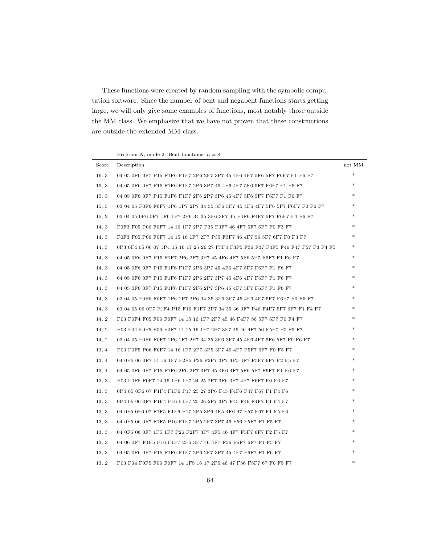These functions were created by random sampling with the symbolic computation software. Since the number of bent and negabent functions starts getting large, we will only give some examples of functions, most notably those outside the MM class. We emphasize that we have not proven that these constructions are outside the extended MM class.

|       | Program A, mode 2: Bent functions, $n = 8$                                         |               |
|-------|------------------------------------------------------------------------------------|---------------|
| Score | Description                                                                        | not MM        |
| 16.3  | 04 05 0F6 0F7 P15 F1F6 F1F7 2P6 2F7 3P7 45 4F6 4F7 5F6 5F7 F6F7 F1 F6 F7           | $\frac{1}{2}$ |
| 15, 3 | 04 05 0F6 0F7 P15 F1F6 F1F7 2P6 3P7 45 4F6 4F7 5F6 5F7 F6F7 F1 F6 F7               |               |
| 15, 3 | 04 05 0F6 0F7 P15 F1F6 F1F7 2F6 2P7 3P6 45 4F7 5F6 5F7 F6F7 F1 F6 F7               |               |
| 15, 3 | 03 04 05 F0F6 F0F7 1P6 1P7 2P7 34 35 3F6 3F7 45 4F6 4F7 5F6 5F7 F6F7 F0 F6 F7      |               |
| 15, 2 | 03 04 05 0F6 0F7 1F6 1P7 2P6 34 35 3F6 3F7 45 F4F6 F4F7 5F7 F6F7 F4 F6 F7          |               |
| 14, 3 | F0F3 F05 P06 F0F7 14 16 1F7 2P7 P35 F3F7 46 4F7 5F7 6F7 F0 F3 F7                   |               |
| 14, 3 | F0F3 F05 P06 F0F7 14 15 16 1F7 2P7 P35 F3F7 46 4F7 56 5F7 6F7 F0 F3 F7             |               |
| 14, 3 | 0P3 0F4 05 06 07 1P4 15 16 17 25 26 27 F3F4 F3F5 F36 F37 F4F5 F46 F47 P57 F3 F4 F5 |               |
| 14, 3 | 04 05 0F6 0F7 P15 F1F7 2P6 2F7 3P7 45 4F6 4F7 5F6 5F7 F6F7 F1 F6 F7                |               |
| 14, 3 | 04 05 0F6 0F7 P15 F1F6 F1F7 2P6 3P7 45 4F6 4F7 5F7 F6F7 F1 F6 F7                   |               |
| 14, 3 | 04 05 0F6 0F7 P15 F1F6 F1F7 2P6 2F7 3P7 45 4F6 4F7 F6F7 F1 F6 F7                   |               |
| 14, 3 | 04 05 0F6 0F7 P15 F1F6 F1F7 2F6 2P7 3P6 45 4F7 5F7 F6F7 F1 F6 F7                   |               |
| 14, 3 | 03 04 05 F0F6 F0F7 1P6 1P7 2P6 34 35 3F6 3F7 45 4F6 4F7 5F7 F6F7 F0 F6 F7          |               |
| 14, 3 | 03 04 05 06 0F7 F1F4 P15 F16 F1F7 2P7 34 35 36 3F7 P46 F4F7 5F7 6F7 F1 F4 F7       |               |
| 14, 2 | P03 F0F4 F05 F06 F0F7 14 15 16 1F7 2P7 45 46 F4F7 56 5F7 6F7 F0 F4 F7              |               |
| 14, 2 | P03 F04 F0F5 F06 F0F7 14 15 16 1F7 2P7 3F7 45 46 4F7 56 F5F7 F0 F5 F7              |               |
| 14, 2 | 03 04 05 F0F6 F0F7 1P6 1F7 2P7 34 35 3F6 3F7 45 4F6 4F7 5F6 5F7 F0 F6 F7           |               |
| 13, 4 | P03 F0F5 P06 F0F7 14 16 1F7 2P7 3P5 3F7 46 4F7 F5F7 6F7 F0 F5 F7                   |               |
| 13, 4 | 04 0P5 06 0F7 14 16 1F7 F2F5 P26 F2F7 3P7 4P5 4F7 F5F7 6F7 F2 F5 F7                |               |
| 13, 4 | 04 05 0F6 0F7 P15 F1F6 2P6 2P7 3P7 45 4F6 4F7 5F6 5F7 F6F7 F1 F6 F7                |               |
| 13, 3 | P03 F0F6 F0F7 14 15 1P6 1F7 24 25 2F7 3F6 3F7 4P7 F6F7 F0 F6 F7                    |               |
| 13.3  | 0P4 05 0F6 07 F1F4 F1F6 P17 25 27 3P6 F45 F4F6 F47 F67 F1 F4 F6                    |               |
| 13.3  | 0P4 05 06 0F7 F1F4 P16 F1F7 25 26 2F7 3P7 F45 F46 F4F7 F1 F4 F7                    |               |
| 13, 3 | 04 0F5 0F6 07 F1F5 F1F6 P17 2P5 3P6 4F5 4F6 47 F57 F67 F1 F5 F6                    |               |
| 13, 3 | 04 0F5 06 0F7 F1F5 P16 F1F7 2P5 2F7 3P7 46 F56 F5F7 F1 F5 F7                       |               |
| 13, 3 | 04 0F5 06 0F7 1P5 1F7 P26 F2F7 3P7 4F5 46 4F7 F5F7 6F7 F2 F5 F7                    |               |
| 13, 3 | 04 06 0F7 F1F5 P16 F1F7 2P5 3P7 46 4F7 F56 F5F7 6F7 F1 F5 F7                       |               |
| 13, 3 | 04 05 0F6 0F7 P15 F1F6 F1F7 2P6 2F7 3P7 45 4F7 F6F7 F1 F6 F7                       |               |
| 13.2  | P03 F04 F0F5 F06 F0F7 14 1F5 16 17 2P5 46 47 F56 F5F7 67 F0 F5 F7                  |               |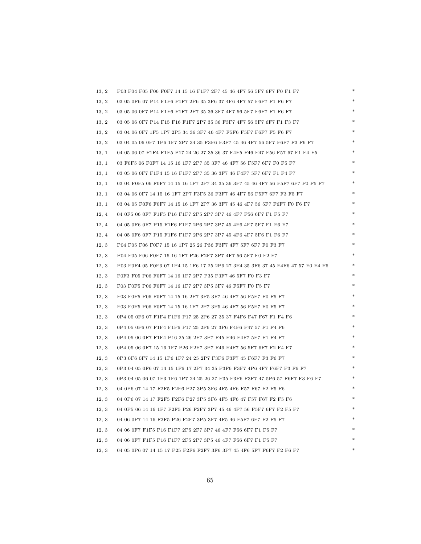| 13, 2 | P03 F04 F05 F06 F0F7 14 15 16 F1F7 2P7 45 46 4F7 56 5F7 6F7 F0 F1 F7             |  |
|-------|----------------------------------------------------------------------------------|--|
| 13, 2 | 03 05 0F6 07 P14 F1F6 F1F7 2P6 35 3F6 37 4F6 4F7 57 F6F7 F1 F6 F7                |  |
| 13, 2 | 03 05 06 0F7 P14 F1F6 F1F7 2P7 35 36 3F7 4F7 56 5F7 F6F7 F1 F6 F7                |  |
| 13, 2 | 03 05 06 0F7 P14 F15 F16 F1F7 2P7 35 36 F3F7 4F7 56 5F7 6F7 F1 F3 F7             |  |
| 13, 2 | 03 04 06 0F7 1F5 1P7 2P5 34 36 3F7 46 4F7 F5F6 F5F7 F6F7 F5 F6 F7                |  |
| 13, 2 | 03 04 05 06 0F7 1P6 1F7 2P7 34 35 F3F6 F3F7 45 46 4F7 56 5F7 F6F7 F3 F6 F7       |  |
| 13, 1 | 04 05 06 07 F1F4 F1F5 P17 24 26 27 35 36 37 F4F5 F46 F47 F56 F57 67 F1 F4 F5     |  |
| 13, 1 | 03 F0F5 06 F0F7 14 15 16 1F7 2P7 35 3F7 46 4F7 56 F5F7 6F7 F0 F5 F7              |  |
| 13, 1 | 03 05 06 0F7 F1F4 15 16 F1F7 2P7 35 36 3F7 46 F4F7 5F7 6F7 F1 F4 F7              |  |
| 13, 1 | 03 04 F0F5 06 F0F7 14 15 16 1F7 2P7 34 35 36 3F7 45 46 4F7 56 F5F7 6F7 F0 F5 F7  |  |
| 13, 1 | 03 04 06 0F7 14 15 16 1F7 2P7 F3F5 36 F3F7 46 4F7 56 F5F7 6F7 F3 F5 F7           |  |
| 13, 1 | 03 04 05 F0F6 F0F7 14 15 16 1F7 2P7 36 3F7 45 46 4F7 56 5F7 F6F7 F0 F6 F7        |  |
| 12, 4 | 04 0F5 06 0F7 F1F5 P16 F1F7 2P5 2P7 3P7 46 4F7 F56 6F7 F1 F5 F7                  |  |
| 12, 4 | 04 05 0F6 0F7 P15 F1F6 F1F7 2P6 2P7 3P7 45 4F6 4F7 5F7 F1 F6 F7                  |  |
| 12, 4 | 04 05 0F6 0F7 P15 F1F6 F1F7 2P6 2P7 3P7 45 4F6 4F7 5F6 F1 F6 F7                  |  |
| 12, 3 | P04 F05 F06 F0F7 15 16 1P7 25 26 P36 F3F7 4F7 5F7 6F7 F0 F3 F7                   |  |
| 12, 3 | P04 F05 F06 F0F7 15 16 1F7 P26 F2F7 3P7 4F7 56 5F7 F0 F2 F7                      |  |
| 12, 3 | P03 F0F4 05 F0F6 07 1P4 15 1F6 17 25 2P6 27 3F4 35 3F6 37 45 F4F6 47 57 F0 F4 F6 |  |
| 12, 3 | F0F3 F05 P06 F0F7 14 16 1F7 2P7 P35 F3F7 46 5F7 F0 F3 F7                         |  |
| 12, 3 | F03 F0F5 P06 F0F7 14 16 1F7 2P7 3P5 3F7 46 F5F7 F0 F5 F7                         |  |
| 12, 3 | F03 F0F5 P06 F0F7 14 15 16 2P7 3P5 3F7 46 4F7 56 F5F7 F0 F5 F7                   |  |
| 12, 3 | F03 F0F5 P06 F0F7 14 15 16 1F7 2P7 3P5 46 4F7 56 F5F7 F0 F5 F7                   |  |
| 12, 3 | 0P4 05 0F6 07 F1F4 F1F6 P17 25 2P6 27 35 37 F4F6 F47 F67 F1 F4 F6                |  |
| 12, 3 | 0P4 05 0F6 07 F1F4 F1F6 P17 25 2F6 27 3P6 F4F6 F47 57 F1 F4 F6                   |  |
| 12, 3 | 0P4 05 06 0F7 F1F4 P16 25 26 2F7 3P7 F45 F46 F4F7 5F7 F1 F4 F7                   |  |
| 12, 3 | 0P4 05 06 0F7 15 16 1F7 P26 F2F7 3P7 F46 F4F7 56 5F7 6F7 F2 F4 F7                |  |
| 12, 3 | 0P3 0F6 0F7 14 15 1P6 1F7 24 25 2P7 F3F6 F3F7 45 F6F7 F3 F6 F7                   |  |
| 12, 3 | 0P3 04 05 0F6 07 14 15 1F6 17 2P7 34 35 F3F6 F3F7 4P6 4F7 F6F7 F3 F6 F7          |  |
| 12, 3 | 0P3 04 05 06 07 1F3 1F6 1P7 24 25 26 27 F35 F3F6 F3F7 47 5P6 57 F6F7 F3 F6 F7    |  |
| 12, 3 | 04 0P6 07 14 17 F2F5 F2F6 P27 3P5 3F6 4F5 4F6 F57 F67 F2 F5 F6                   |  |
| 12, 3 | 04 0P6 07 14 17 F2F5 F2F6 P27 3P5 3F6 4F5 4F6 47 F57 F67 F2 F5 F6                |  |
| 12, 3 | 04 0P5 06 14 16 1F7 F2F5 P26 F2F7 3P7 45 46 4F7 56 F5F7 6F7 F2 F5 F7             |  |
| 12, 3 | 04 06 0P7 14 16 F2F5 P26 F2F7 3P5 3F7 4F5 46 F5F7 6F7 F2 F5 F7                   |  |
| 12, 3 | 04 06 0F7 F1F5 P16 F1F7 2P5 2F7 3P7 46 4F7 F56 6F7 F1 F5 F7                      |  |
| 12, 3 | 04 06 0F7 F1F5 P16 F1F7 2F5 2P7 3P5 46 4F7 F56 6F7 F1 F5 F7                      |  |
| 12, 3 | 04 05 0P6 07 14 15 17 P25 F2F6 F2F7 3F6 3P7 45 4F6 5F7 F6F7 F2 F6 F7             |  |

65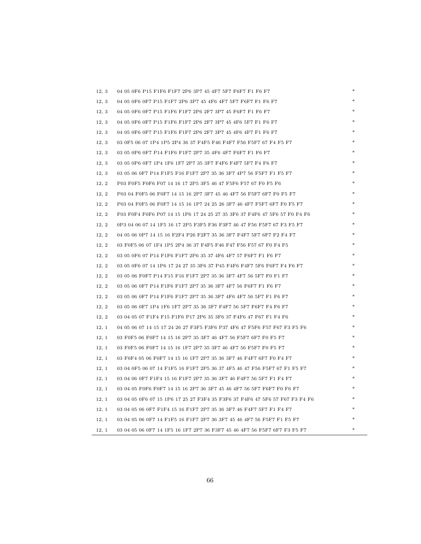| 12, 3 | 04 05 0F6 P15 F1F6 F1F7 2P6 3P7 45 4F7 5F7 F6F7 F1 F6 F7                    |  |
|-------|-----------------------------------------------------------------------------|--|
| 12, 3 | 04 05 0F6 0F7 P15 F1F7 2P6 3P7 45 4F6 4F7 5F7 F6F7 F1 F6 F7                 |  |
| 12, 3 | 04 05 0F6 0F7 P15 F1F6 F1F7 2P6 2F7 3P7 45 F6F7 F1 F6 F7                    |  |
| 12, 3 | 04 05 0F6 0F7 P15 F1F6 F1F7 2P6 2F7 3P7 45 4F6 5F7 F1 F6 F7                 |  |
| 12, 3 | 04 05 0F6 0F7 P15 F1F6 F1F7 2P6 2F7 3P7 45 4F6 4F7 F1 F6 F7                 |  |
| 12, 3 | 03 0F5 06 07 1P4 1P5 2P4 36 37 F4F5 F46 F4F7 F56 F5F7 67 F4 F5 F7           |  |
| 12, 3 | 03 05 0P6 0F7 P14 F1F6 F1F7 2P7 35 4F6 4F7 F6F7 F1 F6 F7                    |  |
| 12, 3 | 03 05 0P6 0F7 1P4 1F6 1F7 2P7 35 3F7 F4F6 F4F7 5F7 F4 F6 F7                 |  |
| 12, 3 | 03 05 06 0F7 P14 F1F5 F16 F1F7 2P7 35 36 3F7 4P7 56 F5F7 F1 F5 F7           |  |
| 12, 2 | P03 F0F5 F0F6 F07 14 16 17 2P5 3F5 46 47 F5F6 F57 67 F0 F5 F6               |  |
| 12, 2 | P03 04 F0F5 06 F0F7 14 15 16 2P7 3F7 45 46 4F7 56 F5F7 6F7 F0 F5 F7         |  |
| 12, 2 | P03 04 F0F5 06 F0F7 14 15 16 1P7 24 25 26 3F7 46 4F7 F5F7 6F7 F0 F5 F7      |  |
| 12, 2 | F03 F0F4 F0F6 P07 14 15 1P6 17 24 25 27 35 3F6 37 F4F6 47 5F6 57 F0 F4 F6   |  |
| 12, 2 | 0P3 04 06 07 14 1F5 16 17 2P5 F3F5 F36 F3F7 46 47 F56 F5F7 67 F3 F5 F7      |  |
| 12, 2 | 04 05 06 0P7 14 15 16 F2F4 P26 F2F7 35 36 3F7 F4F7 5F7 6F7 F2 F4 F7         |  |
| 12, 2 | 03 F0F5 06 07 1F4 1P5 2P4 36 37 F4F5 F46 F47 F56 F57 67 F0 F4 F5            |  |
| 12, 2 | 03 05 0F6 07 P14 F1F6 F1F7 2P6 35 37 4F6 4F7 57 F6F7 F1 F6 F7               |  |
| 12, 2 | 03 05 0F6 07 14 1P6 17 24 27 35 3F6 37 P45 F4F6 F4F7 5F6 F6F7 F4 F6 F7      |  |
| 12, 2 | 03 05 06 F0F7 P14 F15 F16 F1F7 2P7 35 36 3F7 4F7 56 5F7 F0 F1 F7            |  |
| 12, 2 | 03 05 06 0F7 P14 F1F6 F1F7 2P7 35 36 3F7 4F7 56 F6F7 F1 F6 F7               |  |
| 12, 2 | 03 05 06 0F7 P14 F1F6 F1F7 2P7 35 36 3F7 4F6 4F7 56 5F7 F1 F6 F7            |  |
| 12, 2 | 03 05 06 0F7 1P4 1F6 1F7 2P7 35 36 3F7 F4F7 56 5F7 F6F7 F4 F6 F7            |  |
| 12, 2 | 03 04 05 07 F1F4 F15 F1F6 P17 2P6 35 3F6 37 F4F6 47 F67 F1 F4 F6            |  |
| 12, 1 | 04 05 06 07 14 15 17 24 26 27 F3F5 F3F6 P37 4F6 47 F5F6 F57 F67 F3 F5 F6    |  |
| 12, 1 | 03 F0F5 06 F0F7 14 15 16 2P7 35 3F7 46 4F7 56 F5F7 6F7 F0 F5 F7             |  |
| 12, 1 | 03 F0F5 06 F0F7 14 15 16 1F7 2P7 35 3F7 46 4F7 56 F5F7 F0 F5 F7             |  |
| 12, 1 | 03 F0F4 05 06 F0F7 14 15 16 1F7 2P7 35 36 3F7 46 F4F7 6F7 F0 F4 F7          |  |
| 12, 1 | 03 04 0F5 06 07 14 F1F5 16 F1F7 2P5 36 37 4F5 46 47 F56 F5F7 67 F1 F5 F7    |  |
| 12, 1 | 03 04 06 0F7 F1F4 15 16 F1F7 2P7 35 36 3F7 46 F4F7 56 5F7 F1 F4 F7          |  |
| 12, 1 | 03 04 05 F0F6 F0F7 14 15 16 2P7 36 3F7 45 46 4F7 56 5F7 F6F7 F0 F6 F7       |  |
| 12, 1 | 03 04 05 0F6 07 15 1P6 17 25 27 F3F4 35 F3F6 37 F4F6 47 5F6 57 F67 F3 F4 F6 |  |
| 12, 1 | 03 04 05 06 0F7 F1F4 15 16 F1F7 2P7 35 36 3F7 46 F4F7 5F7 F1 F4 F7          |  |
| 12, 1 | 03 04 05 06 0F7 14 F1F5 16 F1F7 2P7 36 3F7 45 46 4F7 56 F5F7 F1 F5 F7       |  |
| 12, 1 | 03 04 05 06 0F7 14 1F5 16 1F7 2P7 36 F3F7 45 46 4F7 56 F5F7 6F7 F3 F5 F7    |  |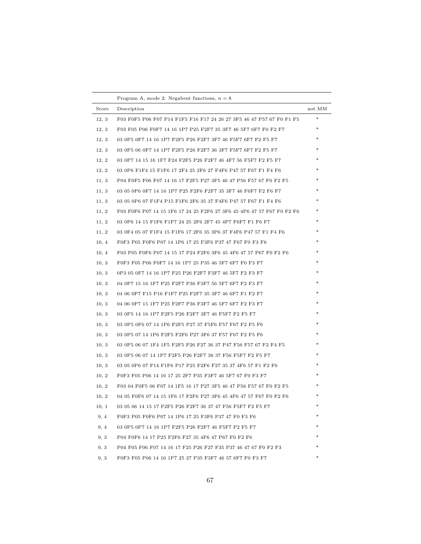|       | Program A, mode 2: Negabent functions, $n = 8$                             |        |
|-------|----------------------------------------------------------------------------|--------|
| Score | Description                                                                | not MM |
| 12, 3 | F03 F0F5 P06 F07 P14 F1F5 F16 F17 24 26 27 3F5 46 47 P57 67 F0 F1 F5       | $\ast$ |
| 12, 3 | F03 F05 P06 F0F7 14 16 1P7 P25 F2F7 35 3F7 46 5F7 6F7 F0 F2 F7             | *      |
| 12, 3 | 03 0P5 0F7 14 16 1P7 F2F5 P26 F2F7 3F7 46 F5F7 6F7 F2 F5 F7                | *      |
| 12, 3 | 03 0P5 06 0F7 14 1P7 F2F5 P26 F2F7 36 3F7 F5F7 6F7 F2 F5 F7                | *      |
| 12, 2 | 03 0P7 14 15 16 1F7 F24 F2F5 P26 F2F7 46 4F7 56 F5F7 F2 F5 F7              | *      |
| 12, 2 | 03 0P6 F1F4 15 F1F6 17 2F4 25 2F6 27 F4F6 P47 57 F67 F1 F4 F6              | $*$    |
| 11, 3 | P04 F0F5 F06 F07 14 16 17 F2F5 P27 3F5 46 47 P56 F57 67 F0 F2 F5           | *      |
| 11, 3 | 03 05 0P6 0F7 14 16 1P7 P25 F2F6 F2F7 35 3F7 46 F6F7 F2 F6 F7              | *      |
| 11, 3 | 03 05 0P6 07 F1F4 P15 F1F6 2F6 35 37 F4F6 P47 57 F67 F1 F4 F6              | *      |
| 11, 2 | F03 F0F6 P07 14 15 1F6 17 24 25 F2F6 27 3F6 45 4P6 47 57 F67 F0 F2 F6      | $*$    |
| 11, 2 | 03 0P6 14 15 F1F6 F1F7 24 25 2F6 2F7 45 4P7 F6F7 F1 F6 F7                  | *      |
| 11, 2 | 03 0F4 05 07 F1F4 15 F1F6 17 2F6 35 3P6 37 F4F6 P47 57 F1 F4 F6            |        |
| 10, 4 | F0F3 P05 F0F6 P07 14 1P6 17 25 F3F6 P37 47 F67 F0 F3 F6                    | $\ast$ |
| 10, 4 | F03 P05 F0F6 P07 14 15 17 P24 F2F6 3F6 45 4F6 47 57 P67 F0 F2 F6           | $\ast$ |
| 10, 3 | F0F3 F05 P06 F0F7 14 16 1P7 25 P35 46 5F7 6F7 F0 F3 F7                     | ∗      |
| 10, 3 | 0P3 05 0F7 14 16 1P7 F25 P26 F2F7 F3F7 46 5F7 F2 F3 F7                     | ∗      |
| 10, 3 | 04 0P7 15 16 1F7 P25 F2F7 P36 F3F7 56 5F7 6F7 F2 F3 F7                     | ∗      |
| 10, 3 | 04 06 0P7 F15 P16 F1F7 P25 F2F7 35 3F7 46 6F7 F1 F2 F7                     | $\ast$ |
| 10, 3 | 04 06 0P7 15 1F7 P25 F2F7 P36 F3F7 46 5F7 6F7 F2 F3 F7                     | ∗      |
| 10, 3 | 03 0P5 14 16 1P7 F2F5 P26 F2F7 3F7 46 F5F7 F2 F5 F7                        |        |
| 10, 3 | 03 0P5 0F6 07 14 1P6 F2F5 P27 37 F5F6 F57 F67 F2 F5 F6                     | ∗      |
| 10, 3 | 03 0P5 07 14 1P6 F2F5 F2F6 P27 3F6 37 F57 F67 F2 F5 F6                     | ∗      |
| 10, 3 | 03 0P5 06 07 1F4 1F5 F2F5 P26 F27 36 37 P47 F56 F57 67 F2 F4 F5            |        |
| 10, 3 | 03 0P5 06 07 14 1P7 F2F5 P26 F2F7 36 37 F56 F5F7 F2 F5 F7                  | ∗      |
| 10, 3 | 03 05 0P6 07 F14 F1F6 P17 P25 F2F6 F27 35 37 4F6 57 F1 F2 F6               | ∗      |
| 10, 2 | F0F3 F05 P06 14 16 17 25 2F7 P35 F3F7 46 5F7 67 F0 F3 F7                   | *      |
| 10, 2 | F03 04 F0F5 06 F07 14 1F5 16 17 P27 3F5 46 47 P56 F57 67 F0 F2 F5          | *      |
| 10, 2 | 04 05 F0F6 07 14 15 1F6 17 F2F6 P27 3F6 45 4P6 47 57 F67 F0 F2 F6          | *      |
| 10, 1 | 03  05  06  14  15  17  F2F5  P26  F2F7  36  37  47  F56  F5F7  F2  F5  F7 |        |
| 9, 4  | F0F3 P05 F0F6 P07 14 1P6 17 25 F3F6 P37 47 F0 F3 F6                        |        |
| 9, 4  | 03 0P5 0P7 14 16 1P7 F2F5 P26 F2F7 46 F5F7 F2 F5 F7                        |        |
| 9, 3  | P04 F0F6 14 17 P25 F2F6 F27 35 4F6 47 P67 F0 F2 F6                         |        |
| 9, 3  | P04 F05 F06 F07 14 16 17 F25 P26 F27 F35 P37 46 47 67 F0 F2 F3             | $\ast$ |
| 9, 3  | F0F3 F05 P06 14 16 1P7 25 27 P35 F3F7 46 57 6F7 F0 F3 F7                   | $\ast$ |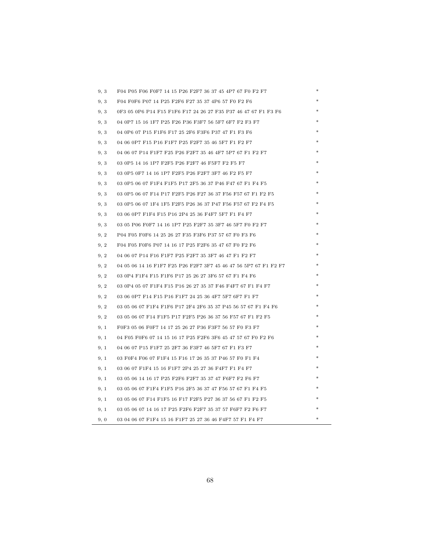| 9, 3 | F04 P05 F06 F0F7 14 15 P26 F2F7 36 37 45 4P7 67 F0 F2 F7         |  |
|------|------------------------------------------------------------------|--|
| 9, 3 | F04 F0F6 P07 14 P25 F2F6 F27 35 37 4P6 57 F0 F2 F6               |  |
| 9, 3 | 0F3 05 0P6 P14 F15 F1F6 F17 24 26 27 F35 P37 46 47 67 F1 F3 F6   |  |
| 9, 3 | 04 0P7 15 16 1F7 P25 F26 P36 F3F7 56 5F7 6F7 F2 F3 F7            |  |
| 9, 3 | 04 0P6 07 P15 F1F6 F17 25 2F6 F3F6 P37 47 F1 F3 F6               |  |
| 9, 3 | 04 06 0P7 F15 P16 F1F7 P25 F2F7 35 46 5F7 F1 F2 F7               |  |
| 9, 3 | 04 06 07 P14 F1F7 F25 P26 F2F7 35 46 4F7 5P7 67 F1 F2 F7         |  |
| 9, 3 | 03 0P5 14 16 1P7 F2F5 P26 F2F7 46 F5F7 F2 F5 F7                  |  |
| 9, 3 | 03 0P5 0F7 14 16 1P7 F2F5 P26 F2F7 3F7 46 F2 F5 F7               |  |
| 9, 3 | 03 0P5 06 07 F1F4 F1F5 P17 2F5 36 37 P46 F47 67 F1 F4 F5         |  |
| 9, 3 | 03 0P5 06 07 F14 P17 F2F5 P26 F27 36 37 F56 F57 67 F1 F2 F5      |  |
| 9, 3 | 03 0P5 06 07 1F4 1F5 F2F5 P26 36 37 P47 F56 F57 67 F2 F4 F5      |  |
| 9, 3 | 03 06 0P7 F1F4 F15 P16 2P4 25 36 F4F7 5F7 F1 F4 F7               |  |
| 9, 3 | 03 05 P06 F0F7 14 16 1P7 P25 F2F7 35 3F7 46 5F7 F0 F2 F7         |  |
| 9, 2 | P04 F05 F0F6 14 25 26 27 F35 F3F6 P37 57 67 F0 F3 F6             |  |
| 9, 2 | F04 F05 F0F6 P07 14 16 17 P25 F2F6 35 47 67 F0 F2 F6             |  |
| 9, 2 | 04 06 07 P14 F16 F1F7 P25 F2F7 35 3F7 46 47 F1 F2 F7             |  |
| 9, 2 | 04 05 06 14 16 F1F7 F25 P26 F2F7 3F7 45 46 47 56 5P7 67 F1 F2 F7 |  |
| 9, 2 | 03 0P4 F1F4 F15 F1F6 P17 25 26 27 3F6 57 67 F1 F4 F6             |  |
| 9, 2 | 03 0P4 05 07 F1F4 F15 P16 26 27 35 37 F46 F4F7 67 F1 F4 F7       |  |
| 9, 2 | 03 06 0P7 F14 F15 P16 F1F7 24 25 36 4F7 5F7 6F7 F1 F7            |  |
| 9, 2 | 03 05 06 07 F1F4 F1F6 P17 2F4 2F6 35 37 P45 56 57 67 F1 F4 F6    |  |
| 9, 2 | 03 05 06 07 F14 F1F5 P17 F2F5 P26 36 37 56 F57 67 F1 F2 F5       |  |
| 9, 1 | F0F3 05 06 F0F7 14 17 25 26 27 P36 F3F7 56 57 F0 F3 F7           |  |
| 9, 1 | 04 F05 F0F6 07 14 15 16 17 P25 F2F6 3F6 45 47 57 67 F0 F2 F6     |  |
| 9, 1 | 04 06 07 P15 F1F7 25 2F7 36 F3F7 46 5F7 67 F1 F3 F7              |  |
| 9, 1 | 03 F0F4 F06 07 F1F4 15 F16 17 26 35 37 P46 57 F0 F1 F4           |  |
| 9, 1 | 03 06 07 F1F4 15 16 F1F7 2P4 25 27 36 F4F7 F1 F4 F7              |  |
| 9, 1 | 03 05 06 14 16 17 P25 F2F6 F2F7 35 37 47 F6F7 F2 F6 F7           |  |
| 9, 1 | 03 05 06 07 F1F4 F1F5 P16 2F5 36 37 47 F56 57 67 F1 F4 F5        |  |
| 9, 1 | 03 05 06 07 F14 F1F5 16 F17 F2F5 P27 36 37 56 67 F1 F2 F5        |  |
| 9, 1 | 03 05 06 07 14 16 17 P25 F2F6 F2F7 35 37 57 F6F7 F2 F6 F7        |  |
| 9, 0 | 03 04 06 07 F1F4 15 16 F1F7 25 27 36 46 F4F7 57 F1 F4 F7         |  |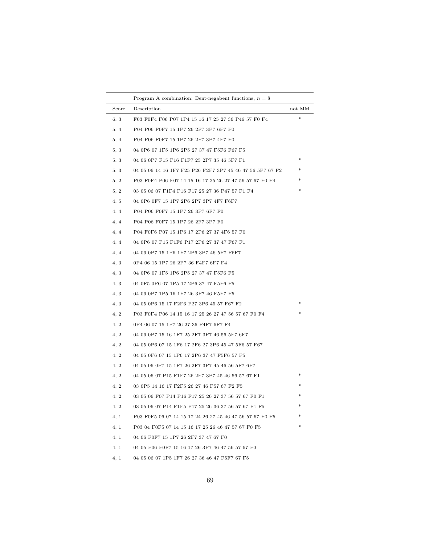|       | Program A combination: Bent-negabent functions, $n = 8$   |        |
|-------|-----------------------------------------------------------|--------|
| Score | Description                                               | not MM |
| 6, 3  | F03 F0F4 F06 P07 1P4 15 16 17 25 27 36 P46 57 F0 F4       | $*$    |
| 5, 4  | P04 P06 F0F7 15 1P7 26 2F7 3P7 6F7 F0                     |        |
| 5, 4  | P04 P06 F0F7 15 1P7 26 2F7 3P7 4F7 F0                     |        |
| 5.3   | 04 0P6 07 1F5 1P6 2P5 27 37 47 F5F6 F67 F5                |        |
| 5, 3  | 04 06 0P7 F15 P16 F1F7 25 2P7 35 46 5F7 F1                | $\ast$ |
| 5.3   | 04 05 06 14 16 1F7 F25 P26 F2F7 3P7 45 46 47 56 5P7 67 F2 | *      |
| 5, 2  | P03 F0F4 P06 F07 14 15 16 17 25 26 27 47 56 57 67 F0 F4   |        |
| 5, 2  | 03 05 06 07 F1F4 P16 F17 25 27 36 P47 57 F1 F4            | $\ast$ |
| 4, 5  | 04 0P6 0F7 15 1P7 2P6 2P7 3P7 4F7 F6F7                    |        |
| 4, 4  | P04 P06 F0F7 15 1P7 26 3P7 6F7 F0                         |        |
| 4, 4  | P04 P06 F0F7 15 1P7 26 2F7 3P7 F0                         |        |
| 4, 4  | P04 F0F6 P07 15 1P6 17 2P6 27 37 4F6 57 F0                |        |
| 4, 4  | 04 0P6 07 P15 F1F6 P17 2P6 27 37 47 F67 F1                |        |
| 4, 4  | 04 06 0P7 15 1P6 1F7 2P6 3P7 46 5F7 F6F7                  |        |
| 4.3   | 0P4 06 15 1P7 26 2P7 36 F4F7 6F7 F4                       |        |
| 4, 3  | 04 0P6 07 1F5 1P6 2P5 27 37 47 F5F6 F5                    |        |
| 4.3   | 04 0F5 0P6 07 1P5 17 2P6 37 47 F5F6 F5                    |        |
| 4.3   | 04 06 0P7 1P5 16 1F7 26 3P7 46 F5F7 F5                    |        |
| 4.3   | 04 05 0P6 15 17 F2F6 P27 3P6 45 57 F67 F2                 | *      |
| 4, 2  | P03 F0F4 P06 14 15 16 17 25 26 27 47 56 57 67 F0 F4       | *      |
| 4, 2  | 0P4 06 07 15 1P7 26 27 36 F4F7 6F7 F4                     |        |
| 4, 2  | 04 06 0P7 15 16 1F7 25 2F7 3P7 46 56 5F7 6F7              |        |
| 4, 2  | 04 05 0P6 07 15 1F6 17 2F6 27 3P6 45 47 5F6 57 F67        |        |
| 4, 2  | 04 05 0F6 07 15 1P6 17 2P6 37 47 F5F6 57 F5               |        |
| 4, 2  | 04 05 06 0P7 15 1F7 26 2F7 3P7 45 46 56 5F7 6F7           |        |
| 4, 2  | 04 05 06 07 P15 F1F7 26 2F7 3P7 45 46 56 57 67 F1         | *      |
| 4, 2  | 03 0P5 14 16 17 F2F5 26 27 46 P57 67 F2 F5                | *      |
| 4, 2  | 03 05 06 F07 P14 P16 F17 25 26 27 37 56 57 67 F0 F1       | *      |
| 4, 2  | 03 05 06 07 P14 F1F5 P17 25 26 36 37 56 57 67 F1 F5       | ∗      |
| 4, 1  | P03 F0F5 06 07 14 15 17 24 26 27 45 46 47 56 57 67 F0 F5  |        |
| 4, 1  | P03 04 F0F5 07 14 15 16 17 25 26 46 47 57 67 F0 F5        |        |
| 4, 1  | 04 06 F0F7 15 1P7 26 2F7 37 47 67 F0                      |        |
| 4, 1  | 04 05 F06 F0F7 15 16 17 26 3P7 46 47 56 57 67 F0          |        |
| 4, 1  | 04 05 06 07 1P5 1F7 26 27 36 46 47 F5F7 67 F5             |        |
|       |                                                           |        |

 $\overline{\phantom{0}}$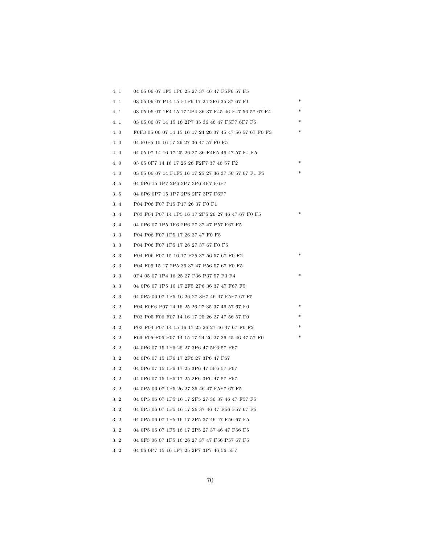| 4, 1 | 04 05 06 07 1F5 1P6 25 27 37 46 47 F5F6 57 F5           |  |
|------|---------------------------------------------------------|--|
| 4, 1 | 03 05 06 07 P14 15 F1F6 17 24 2F6 35 37 67 F1           |  |
| 4, 1 | 03 05 06 07 1F4 15 17 2P4 36 37 F45 46 F47 56 57 67 F4  |  |
| 4, 1 | 03 05 06 07 14 15 16 2P7 35 36 46 47 F5F7 6F7 F5        |  |
| 4, 0 | F0F3 05 06 07 14 15 16 17 24 26 37 45 47 56 57 67 F0 F3 |  |
| 4, 0 | 04 F0F5 15 16 17 26 27 36 47 57 F0 F5                   |  |
| 4, 0 | 04 05 07 14 16 17 25 26 27 36 F4F5 46 47 57 F4 F5       |  |
| 4, 0 | 03 05 0F7 14 16 17 25 26 F2F7 37 46 57 F2               |  |
| 4,0  | 03 05 06 07 14 F1F5 16 17 25 27 36 37 56 57 67 F1 F5    |  |
| 3, 5 | 04 0P6 15 1P7 2P6 2P7 3P6 4F7 F6F7                      |  |
| 3, 5 | 04 0P6 0P7 15 1P7 2P6 2F7 3P7 F6F7                      |  |
| 3, 4 | P04 P06 F07 P15 P17 26 37 F0 F1                         |  |
| 3, 4 | P03 F04 P07 14 1P5 16 17 2P5 26 27 46 47 67 F0 F5       |  |
| 3, 4 | 04 0P6 07 1P5 1F6 2P6 27 37 47 P57 F67 F5               |  |
| 3, 3 | P04 P06 F07 1P5 17 26 37 47 F0 F5                       |  |
| 3, 3 | P04 P06 F07 1P5 17 26 27 37 67 F0 F5                    |  |
| 3, 3 | P04 P06 F07 15 16 17 P25 37 56 57 67 F0 F2              |  |
| 3, 3 | P04 F06 15 17 2P5 36 37 47 P56 57 67 F0 F5              |  |
| 3, 3 | 0P4 05 07 1P4 16 25 27 F36 P37 57 F3 F4                 |  |
| 3, 3 | 04 0P6 07 1P5 16 17 2F5 2P6 36 37 47 F67 F5             |  |
| 3, 3 | 04 0P5 06 07 1P5 16 26 27 3P7 46 47 F5F7 67 F5          |  |
| 3, 2 | P04 F0F6 P07 14 16 25 26 27 35 37 46 57 67 F0           |  |
| 3, 2 | P03 P05 F06 F07 14 16 17 25 26 27 47 56 57 F0           |  |
| 3, 2 | P03 F04 P07 14 15 16 17 25 26 27 46 47 67 F0 F2         |  |
| 3, 2 | F03 P05 F06 P07 14 15 17 24 26 27 36 45 46 47 57 F0     |  |
| 3, 2 | 04 0P6 07 15 1F6 25 27 3P6 47 5F6 57 F67                |  |
| 3, 2 | 04 0P6 07 15 1F6 17 2F6 27 3P6 47 F67                   |  |
| 3, 2 | 04 0P6 07 15 1F6 17 25 3P6 47 5F6 57 F67                |  |
| 3, 2 | 04 0P6 07 15 1F6 17 25 2F6 3P6 47 57 F67                |  |
| 3, 2 | 04 0P5 06 07 1P5 26 27 36 46 47 F5F7 67 F5              |  |
| 3, 2 | 04 0P5 06 07 1P5 16 17 2F5 27 36 37 46 47 F57 F5        |  |
| 3, 2 | 04 0P5 06 07 1P5 16 17 26 37 46 47 F56 F57 67 F5        |  |
| 3, 2 | 04 0P5 06 07 1F5 16 17 2P5 37 46 47 F56 67 F5           |  |
| 3, 2 | 04 0P5 06 07 1F5 16 17 2P5 27 37 46 47 F56 F5           |  |
| 3, 2 | 04 0F5 06 07 1P5 16 26 27 37 47 F56 P57 67 F5           |  |
| 3, 2 | 04 06 0P7 15 16 1F7 25 2F7 3P7 46 56 5F7                |  |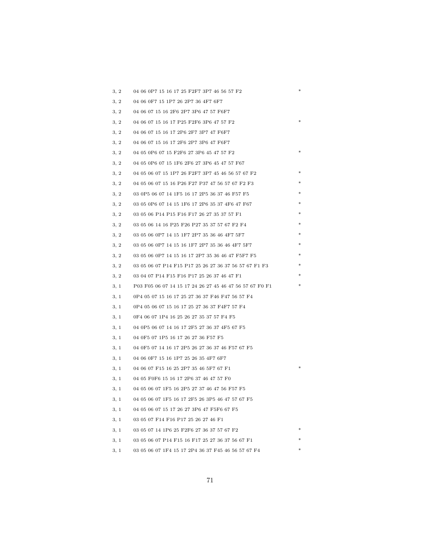| 3, 2 | 04 06 0P7 15 16 17 25 F2F7 3P7 46 56 57 F2              | ∗ |
|------|---------------------------------------------------------|---|
| 3, 2 | 04 06 0F7 15 1P7 26 2P7 36 4F7 6F7                      |   |
| 3, 2 | 04 06 07 15 16 2F6 2P7 3P6 47 57 F6F7                   |   |
| 3, 2 | 04 06 07 15 16 17 P25 F2F6 3P6 47 57 F2                 |   |
| 3, 2 | 04 06 07 15 16 17 2P6 2F7 3P7 47 F6F7                   |   |
| 3, 2 | 04 06 07 15 16 17 2F6 2P7 3P6 47 F6F7                   |   |
| 3, 2 | 04 05 0P6 07 15 F2F6 27 3P6 45 47 57 F2                 |   |
| 3, 2 | 04 05 0P6 07 15 1F6 2F6 27 3P6 45 47 57 F67             |   |
| 3, 2 | 04 05 06 07 15 1P7 26 F2F7 3P7 45 46 56 57 67 F2        |   |
| 3, 2 | 04 05 06 07 15 16 P26 F27 P37 47 56 57 67 F2 F3         |   |
| 3, 2 | 03 0P5 06 07 14 1F5 16 17 2P5 36 37 46 F57 F5           |   |
| 3, 2 | 03 05 0P6 07 14 15 1F6 17 2P6 35 37 4F6 47 F67          |   |
| 3, 2 | 03 05 06 P14 P15 F16 F17 26 27 35 37 57 F1              |   |
| 3, 2 | 03 05 06 14 16 P25 F26 P27 35 37 57 67 F2 F4            |   |
| 3, 2 | 03 05 06 0P7 14 15 1F7 2P7 35 36 46 4F7 5F7             |   |
| 3, 2 | 03 05 06 0P7 14 15 16 1F7 2P7 35 36 46 4F7 5F7          |   |
| 3, 2 | 03 05 06 0P7 14 15 16 17 2P7 35 36 46 47 F5F7 F5        |   |
| 3, 2 | 03 05 06 07 P14 F15 P17 25 26 27 36 37 56 57 67 F1 F3   |   |
| 3, 2 | 03 04 07 P14 F15 F16 P17 25 26 37 46 47 F1              |   |
| 3, 1 | P03 F05 06 07 14 15 17 24 26 27 45 46 47 56 57 67 F0 F1 |   |
| 3, 1 | 0P4 05 07 15 16 17 25 27 36 37 F46 F47 56 57 F4         |   |
| 3, 1 | 0P4 05 06 07 15 16 17 25 27 36 37 F4F7 57 F4            |   |
| 3, 1 | 0F4 06 07 1P4 16 25 26 27 35 37 57 F4 F5                |   |
| 3, 1 | 04 0P5 06 07 14 16 17 2F5 27 36 37 4F5 67 F5            |   |
| 3, 1 | 04 0F5 07 1P5 16 17 26 27 36 F57 F5                     |   |
| 3, 1 | 04 0F5 07 14 16 17 2P5 26 27 36 37 46 F57 67 F5         |   |
| 3, 1 | 04 06 0F7 15 16 1P7 25 26 35 4F7 6F7                    |   |
| 3, 1 | 04 06 07 F15 16 25 2P7 35 46 5F7 67 F1                  |   |
| 3, 1 | 04 05 F0F6 15 16 17 2P6 37 46 47 57 F0                  |   |
| 3, 1 | 04 05 06 07 1F5 16 2P5 27 37 46 47 56 F57 F5            |   |
| 3, 1 | 04 05 06 07 1F5 16 17 2F5 26 3P5 46 47 57 67 F5         |   |
| 3, 1 | 04 05 06 07 15 17 26 27 3P6 47 F5F6 67 F5               |   |
| 3, 1 | 03 05 07 F14 F16 P17 25 26 27 46 F1                     |   |
| 3, 1 | 03 05 07 14 1P6 25 F2F6 27 36 37 57 67 F2               |   |
| 3, 1 | 03 05 06 07 P14 F15 16 F17 25 27 36 37 56 67 F1         |   |
| 3, 1 | 03 05 06 07 1F4 15 17 2P4 36 37 F45 46 56 57 67 F4      |   |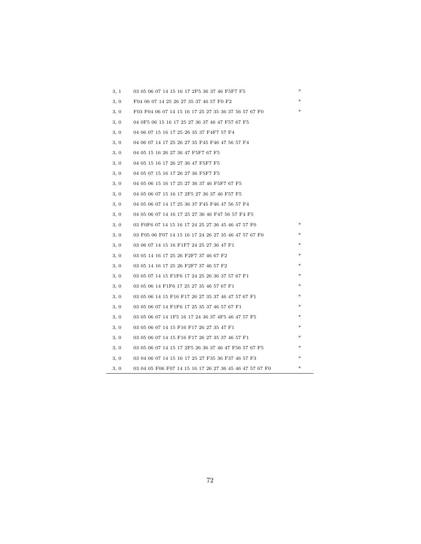| 3, 1 | 03 05 06 07 14 15 16 17 2P5 36 37 46 F5F7 F5            | ж      |
|------|---------------------------------------------------------|--------|
| 3, 0 | F04 06 07 14 25 26 27 35 37 46 57 F0 F2                 |        |
| 3, 0 | F03 F04 06 07 14 15 16 17 25 27 35 36 37 56 57 67 F0    |        |
| 3, 0 | 04 0F5 06 15 16 17 25 27 36 37 46 47 F57 67 F5          |        |
| 3, 0 | 04 06 07 15 16 17 25 26 35 37 F4F7 57 F4                |        |
| 3, 0 | 04 06 07 14 17 25 26 27 35 F45 F46 47 56 57 F4          |        |
| 3, 0 | 04 05 15 16 26 27 36 47 F5F7 67 F5                      |        |
| 3, 0 | 04 05 15 16 17 26 27 36 47 F5F7 F5                      |        |
| 3, 0 | 04 05 07 15 16 17 26 27 36 F5F7 F5                      |        |
| 3, 0 | 04 05 06 15 16 17 25 27 36 37 46 F5F7 67 F5             |        |
| 3, 0 | 04 05 06 07 15 16 17 2F5 27 36 37 46 F57 F5             |        |
| 3, 0 | 04 05 06 07 14 17 25 36 37 F45 F46 47 56 57 F4          |        |
| 3, 0 | 04 05 06 07 14 16 17 25 27 36 46 F47 56 57 F4 F5        |        |
| 3, 0 | 03 F0F6 07 14 15 16 17 24 25 27 36 45 46 47 57 F0       | *      |
| 3, 0 | 03 F05 06 F07 14 15 16 17 24 26 27 35 46 47 57 67 F0    |        |
| 3, 0 | 03 06 07 14 15 16 F1F7 24 25 27 36 47 F1                | *      |
| 3, 0 | 03 05 14 16 17 25 26 F2F7 37 46 67 F2                   | $\ast$ |
| 3, 0 | 03 05 14 16 17 25 26 F2F7 37 46 57 F2                   | *      |
| 3, 0 | 03 05 07 14 15 F1F6 17 24 25 26 36 37 57 67 F1          | $\ast$ |
| 3, 0 | 03 05 06 14 F1F6 17 25 27 35 46 57 67 F1                | $\ast$ |
| 3, 0 | 03 05 06 14 15 F16 F17 26 27 35 37 46 47 57 67 F1       | *      |
| 3, 0 | 03 05 06 07 14 F1F6 17 25 35 37 46 57 67 F1             | *      |
| 3, 0 | 03 05 06 07 14 1F5 16 17 24 36 37 4F5 46 47 57 F5       | ∗      |
| 3, 0 | 03 05 06 07 14 15 F16 F17 26 27 35 47 F1                | *      |
| 3, 0 | 03 05 06 07 14 15 F16 F17 26 27 35 37 46 57 F1          | *      |
| 3, 0 | 03 05 06 07 14 15 17 2F5 26 36 37 46 47 F56 57 67 F5    | *      |
| 3, 0 | 03 04 06 07 14 15 16 17 25 27 F35 36 F37 46 57 F3       |        |
| 3, 0 | 03 04 05 F06 F07 14 15 16 17 26 27 36 45 46 47 57 67 F0 | *      |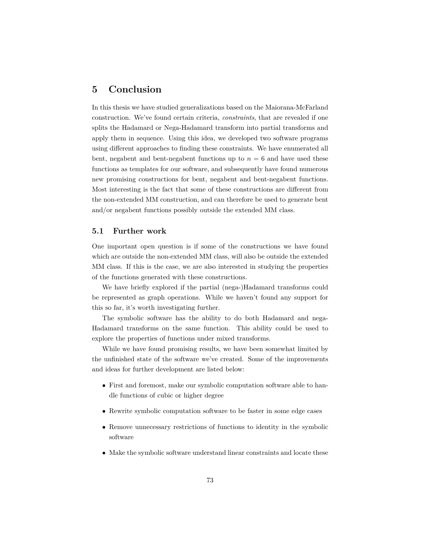## **5 Conclusion**

In this thesis we have studied generalizations based on the Maiorana-McFarland construction. We've found certain criteria, *constraints*, that are revealed if one splits the Hadamard or Nega-Hadamard transform into partial transforms and apply them in sequence. Using this idea, we developed two software programs using different approaches to finding these constraints. We have enumerated all bent, negabent and bent-negabent functions up to  $n = 6$  and have used these functions as templates for our software, and subsequently have found numerous new promising constructions for bent, negabent and bent-negabent functions. Most interesting is the fact that some of these constructions are different from the non-extended MM construction, and can therefore be used to generate bent and/or negabent functions possibly outside the extended MM class.

## **5.1 Further work**

One important open question is if some of the constructions we have found which are outside the non-extended MM class, will also be outside the extended MM class. If this is the case, we are also interested in studying the properties of the functions generated with these constructions.

We have briefly explored if the partial (nega-)Hadamard transforms could be represented as graph operations. While we haven't found any support for this so far, it's worth investigating further.

The symbolic software has the ability to do both Hadamard and nega-Hadamard transforms on the same function. This ability could be used to explore the properties of functions under mixed transforms.

While we have found promising results, we have been somewhat limited by the unfinished state of the software we've created. Some of the improvements and ideas for further development are listed below:

- First and foremost, make our symbolic computation software able to handle functions of cubic or higher degree
- Rewrite symbolic computation software to be faster in some edge cases
- Remove unnecessary restrictions of functions to identity in the symbolic software
- Make the symbolic software understand linear constraints and locate these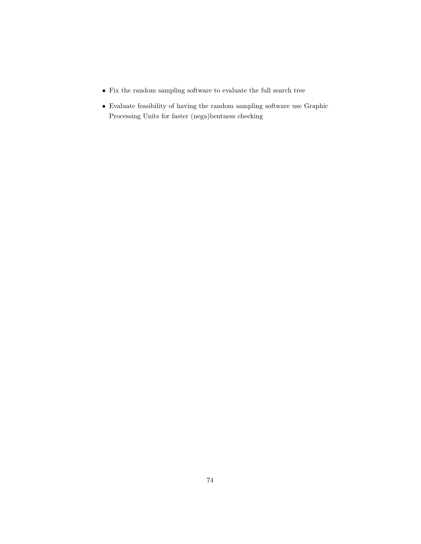- $\bullet~$  Fix the random sampling software to evaluate the full search tree
- Evaluate feasibility of having the random sampling software use Graphic Processing Units for faster (nega)bentness checking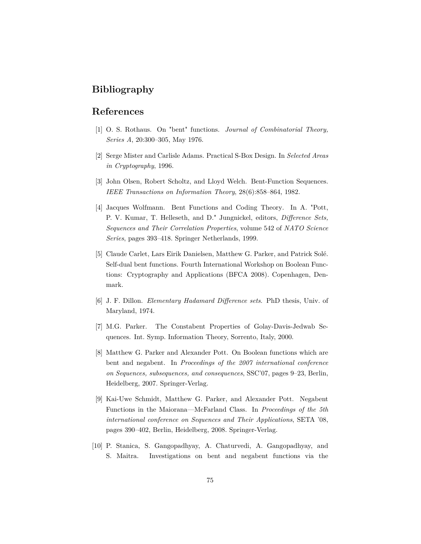## **Bibliography**

## **References**

- [1] O. S. Rothaus. On "bent" functions. *Journal of Combinatorial Theory, Series A*, 20:300–305, May 1976.
- [2] Serge Mister and Carlisle Adams. Practical S-Box Design. In *Selected Areas in Cryptography*, 1996.
- [3] John Olsen, Robert Scholtz, and Lloyd Welch. Bent-Function Sequences. *IEEE Transactions on Information Theory*, 28(6):858–864, 1982.
- [4] Jacques Wolfmann. Bent Functions and Coding Theory. In A. "Pott, P. V. Kumar, T. Helleseth, and D." Jungnickel, editors, *Difference Sets, Sequences and Their Correlation Properties*, volume 542 of *NATO Science Series*, pages 393–418. Springer Netherlands, 1999.
- [5] Claude Carlet, Lars Eirik Danielsen, Matthew G. Parker, and Patrick Solé. Self-dual bent functions. Fourth International Workshop on Boolean Functions: Cryptography and Applications (BFCA 2008). Copenhagen, Denmark.
- [6] J. F. Dillon. *Elementary Hadamard Difference sets*. PhD thesis, Univ. of Maryland, 1974.
- [7] M.G. Parker. The Constabent Properties of Golay-Davis-Jedwab Sequences. Int. Symp. Information Theory, Sorrento, Italy, 2000.
- [8] Matthew G. Parker and Alexander Pott. On Boolean functions which are bent and negabent. In *Proceedings of the 2007 international conference on Sequences, subsequences, and consequences*, SSC'07, pages 9–23, Berlin, Heidelberg, 2007. Springer-Verlag.
- [9] Kai-Uwe Schmidt, Matthew G. Parker, and Alexander Pott. Negabent Functions in the Maiorana—McFarland Class. In *Proceedings of the 5th international conference on Sequences and Their Applications*, SETA '08, pages 390–402, Berlin, Heidelberg, 2008. Springer-Verlag.
- [10] P. Stanica, S. Gangopadhyay, A. Chaturvedi, A. Gangopadhyay, and S. Maitra. Investigations on bent and negabent functions via the